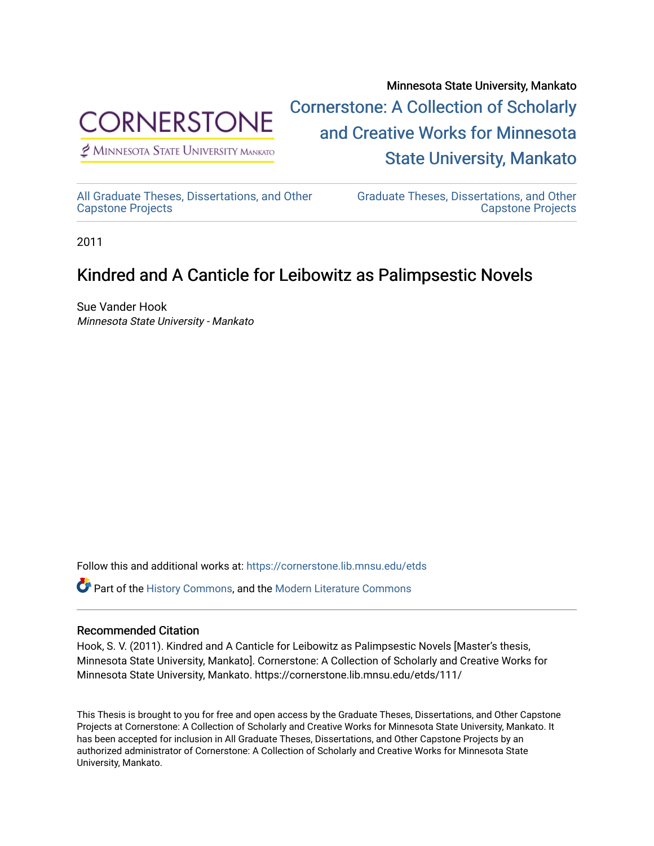

 $<sup>2</sup>$  Minnesota State University Mankato</sup>

Minnesota State University, Mankato [Cornerstone: A Collection of Scholarly](https://cornerstone.lib.mnsu.edu/)  [and Creative Works for Minnesota](https://cornerstone.lib.mnsu.edu/)  [State University, Mankato](https://cornerstone.lib.mnsu.edu/) 

[All Graduate Theses, Dissertations, and Other](https://cornerstone.lib.mnsu.edu/etds)  [Capstone Projects](https://cornerstone.lib.mnsu.edu/etds) 

[Graduate Theses, Dissertations, and Other](https://cornerstone.lib.mnsu.edu/theses_dissertations-capstone)  [Capstone Projects](https://cornerstone.lib.mnsu.edu/theses_dissertations-capstone) 

2011

# Kindred and A Canticle for Leibowitz as Palimpsestic Novels

Sue Vander Hook Minnesota State University - Mankato

Follow this and additional works at: [https://cornerstone.lib.mnsu.edu/etds](https://cornerstone.lib.mnsu.edu/etds?utm_source=cornerstone.lib.mnsu.edu%2Fetds%2F111&utm_medium=PDF&utm_campaign=PDFCoverPages) 

**C** Part of the [History Commons,](http://network.bepress.com/hgg/discipline/489?utm_source=cornerstone.lib.mnsu.edu%2Fetds%2F111&utm_medium=PDF&utm_campaign=PDFCoverPages) and the [Modern Literature Commons](http://network.bepress.com/hgg/discipline/1050?utm_source=cornerstone.lib.mnsu.edu%2Fetds%2F111&utm_medium=PDF&utm_campaign=PDFCoverPages)

# Recommended Citation

Hook, S. V. (2011). Kindred and A Canticle for Leibowitz as Palimpsestic Novels [Master's thesis, Minnesota State University, Mankato]. Cornerstone: A Collection of Scholarly and Creative Works for Minnesota State University, Mankato. https://cornerstone.lib.mnsu.edu/etds/111/

This Thesis is brought to you for free and open access by the Graduate Theses, Dissertations, and Other Capstone Projects at Cornerstone: A Collection of Scholarly and Creative Works for Minnesota State University, Mankato. It has been accepted for inclusion in All Graduate Theses, Dissertations, and Other Capstone Projects by an authorized administrator of Cornerstone: A Collection of Scholarly and Creative Works for Minnesota State University, Mankato.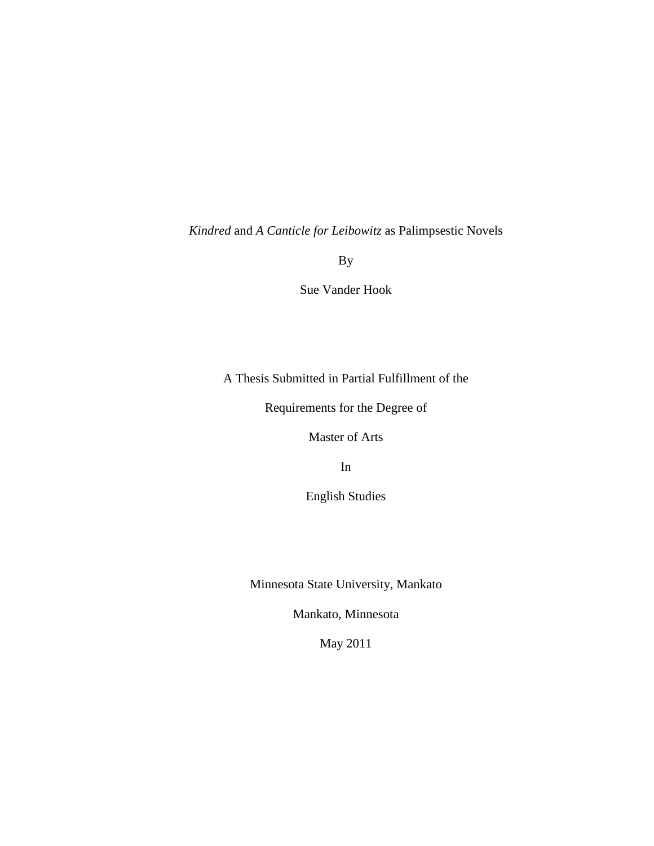*Kindred* and *A Canticle for Leibowitz* as Palimpsestic Novels

By

Sue Vander Hook

A Thesis Submitted in Partial Fulfillment of the

Requirements for the Degree of

Master of Arts

In

English Studies

Minnesota State University, Mankato

Mankato, Minnesota

May 2011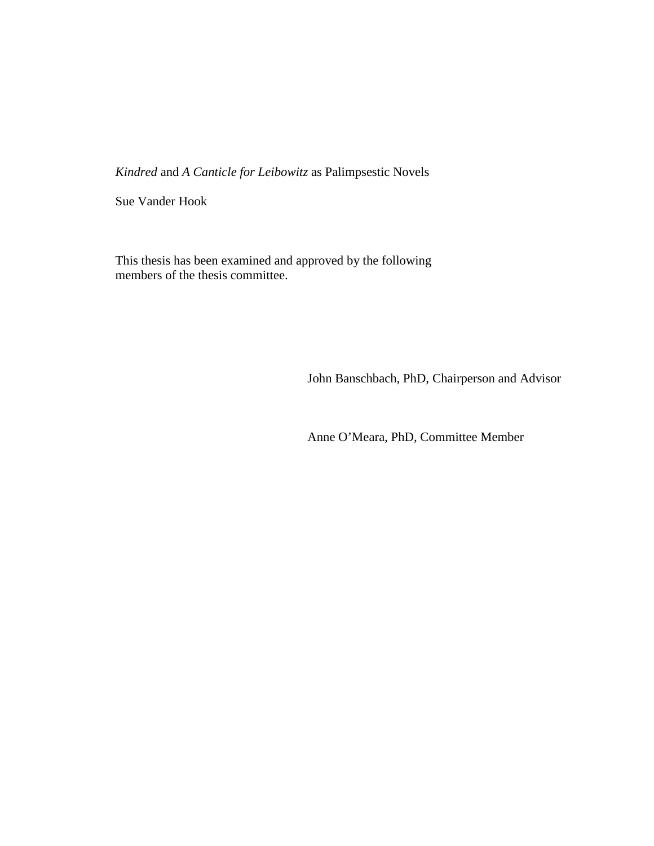*Kindred* and *A Canticle for Leibowitz* as Palimpsestic Novels

Sue Vander Hook

This thesis has been examined and approved by the following members of the thesis committee.

John Banschbach, PhD, Chairperson and Advisor

Anne O'Meara, PhD, Committee Member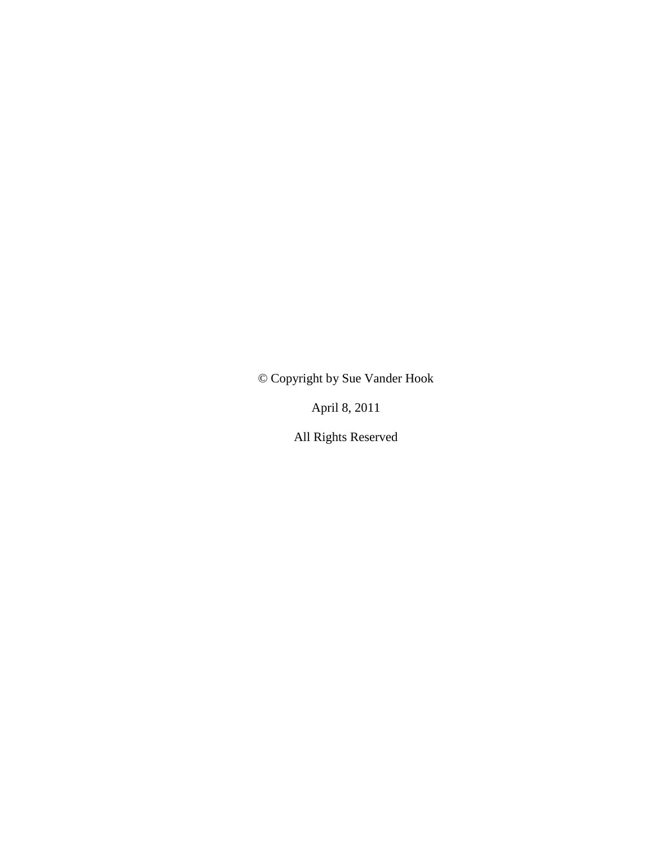© Copyright by Sue Vander Hook

April 8, 2011

All Rights Reserved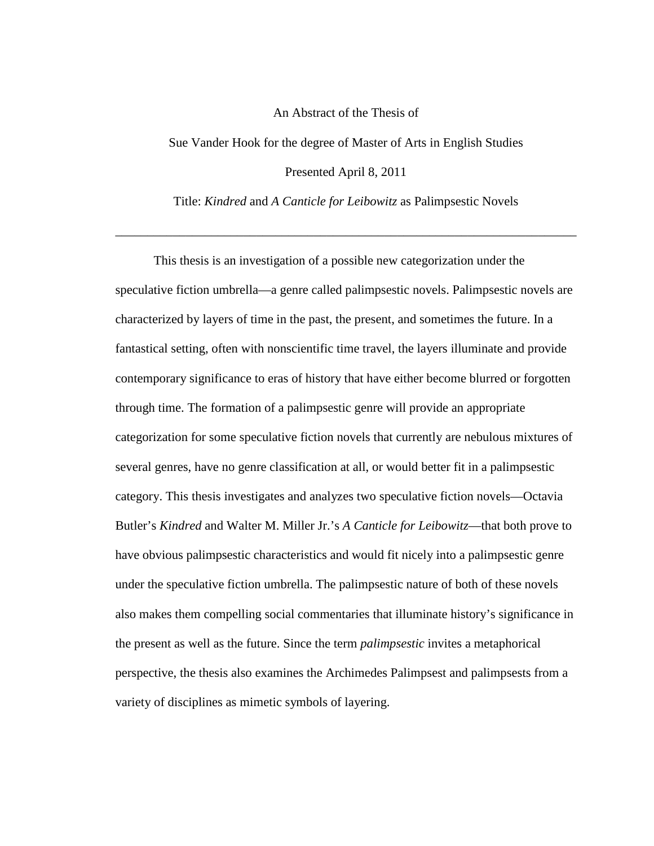# An Abstract of the Thesis of

Sue Vander Hook for the degree of Master of Arts in English Studies Presented April 8, 2011

Title: *Kindred* and *A Canticle for Leibowitz* as Palimpsestic Novels

\_\_\_\_\_\_\_\_\_\_\_\_\_\_\_\_\_\_\_\_\_\_\_\_\_\_\_\_\_\_\_\_\_\_\_\_\_\_\_\_\_\_\_\_\_\_\_\_\_\_\_\_\_\_\_\_\_\_\_\_\_\_\_\_\_\_\_\_\_\_\_\_

This thesis is an investigation of a possible new categorization under the speculative fiction umbrella—a genre called palimpsestic novels. Palimpsestic novels are characterized by layers of time in the past, the present, and sometimes the future. In a fantastical setting, often with nonscientific time travel, the layers illuminate and provide contemporary significance to eras of history that have either become blurred or forgotten through time. The formation of a palimpsestic genre will provide an appropriate categorization for some speculative fiction novels that currently are nebulous mixtures of several genres, have no genre classification at all, or would better fit in a palimpsestic category. This thesis investigates and analyzes two speculative fiction novels—Octavia Butler's *Kindred* and Walter M. Miller Jr.'s *A Canticle for Leibowitz*—that both prove to have obvious palimpsestic characteristics and would fit nicely into a palimpsestic genre under the speculative fiction umbrella. The palimpsestic nature of both of these novels also makes them compelling social commentaries that illuminate history's significance in the present as well as the future. Since the term *palimpsestic* invites a metaphorical perspective, the thesis also examines the Archimedes Palimpsest and palimpsests from a variety of disciplines as mimetic symbols of layering.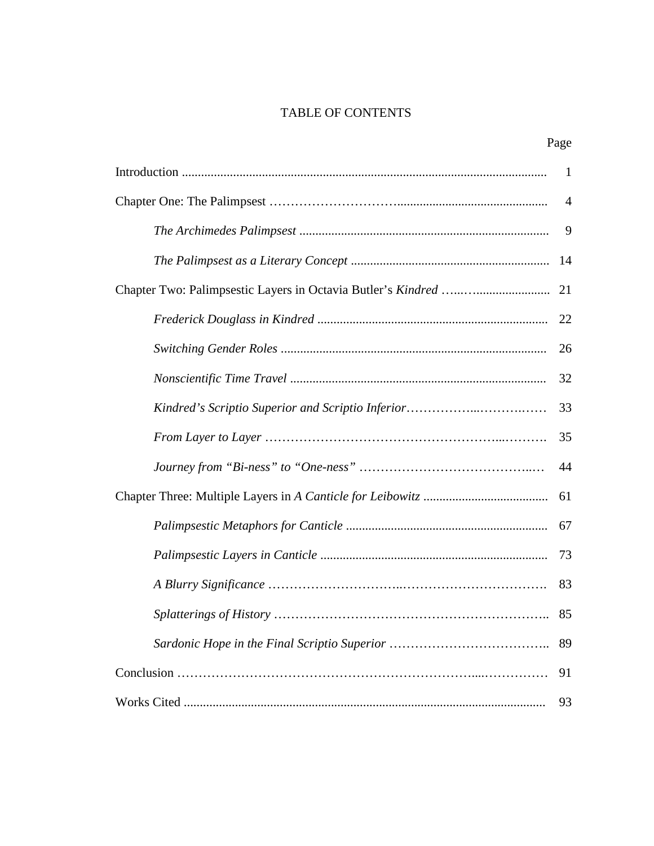# TABLE OF CONTENTS

| ×<br>۰, |
|---------|
|---------|

|                                                   | $\mathbf{1}$   |
|---------------------------------------------------|----------------|
|                                                   | $\overline{4}$ |
|                                                   | 9              |
|                                                   | 14             |
|                                                   | 21             |
|                                                   | 22             |
|                                                   | 26             |
|                                                   | 32             |
| Kindred's Scriptio Superior and Scriptio Inferior | 33             |
|                                                   | 35             |
|                                                   | 44             |
|                                                   | 61             |
|                                                   | 67             |
|                                                   | 73             |
|                                                   | 83             |
|                                                   | 85             |
|                                                   | 89             |
|                                                   | 91             |
|                                                   | 93             |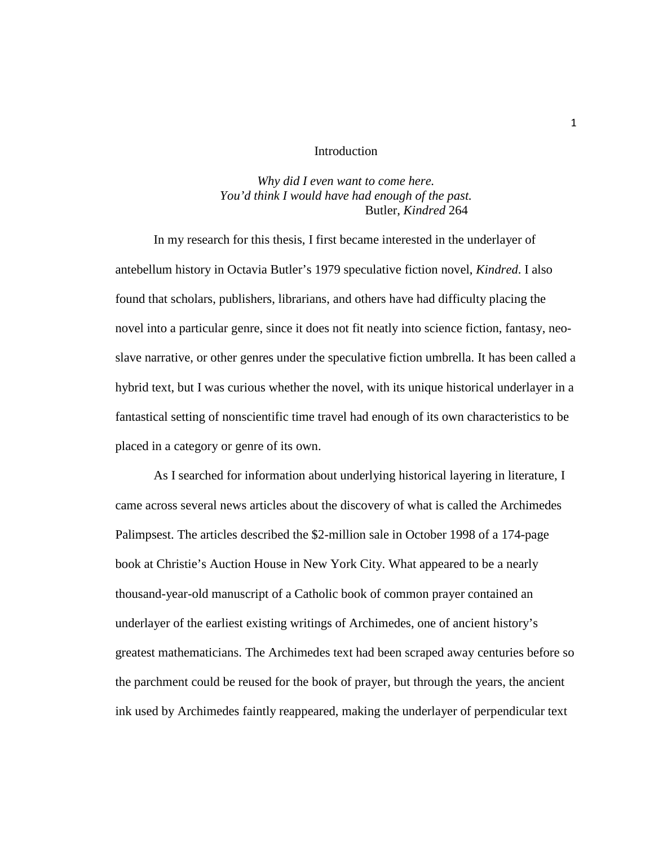#### Introduction

# *Why did I even want to come here. You'd think I would have had enough of the past.* Butler, *Kindred* 264

In my research for this thesis, I first became interested in the underlayer of antebellum history in Octavia Butler's 1979 speculative fiction novel, *Kindred*. I also found that scholars, publishers, librarians, and others have had difficulty placing the novel into a particular genre, since it does not fit neatly into science fiction, fantasy, neoslave narrative, or other genres under the speculative fiction umbrella. It has been called a hybrid text, but I was curious whether the novel, with its unique historical underlayer in a fantastical setting of nonscientific time travel had enough of its own characteristics to be placed in a category or genre of its own.

As I searched for information about underlying historical layering in literature, I came across several news articles about the discovery of what is called the Archimedes Palimpsest. The articles described the \$2-million sale in October 1998 of a 174-page book at Christie's Auction House in New York City. What appeared to be a nearly thousand-year-old manuscript of a Catholic book of common prayer contained an underlayer of the earliest existing writings of Archimedes, one of ancient history's greatest mathematicians. The Archimedes text had been scraped away centuries before so the parchment could be reused for the book of prayer, but through the years, the ancient ink used by Archimedes faintly reappeared, making the underlayer of perpendicular text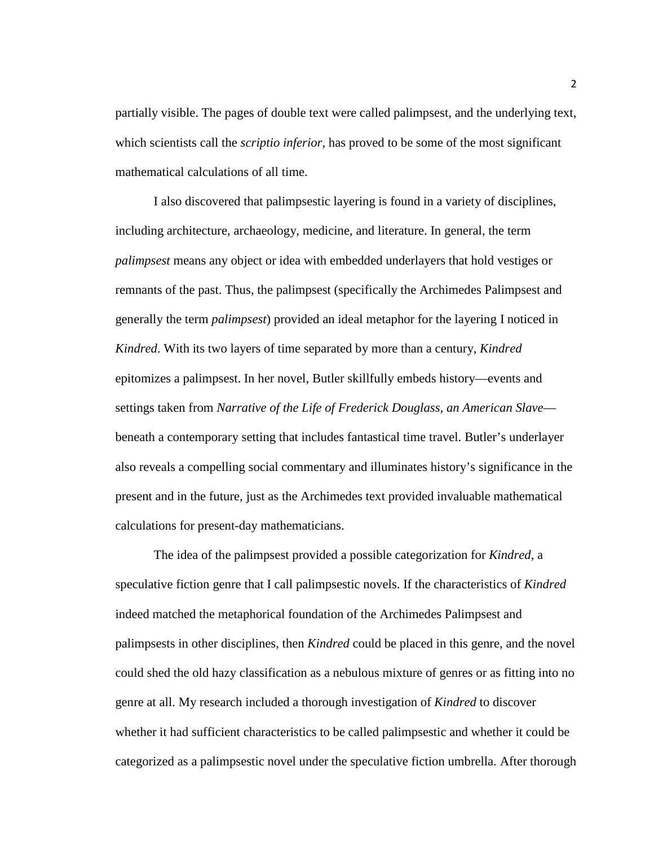partially visible. The pages of double text were called palimpsest, and the underlying text, which scientists call the *scriptio inferior*, has proved to be some of the most significant mathematical calculations of all time.

I also discovered that palimpsestic layering is found in a variety of disciplines, including architecture, archaeology, medicine, and literature. In general, the term *palimpsest* means any object or idea with embedded underlayers that hold vestiges or remnants of the past. Thus, the palimpsest (specifically the Archimedes Palimpsest and generally the term *palimpsest*) provided an ideal metaphor for the layering I noticed in *Kindred*. With its two layers of time separated by more than a century, *Kindred*  epitomizes a palimpsest. In her novel, Butler skillfully embeds history—events and settings taken from *Narrative of the Life of Frederick Douglass, an American Slave* beneath a contemporary setting that includes fantastical time travel. Butler's underlayer also reveals a compelling social commentary and illuminates history's significance in the present and in the future, just as the Archimedes text provided invaluable mathematical calculations for present-day mathematicians.

The idea of the palimpsest provided a possible categorization for *Kindred*, a speculative fiction genre that I call palimpsestic novels. If the characteristics of *Kindred*  indeed matched the metaphorical foundation of the Archimedes Palimpsest and palimpsests in other disciplines, then *Kindred* could be placed in this genre, and the novel could shed the old hazy classification as a nebulous mixture of genres or as fitting into no genre at all. My research included a thorough investigation of *Kindred* to discover whether it had sufficient characteristics to be called palimpsestic and whether it could be categorized as a palimpsestic novel under the speculative fiction umbrella. After thorough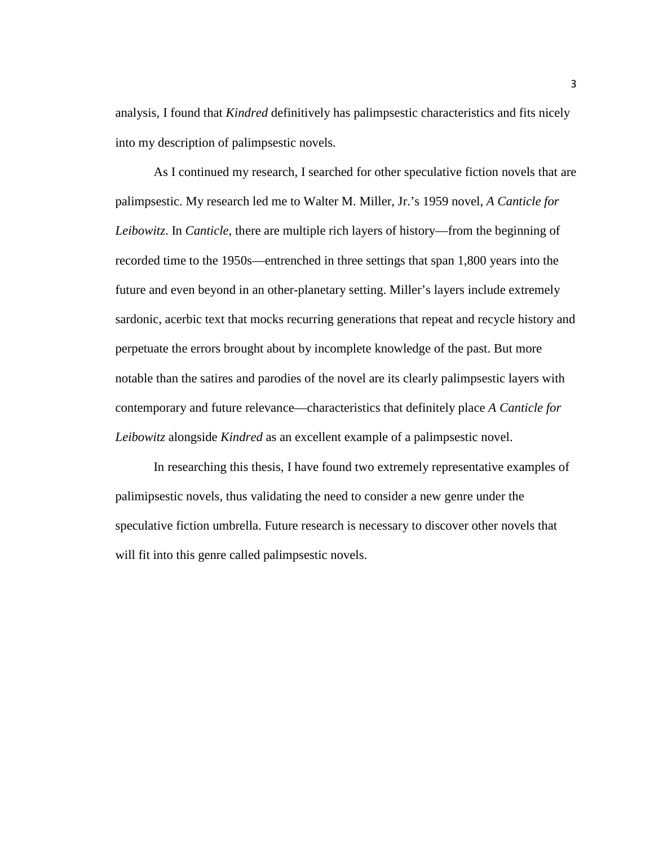analysis, I found that *Kindred* definitively has palimpsestic characteristics and fits nicely into my description of palimpsestic novels.

As I continued my research, I searched for other speculative fiction novels that are palimpsestic. My research led me to Walter M. Miller, Jr.'s 1959 novel, *A Canticle for Leibowitz*. In *Canticle*, there are multiple rich layers of history—from the beginning of recorded time to the 1950s—entrenched in three settings that span 1,800 years into the future and even beyond in an other-planetary setting. Miller's layers include extremely sardonic, acerbic text that mocks recurring generations that repeat and recycle history and perpetuate the errors brought about by incomplete knowledge of the past. But more notable than the satires and parodies of the novel are its clearly palimpsestic layers with contemporary and future relevance—characteristics that definitely place *A Canticle for Leibowitz* alongside *Kindred* as an excellent example of a palimpsestic novel.

In researching this thesis, I have found two extremely representative examples of palimipsestic novels, thus validating the need to consider a new genre under the speculative fiction umbrella. Future research is necessary to discover other novels that will fit into this genre called palimpsestic novels.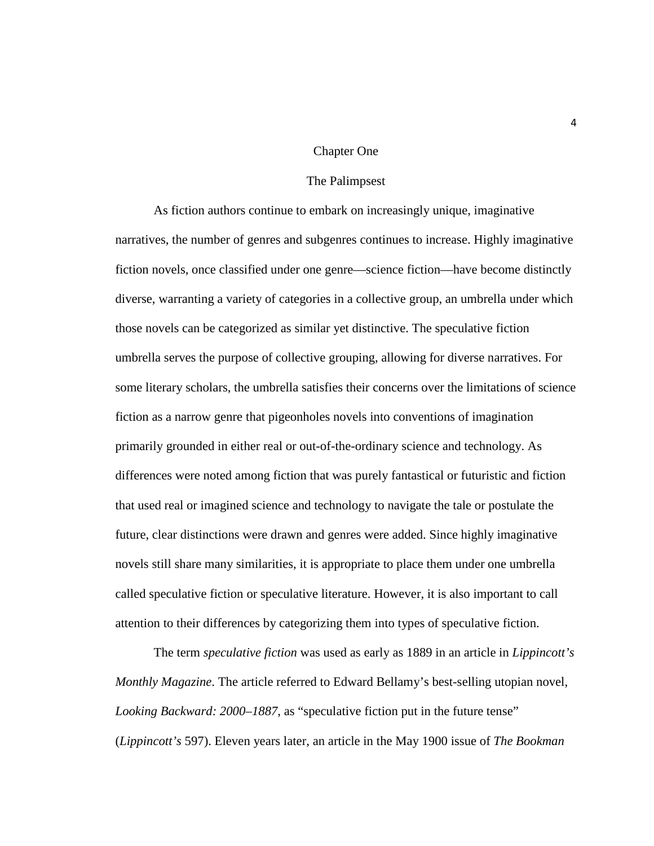#### Chapter One

#### The Palimpsest

As fiction authors continue to embark on increasingly unique, imaginative narratives, the number of genres and subgenres continues to increase. Highly imaginative fiction novels, once classified under one genre—science fiction—have become distinctly diverse, warranting a variety of categories in a collective group, an umbrella under which those novels can be categorized as similar yet distinctive. The speculative fiction umbrella serves the purpose of collective grouping, allowing for diverse narratives. For some literary scholars, the umbrella satisfies their concerns over the limitations of science fiction as a narrow genre that pigeonholes novels into conventions of imagination primarily grounded in either real or out-of-the-ordinary science and technology. As differences were noted among fiction that was purely fantastical or futuristic and fiction that used real or imagined science and technology to navigate the tale or postulate the future, clear distinctions were drawn and genres were added. Since highly imaginative novels still share many similarities, it is appropriate to place them under one umbrella called speculative fiction or speculative literature. However, it is also important to call attention to their differences by categorizing them into types of speculative fiction.

The term *speculative fiction* was used as early as 1889 in an article in *Lippincott's Monthly Magazine*. The article referred to Edward Bellamy's best-selling utopian novel, *Looking Backward: 2000–1887*, as "speculative fiction put in the future tense" (*Lippincott's* 597). Eleven years later, an article in the May 1900 issue of *The Bookman*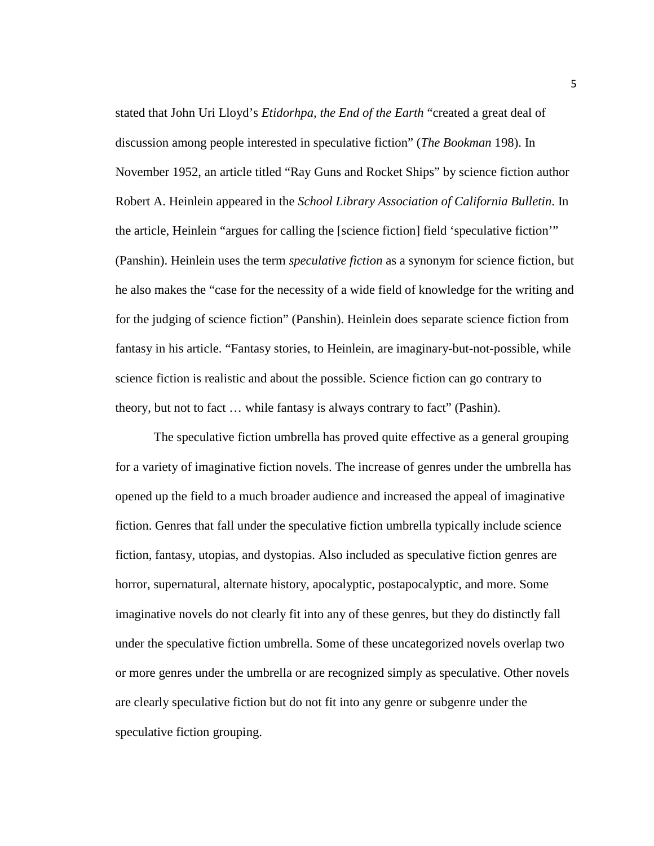stated that John Uri Lloyd's *Etidorhpa, the End of the Earth* "created a great deal of discussion among people interested in speculative fiction" (*The Bookman* 198). In November 1952, an article titled "Ray Guns and Rocket Ships" by science fiction author Robert A. Heinlein appeared in the *School Library Association of California Bulletin*. In the article, Heinlein "argues for calling the [science fiction] field 'speculative fiction'" (Panshin). Heinlein uses the term *speculative fiction* as a synonym for science fiction, but he also makes the "case for the necessity of a wide field of knowledge for the writing and for the judging of science fiction" (Panshin). Heinlein does separate science fiction from fantasy in his article. "Fantasy stories, to Heinlein, are imaginary-but-not-possible, while science fiction is realistic and about the possible. Science fiction can go contrary to theory, but not to fact … while fantasy is always contrary to fact" (Pashin).

The speculative fiction umbrella has proved quite effective as a general grouping for a variety of imaginative fiction novels. The increase of genres under the umbrella has opened up the field to a much broader audience and increased the appeal of imaginative fiction. Genres that fall under the speculative fiction umbrella typically include science fiction, fantasy, utopias, and dystopias. Also included as speculative fiction genres are horror, supernatural, alternate history, apocalyptic, postapocalyptic, and more. Some imaginative novels do not clearly fit into any of these genres, but they do distinctly fall under the speculative fiction umbrella. Some of these uncategorized novels overlap two or more genres under the umbrella or are recognized simply as speculative. Other novels are clearly speculative fiction but do not fit into any genre or subgenre under the speculative fiction grouping.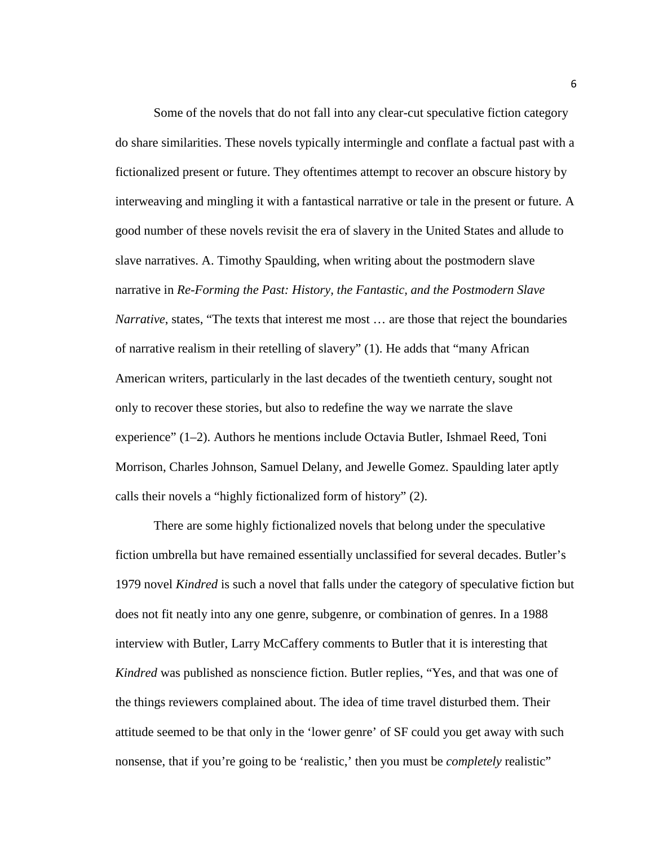Some of the novels that do not fall into any clear-cut speculative fiction category do share similarities. These novels typically intermingle and conflate a factual past with a fictionalized present or future. They oftentimes attempt to recover an obscure history by interweaving and mingling it with a fantastical narrative or tale in the present or future. A good number of these novels revisit the era of slavery in the United States and allude to slave narratives. A. Timothy Spaulding, when writing about the postmodern slave narrative in *Re-Forming the Past: History, the Fantastic, and the Postmodern Slave Narrative*, states, "The texts that interest me most ... are those that reject the boundaries of narrative realism in their retelling of slavery" (1). He adds that "many African American writers, particularly in the last decades of the twentieth century, sought not only to recover these stories, but also to redefine the way we narrate the slave experience" (1–2). Authors he mentions include Octavia Butler, Ishmael Reed, Toni Morrison, Charles Johnson, Samuel Delany, and Jewelle Gomez. Spaulding later aptly calls their novels a "highly fictionalized form of history" (2).

There are some highly fictionalized novels that belong under the speculative fiction umbrella but have remained essentially unclassified for several decades. Butler's 1979 novel *Kindred* is such a novel that falls under the category of speculative fiction but does not fit neatly into any one genre, subgenre, or combination of genres. In a 1988 interview with Butler, Larry McCaffery comments to Butler that it is interesting that *Kindred* was published as nonscience fiction. Butler replies, "Yes, and that was one of the things reviewers complained about. The idea of time travel disturbed them. Their attitude seemed to be that only in the 'lower genre' of SF could you get away with such nonsense, that if you're going to be 'realistic,' then you must be *completely* realistic"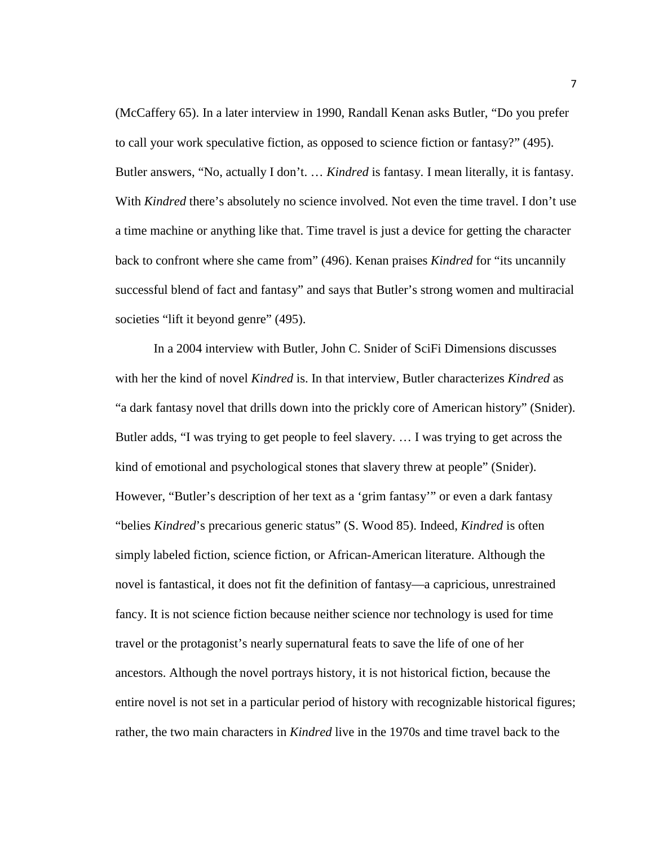(McCaffery 65). In a later interview in 1990, Randall Kenan asks Butler, "Do you prefer to call your work speculative fiction, as opposed to science fiction or fantasy?" (495). Butler answers, "No, actually I don't. … *Kindred* is fantasy. I mean literally, it is fantasy. With *Kindred* there's absolutely no science involved. Not even the time travel. I don't use a time machine or anything like that. Time travel is just a device for getting the character back to confront where she came from" (496). Kenan praises *Kindred* for "its uncannily successful blend of fact and fantasy" and says that Butler's strong women and multiracial societies "lift it beyond genre" (495).

In a 2004 interview with Butler, John C. Snider of SciFi Dimensions discusses with her the kind of novel *Kindred* is. In that interview, Butler characterizes *Kindred* as "a dark fantasy novel that drills down into the prickly core of American history" (Snider). Butler adds, "I was trying to get people to feel slavery. … I was trying to get across the kind of emotional and psychological stones that slavery threw at people" (Snider). However, "Butler's description of her text as a 'grim fantasy'" or even a dark fantasy "belies *Kindred*'s precarious generic status" (S. Wood 85). Indeed, *Kindred* is often simply labeled fiction, science fiction, or African-American literature. Although the novel is fantastical, it does not fit the definition of fantasy—a capricious, unrestrained fancy. It is not science fiction because neither science nor technology is used for time travel or the protagonist's nearly supernatural feats to save the life of one of her ancestors. Although the novel portrays history, it is not historical fiction, because the entire novel is not set in a particular period of history with recognizable historical figures; rather, the two main characters in *Kindred* live in the 1970s and time travel back to the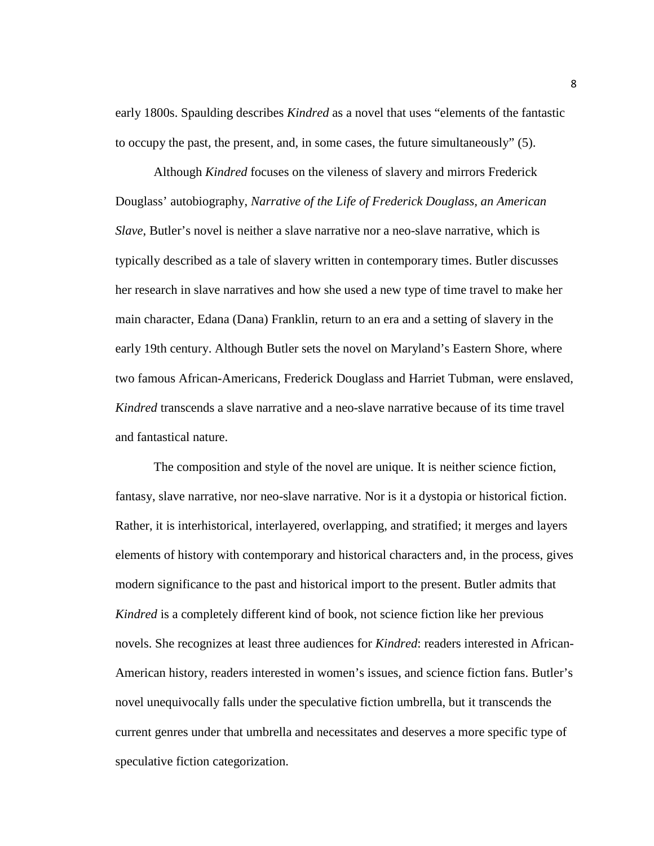early 1800s. Spaulding describes *Kindred* as a novel that uses "elements of the fantastic to occupy the past, the present, and, in some cases, the future simultaneously" (5).

Although *Kindred* focuses on the vileness of slavery and mirrors Frederick Douglass' autobiography, *Narrative of the Life of Frederick Douglass, an American Slave*, Butler's novel is neither a slave narrative nor a neo-slave narrative, which is typically described as a tale of slavery written in contemporary times. Butler discusses her research in slave narratives and how she used a new type of time travel to make her main character, Edana (Dana) Franklin, return to an era and a setting of slavery in the early 19th century. Although Butler sets the novel on Maryland's Eastern Shore, where two famous African-Americans, Frederick Douglass and Harriet Tubman, were enslaved, *Kindred* transcends a slave narrative and a neo-slave narrative because of its time travel and fantastical nature.

The composition and style of the novel are unique. It is neither science fiction, fantasy, slave narrative, nor neo-slave narrative. Nor is it a dystopia or historical fiction. Rather, it is interhistorical, interlayered, overlapping, and stratified; it merges and layers elements of history with contemporary and historical characters and, in the process, gives modern significance to the past and historical import to the present. Butler admits that *Kindred* is a completely different kind of book, not science fiction like her previous novels. She recognizes at least three audiences for *Kindred*: readers interested in African-American history, readers interested in women's issues, and science fiction fans. Butler's novel unequivocally falls under the speculative fiction umbrella, but it transcends the current genres under that umbrella and necessitates and deserves a more specific type of speculative fiction categorization.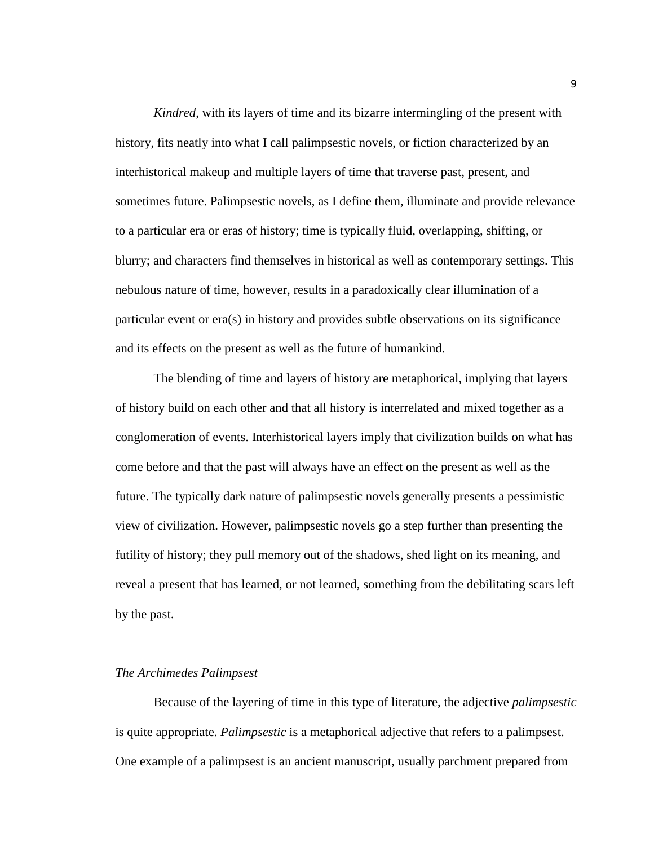*Kindred*, with its layers of time and its bizarre intermingling of the present with history, fits neatly into what I call palimpsestic novels, or fiction characterized by an interhistorical makeup and multiple layers of time that traverse past, present, and sometimes future. Palimpsestic novels, as I define them, illuminate and provide relevance to a particular era or eras of history; time is typically fluid, overlapping, shifting, or blurry; and characters find themselves in historical as well as contemporary settings. This nebulous nature of time, however, results in a paradoxically clear illumination of a particular event or era(s) in history and provides subtle observations on its significance and its effects on the present as well as the future of humankind.

The blending of time and layers of history are metaphorical, implying that layers of history build on each other and that all history is interrelated and mixed together as a conglomeration of events. Interhistorical layers imply that civilization builds on what has come before and that the past will always have an effect on the present as well as the future. The typically dark nature of palimpsestic novels generally presents a pessimistic view of civilization. However, palimpsestic novels go a step further than presenting the futility of history; they pull memory out of the shadows, shed light on its meaning, and reveal a present that has learned, or not learned, something from the debilitating scars left by the past.

# *The Archimedes Palimpsest*

Because of the layering of time in this type of literature, the adjective *palimpsestic* is quite appropriate. *Palimpsestic* is a metaphorical adjective that refers to a palimpsest. One example of a palimpsest is an ancient manuscript, usually parchment prepared from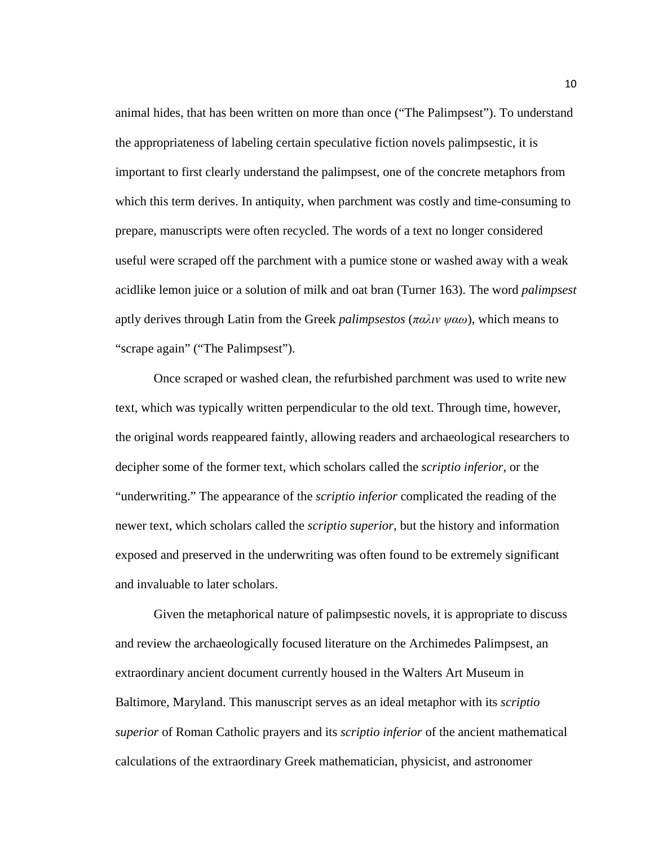animal hides, that has been written on more than once ("The Palimpsest"). To understand the appropriateness of labeling certain speculative fiction novels palimpsestic, it is important to first clearly understand the palimpsest, one of the concrete metaphors from which this term derives. In antiquity, when parchment was costly and time-consuming to prepare, manuscripts were often recycled. The words of a text no longer considered useful were scraped off the parchment with a pumice stone or washed away with a weak acidlike lemon juice or a solution of milk and oat bran (Turner 163). The word *palimpsest* aptly derives through Latin from the Greek *palimpsestos* (*παλιν ψαω*), which means to "scrape again" ("The Palimpsest").

Once scraped or washed clean, the refurbished parchment was used to write new text, which was typically written perpendicular to the old text. Through time, however, the original words reappeared faintly, allowing readers and archaeological researchers to decipher some of the former text, which scholars called the *scriptio inferior*, or the "underwriting." The appearance of the *scriptio inferior* complicated the reading of the newer text, which scholars called the *scriptio superior*, but the history and information exposed and preserved in the underwriting was often found to be extremely significant and invaluable to later scholars.

Given the metaphorical nature of palimpsestic novels, it is appropriate to discuss and review the archaeologically focused literature on the Archimedes Palimpsest, an extraordinary ancient document currently housed in the Walters Art Museum in Baltimore, Maryland. This manuscript serves as an ideal metaphor with its *scriptio superior* of Roman Catholic prayers and its *scriptio inferior* of the ancient mathematical calculations of the extraordinary Greek mathematician, physicist, and astronomer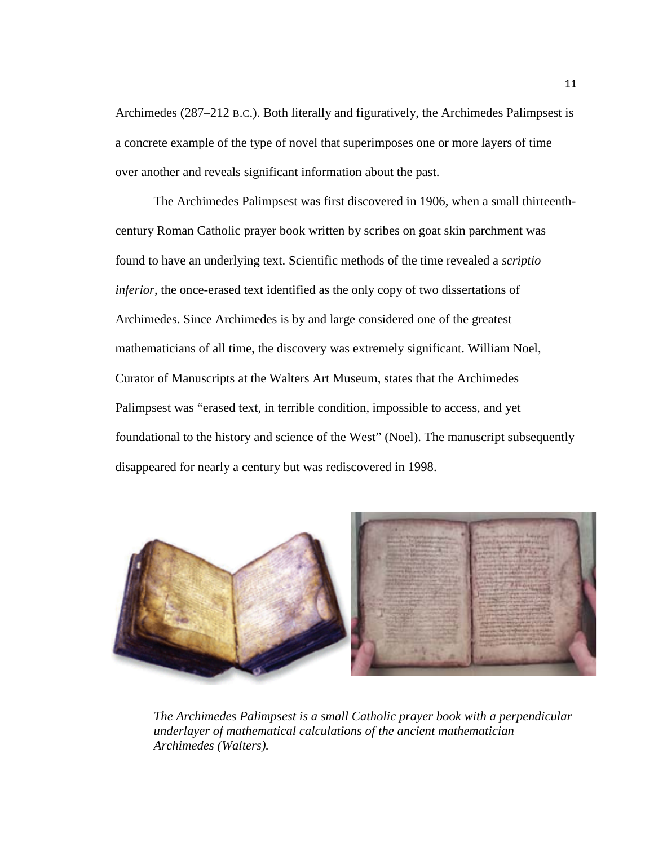Archimedes (287–212 B.C.). Both literally and figuratively, the Archimedes Palimpsest is a concrete example of the type of novel that superimposes one or more layers of time over another and reveals significant information about the past.

The Archimedes Palimpsest was first discovered in 1906, when a small thirteenthcentury Roman Catholic prayer book written by scribes on goat skin parchment was found to have an underlying text. Scientific methods of the time revealed a *scriptio inferior*, the once-erased text identified as the only copy of two dissertations of Archimedes. Since Archimedes is by and large considered one of the greatest mathematicians of all time, the discovery was extremely significant. William Noel, Curator of Manuscripts at the Walters Art Museum, states that the Archimedes Palimpsest was "erased text, in terrible condition, impossible to access, and yet foundational to the history and science of the West" (Noel). The manuscript subsequently disappeared for nearly a century but was rediscovered in 1998.



*The Archimedes Palimpsest is a small Catholic prayer book with a perpendicular underlayer of mathematical calculations of the ancient mathematician Archimedes (Walters).*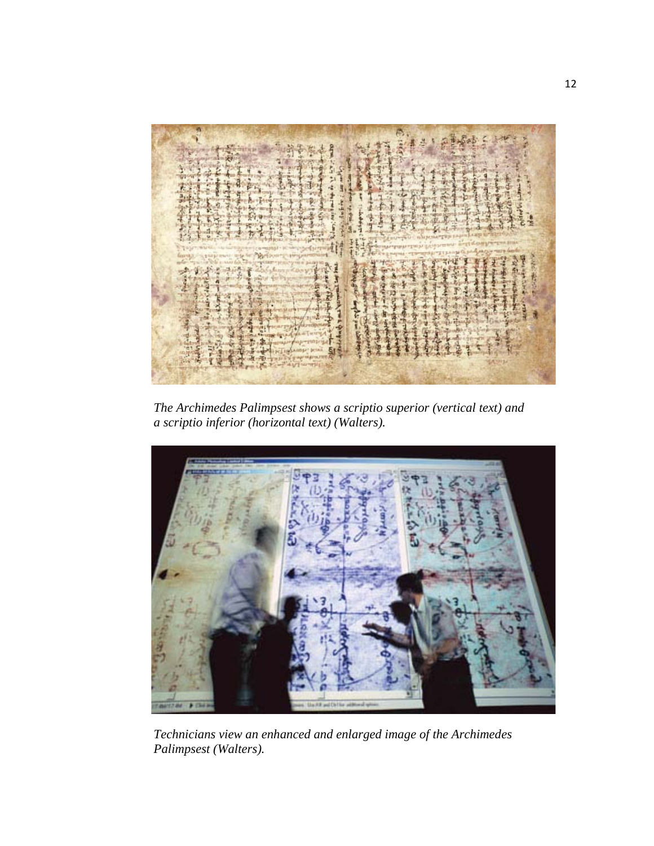

*The Archimedes Palimpsest shows a scriptio superior (vertical text) and a scriptio inferior (horizontal text) (Walters).*



*Technicians view an enhanced and enlarged image of the Archimedes Palimpsest (Walters).*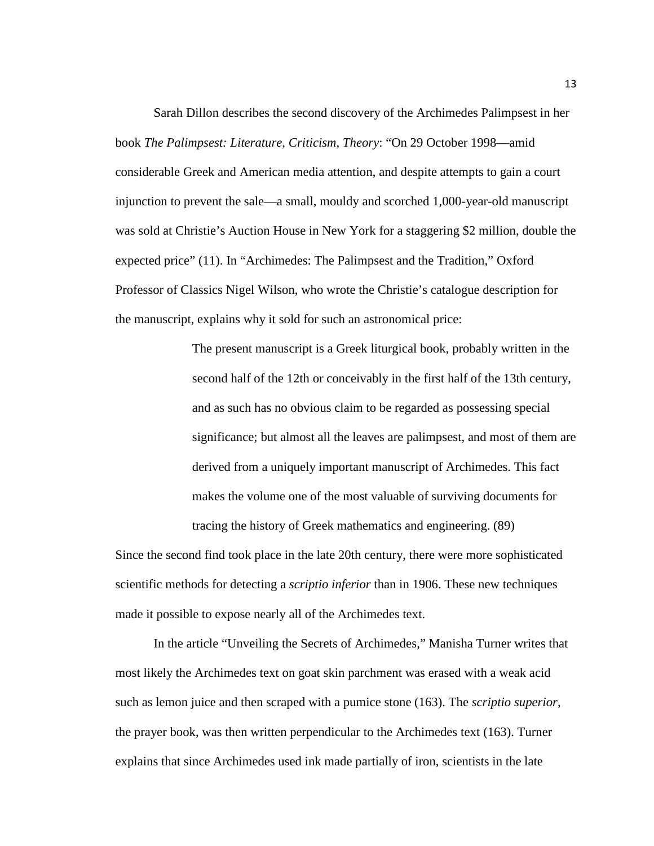Sarah Dillon describes the second discovery of the Archimedes Palimpsest in her book *The Palimpsest: Literature, Criticism, Theory*: "On 29 October 1998—amid considerable Greek and American media attention, and despite attempts to gain a court injunction to prevent the sale—a small, mouldy and scorched 1,000-year-old manuscript was sold at Christie's Auction House in New York for a staggering \$2 million, double the expected price" (11). In "Archimedes: The Palimpsest and the Tradition," Oxford Professor of Classics Nigel Wilson, who wrote the Christie's catalogue description for the manuscript, explains why it sold for such an astronomical price:

> The present manuscript is a Greek liturgical book, probably written in the second half of the 12th or conceivably in the first half of the 13th century, and as such has no obvious claim to be regarded as possessing special significance; but almost all the leaves are palimpsest, and most of them are derived from a uniquely important manuscript of Archimedes. This fact makes the volume one of the most valuable of surviving documents for tracing the history of Greek mathematics and engineering. (89)

Since the second find took place in the late 20th century, there were more sophisticated scientific methods for detecting a *scriptio inferior* than in 1906. These new techniques made it possible to expose nearly all of the Archimedes text.

In the article "Unveiling the Secrets of Archimedes," Manisha Turner writes that most likely the Archimedes text on goat skin parchment was erased with a weak acid such as lemon juice and then scraped with a pumice stone (163). The *scriptio superior*, the prayer book, was then written perpendicular to the Archimedes text (163). Turner explains that since Archimedes used ink made partially of iron, scientists in the late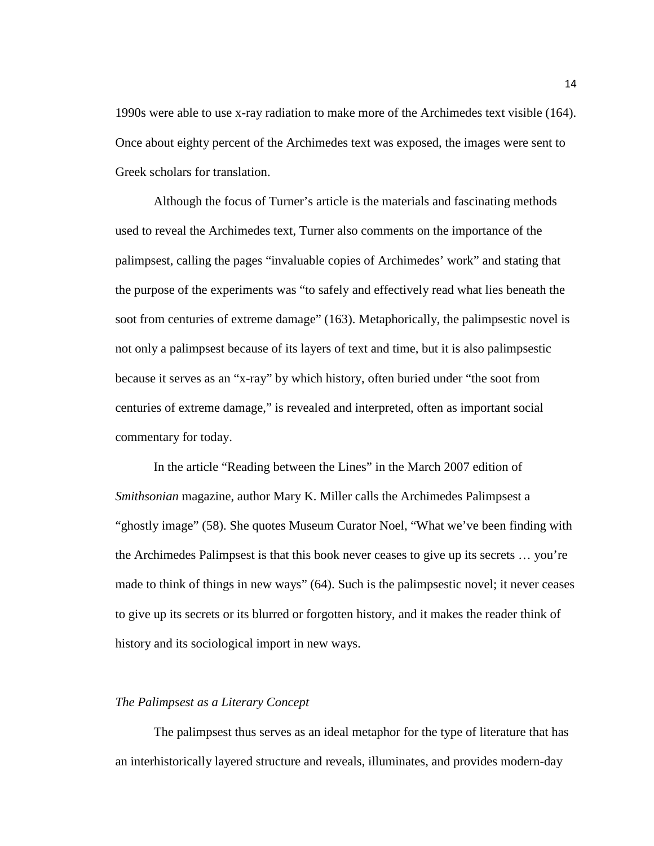1990s were able to use x-ray radiation to make more of the Archimedes text visible (164). Once about eighty percent of the Archimedes text was exposed, the images were sent to Greek scholars for translation.

Although the focus of Turner's article is the materials and fascinating methods used to reveal the Archimedes text, Turner also comments on the importance of the palimpsest, calling the pages "invaluable copies of Archimedes' work" and stating that the purpose of the experiments was "to safely and effectively read what lies beneath the soot from centuries of extreme damage" (163). Metaphorically, the palimpsestic novel is not only a palimpsest because of its layers of text and time, but it is also palimpsestic because it serves as an "x-ray" by which history, often buried under "the soot from centuries of extreme damage," is revealed and interpreted, often as important social commentary for today.

In the article "Reading between the Lines" in the March 2007 edition of *Smithsonian* magazine, author Mary K. Miller calls the Archimedes Palimpsest a "ghostly image" (58). She quotes Museum Curator Noel, "What we've been finding with the Archimedes Palimpsest is that this book never ceases to give up its secrets … you're made to think of things in new ways" (64). Such is the palimpsestic novel; it never ceases to give up its secrets or its blurred or forgotten history, and it makes the reader think of history and its sociological import in new ways.

### *The Palimpsest as a Literary Concept*

The palimpsest thus serves as an ideal metaphor for the type of literature that has an interhistorically layered structure and reveals, illuminates, and provides modern-day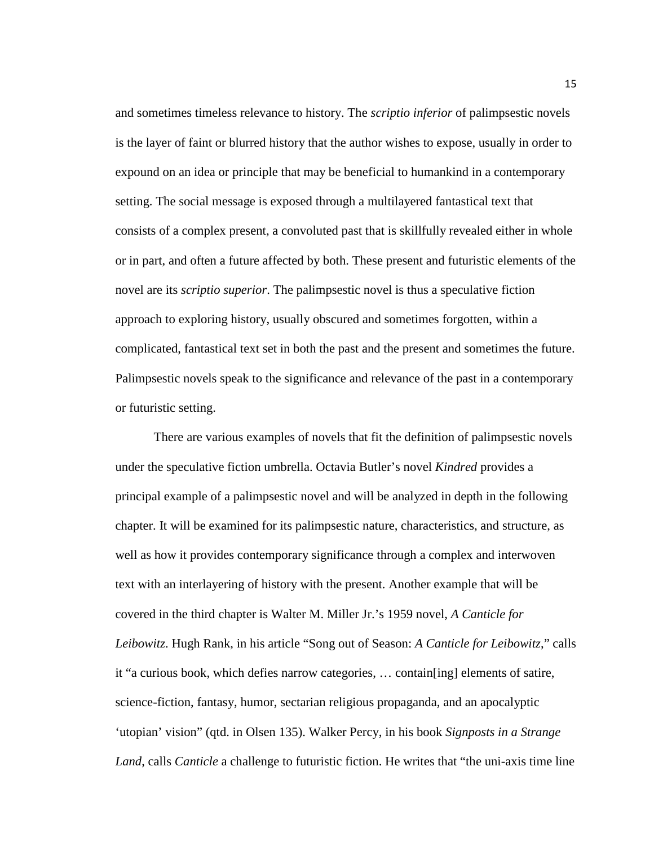and sometimes timeless relevance to history. The *scriptio inferior* of palimpsestic novels is the layer of faint or blurred history that the author wishes to expose, usually in order to expound on an idea or principle that may be beneficial to humankind in a contemporary setting. The social message is exposed through a multilayered fantastical text that consists of a complex present, a convoluted past that is skillfully revealed either in whole or in part, and often a future affected by both. These present and futuristic elements of the novel are its *scriptio superior*. The palimpsestic novel is thus a speculative fiction approach to exploring history, usually obscured and sometimes forgotten, within a complicated, fantastical text set in both the past and the present and sometimes the future. Palimpsestic novels speak to the significance and relevance of the past in a contemporary or futuristic setting.

There are various examples of novels that fit the definition of palimpsestic novels under the speculative fiction umbrella. Octavia Butler's novel *Kindred* provides a principal example of a palimpsestic novel and will be analyzed in depth in the following chapter. It will be examined for its palimpsestic nature, characteristics, and structure, as well as how it provides contemporary significance through a complex and interwoven text with an interlayering of history with the present. Another example that will be covered in the third chapter is Walter M. Miller Jr.'s 1959 novel, *A Canticle for Leibowitz*. Hugh Rank, in his article "Song out of Season: *A Canticle for Leibowitz*," calls it "a curious book, which defies narrow categories, … contain[ing] elements of satire, science-fiction, fantasy, humor, sectarian religious propaganda, and an apocalyptic 'utopian' vision" (qtd. in Olsen 135). Walker Percy, in his book *Signposts in a Strange Land*, calls *Canticle* a challenge to futuristic fiction. He writes that "the uni-axis time line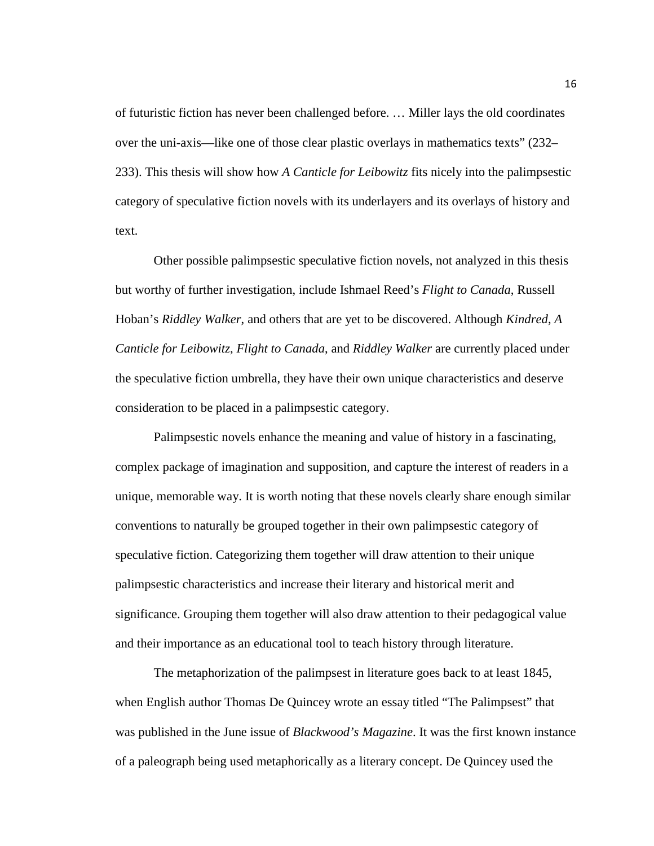of futuristic fiction has never been challenged before. … Miller lays the old coordinates over the uni-axis—like one of those clear plastic overlays in mathematics texts" (232– 233). This thesis will show how *A Canticle for Leibowitz* fits nicely into the palimpsestic category of speculative fiction novels with its underlayers and its overlays of history and text.

Other possible palimpsestic speculative fiction novels, not analyzed in this thesis but worthy of further investigation, include Ishmael Reed's *Flight to Canada*, Russell Hoban's *Riddley Walker*, and others that are yet to be discovered. Although *Kindred*, *A Canticle for Leibowitz*, *Flight to Canada*, and *Riddley Walker* are currently placed under the speculative fiction umbrella, they have their own unique characteristics and deserve consideration to be placed in a palimpsestic category.

Palimpsestic novels enhance the meaning and value of history in a fascinating, complex package of imagination and supposition, and capture the interest of readers in a unique, memorable way. It is worth noting that these novels clearly share enough similar conventions to naturally be grouped together in their own palimpsestic category of speculative fiction. Categorizing them together will draw attention to their unique palimpsestic characteristics and increase their literary and historical merit and significance. Grouping them together will also draw attention to their pedagogical value and their importance as an educational tool to teach history through literature.

The metaphorization of the palimpsest in literature goes back to at least 1845, when English author Thomas De Quincey wrote an essay titled "The Palimpsest" that was published in the June issue of *Blackwood's Magazine*. It was the first known instance of a paleograph being used metaphorically as a literary concept. De Quincey used the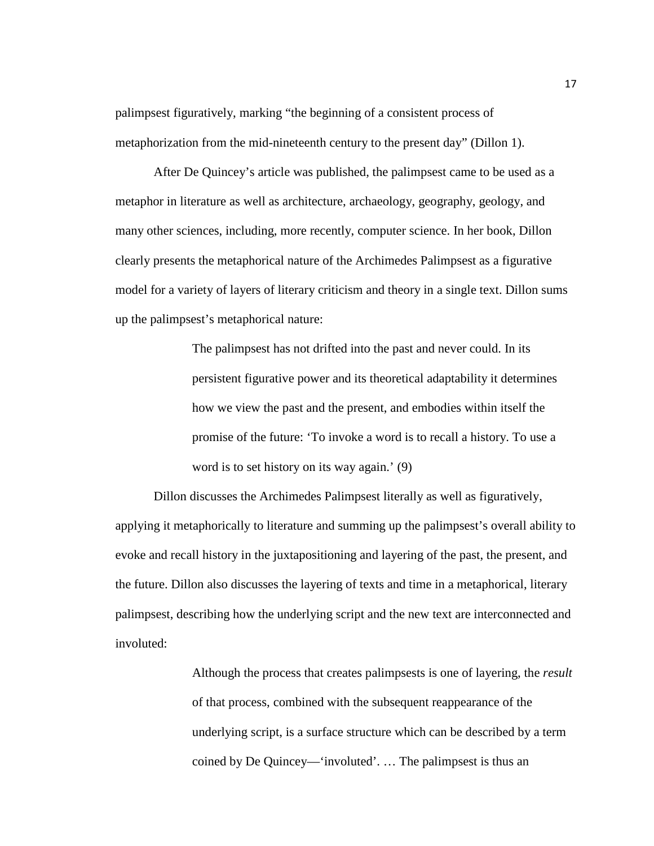palimpsest figuratively, marking "the beginning of a consistent process of metaphorization from the mid-nineteenth century to the present day" (Dillon 1).

After De Quincey's article was published, the palimpsest came to be used as a metaphor in literature as well as architecture, archaeology, geography, geology, and many other sciences, including, more recently, computer science. In her book, Dillon clearly presents the metaphorical nature of the Archimedes Palimpsest as a figurative model for a variety of layers of literary criticism and theory in a single text. Dillon sums up the palimpsest's metaphorical nature:

> The palimpsest has not drifted into the past and never could. In its persistent figurative power and its theoretical adaptability it determines how we view the past and the present, and embodies within itself the promise of the future: 'To invoke a word is to recall a history. To use a word is to set history on its way again.' (9)

Dillon discusses the Archimedes Palimpsest literally as well as figuratively, applying it metaphorically to literature and summing up the palimpsest's overall ability to evoke and recall history in the juxtapositioning and layering of the past, the present, and the future. Dillon also discusses the layering of texts and time in a metaphorical, literary palimpsest, describing how the underlying script and the new text are interconnected and involuted:

> Although the process that creates palimpsests is one of layering, the *result* of that process, combined with the subsequent reappearance of the underlying script, is a surface structure which can be described by a term coined by De Quincey—'involuted'. … The palimpsest is thus an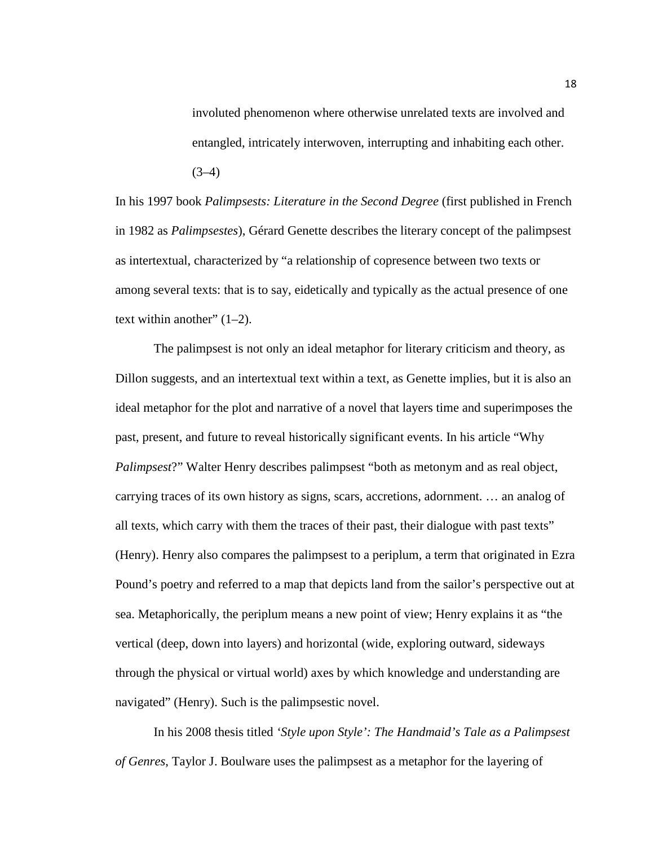involuted phenomenon where otherwise unrelated texts are involved and entangled, intricately interwoven, interrupting and inhabiting each other.  $(3-4)$ 

In his 1997 book *Palimpsests: Literature in the Second Degree* (first published in French in 1982 as *Palimpsestes*), Gérard Genette describes the literary concept of the palimpsest as intertextual, characterized by "a relationship of copresence between two texts or among several texts: that is to say, eidetically and typically as the actual presence of one text within another"  $(1-2)$ .

The palimpsest is not only an ideal metaphor for literary criticism and theory, as Dillon suggests, and an intertextual text within a text, as Genette implies, but it is also an ideal metaphor for the plot and narrative of a novel that layers time and superimposes the past, present, and future to reveal historically significant events. In his article "Why *Palimpsest*?" Walter Henry describes palimpsest "both as metonym and as real object, carrying traces of its own history as signs, scars, accretions, adornment. … an analog of all texts, which carry with them the traces of their past, their dialogue with past texts" (Henry). Henry also compares the palimpsest to a periplum, a term that originated in Ezra Pound's poetry and referred to a map that depicts land from the sailor's perspective out at sea. Metaphorically, the periplum means a new point of view; Henry explains it as "the vertical (deep, down into layers) and horizontal (wide, exploring outward, sideways through the physical or virtual world) axes by which knowledge and understanding are navigated" (Henry). Such is the palimpsestic novel.

In his 2008 thesis titled *'Style upon Style': The Handmaid's Tale as a Palimpsest of Genres*, Taylor J. Boulware uses the palimpsest as a metaphor for the layering of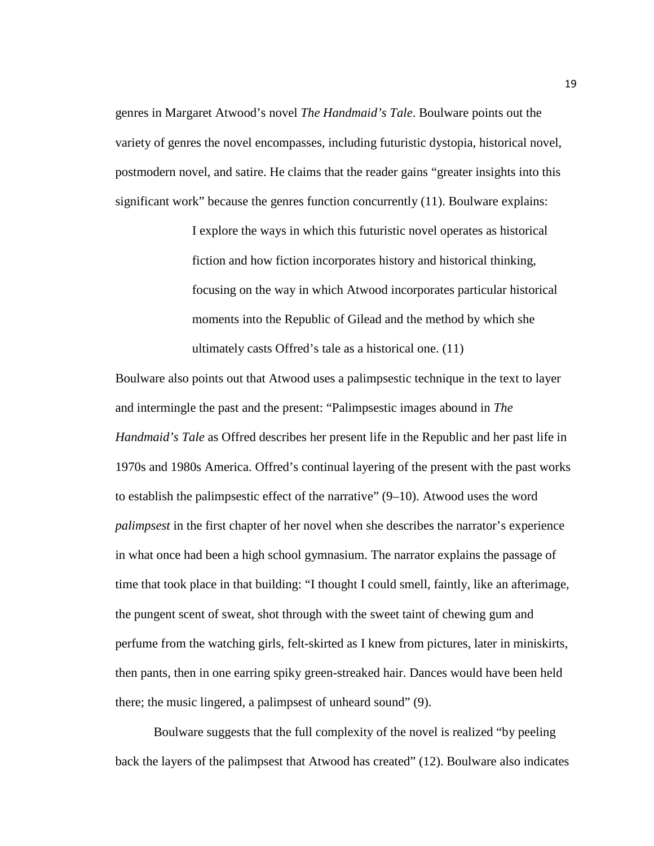genres in Margaret Atwood's novel *The Handmaid's Tale*. Boulware points out the variety of genres the novel encompasses, including futuristic dystopia, historical novel, postmodern novel, and satire. He claims that the reader gains "greater insights into this significant work" because the genres function concurrently (11). Boulware explains:

> I explore the ways in which this futuristic novel operates as historical fiction and how fiction incorporates history and historical thinking, focusing on the way in which Atwood incorporates particular historical moments into the Republic of Gilead and the method by which she ultimately casts Offred's tale as a historical one. (11)

Boulware also points out that Atwood uses a palimpsestic technique in the text to layer and intermingle the past and the present: "Palimpsestic images abound in *The Handmaid's Tale* as Offred describes her present life in the Republic and her past life in 1970s and 1980s America. Offred's continual layering of the present with the past works to establish the palimpsestic effect of the narrative" (9–10). Atwood uses the word *palimpsest* in the first chapter of her novel when she describes the narrator's experience in what once had been a high school gymnasium. The narrator explains the passage of time that took place in that building: "I thought I could smell, faintly, like an afterimage, the pungent scent of sweat, shot through with the sweet taint of chewing gum and perfume from the watching girls, felt-skirted as I knew from pictures, later in miniskirts, then pants, then in one earring spiky green-streaked hair. Dances would have been held there; the music lingered, a palimpsest of unheard sound" (9).

Boulware suggests that the full complexity of the novel is realized "by peeling back the layers of the palimpsest that Atwood has created" (12). Boulware also indicates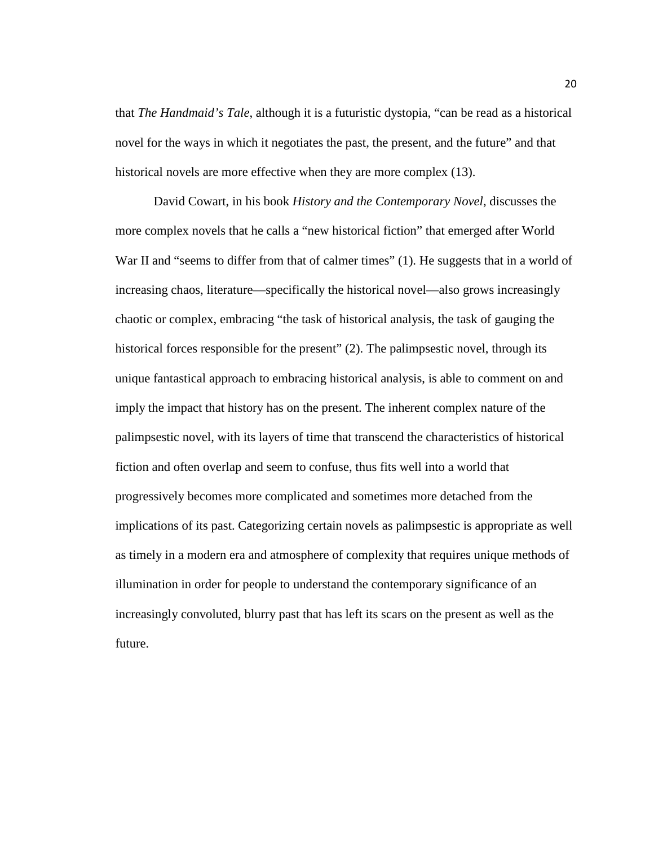that *The Handmaid's Tale*, although it is a futuristic dystopia, "can be read as a historical novel for the ways in which it negotiates the past, the present, and the future" and that historical novels are more effective when they are more complex (13).

David Cowart, in his book *History and the Contemporary Novel*, discusses the more complex novels that he calls a "new historical fiction" that emerged after World War II and "seems to differ from that of calmer times" (1). He suggests that in a world of increasing chaos, literature—specifically the historical novel—also grows increasingly chaotic or complex, embracing "the task of historical analysis, the task of gauging the historical forces responsible for the present" (2). The palimpsestic novel, through its unique fantastical approach to embracing historical analysis, is able to comment on and imply the impact that history has on the present. The inherent complex nature of the palimpsestic novel, with its layers of time that transcend the characteristics of historical fiction and often overlap and seem to confuse, thus fits well into a world that progressively becomes more complicated and sometimes more detached from the implications of its past. Categorizing certain novels as palimpsestic is appropriate as well as timely in a modern era and atmosphere of complexity that requires unique methods of illumination in order for people to understand the contemporary significance of an increasingly convoluted, blurry past that has left its scars on the present as well as the future.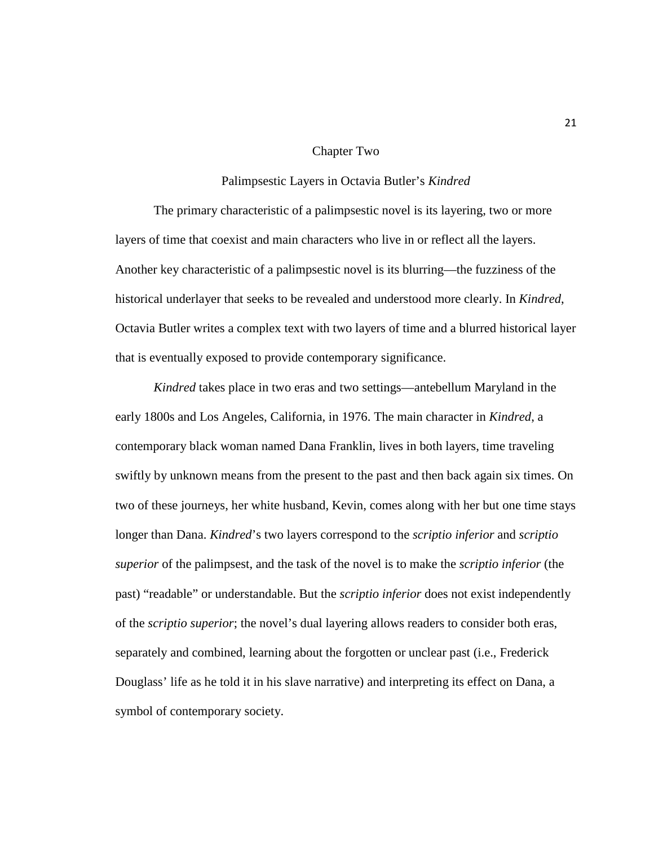#### Chapter Two

#### Palimpsestic Layers in Octavia Butler's *Kindred*

The primary characteristic of a palimpsestic novel is its layering, two or more layers of time that coexist and main characters who live in or reflect all the layers. Another key characteristic of a palimpsestic novel is its blurring—the fuzziness of the historical underlayer that seeks to be revealed and understood more clearly. In *Kindred*, Octavia Butler writes a complex text with two layers of time and a blurred historical layer that is eventually exposed to provide contemporary significance.

*Kindred* takes place in two eras and two settings—antebellum Maryland in the early 1800s and Los Angeles, California, in 1976. The main character in *Kindred*, a contemporary black woman named Dana Franklin, lives in both layers, time traveling swiftly by unknown means from the present to the past and then back again six times. On two of these journeys, her white husband, Kevin, comes along with her but one time stays longer than Dana. *Kindred*'s two layers correspond to the *scriptio inferior* and *scriptio superior* of the palimpsest, and the task of the novel is to make the *scriptio inferior* (the past) "readable" or understandable. But the *scriptio inferior* does not exist independently of the *scriptio superior*; the novel's dual layering allows readers to consider both eras, separately and combined, learning about the forgotten or unclear past (i.e., Frederick Douglass' life as he told it in his slave narrative) and interpreting its effect on Dana, a symbol of contemporary society.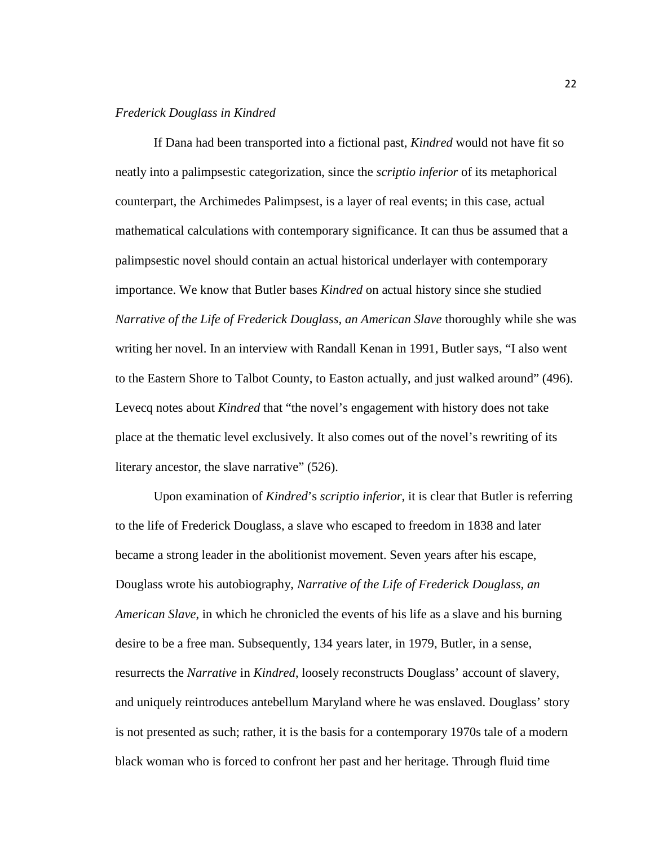# *Frederick Douglass in Kindred*

If Dana had been transported into a fictional past, *Kindred* would not have fit so neatly into a palimpsestic categorization, since the *scriptio inferior* of its metaphorical counterpart, the Archimedes Palimpsest, is a layer of real events; in this case, actual mathematical calculations with contemporary significance. It can thus be assumed that a palimpsestic novel should contain an actual historical underlayer with contemporary importance. We know that Butler bases *Kindred* on actual history since she studied *Narrative of the Life of Frederick Douglass, an American Slave* thoroughly while she was writing her novel. In an interview with Randall Kenan in 1991, Butler says, "I also went to the Eastern Shore to Talbot County, to Easton actually, and just walked around" (496). Levecq notes about *Kindred* that "the novel's engagement with history does not take place at the thematic level exclusively. It also comes out of the novel's rewriting of its literary ancestor, the slave narrative" (526).

Upon examination of *Kindred*'s *scriptio inferior*, it is clear that Butler is referring to the life of Frederick Douglass, a slave who escaped to freedom in 1838 and later became a strong leader in the abolitionist movement. Seven years after his escape, Douglass wrote his autobiography, *Narrative of the Life of Frederick Douglass, an American Slave*, in which he chronicled the events of his life as a slave and his burning desire to be a free man. Subsequently, 134 years later, in 1979, Butler, in a sense, resurrects the *Narrative* in *Kindred*, loosely reconstructs Douglass' account of slavery, and uniquely reintroduces antebellum Maryland where he was enslaved. Douglass' story is not presented as such; rather, it is the basis for a contemporary 1970s tale of a modern black woman who is forced to confront her past and her heritage. Through fluid time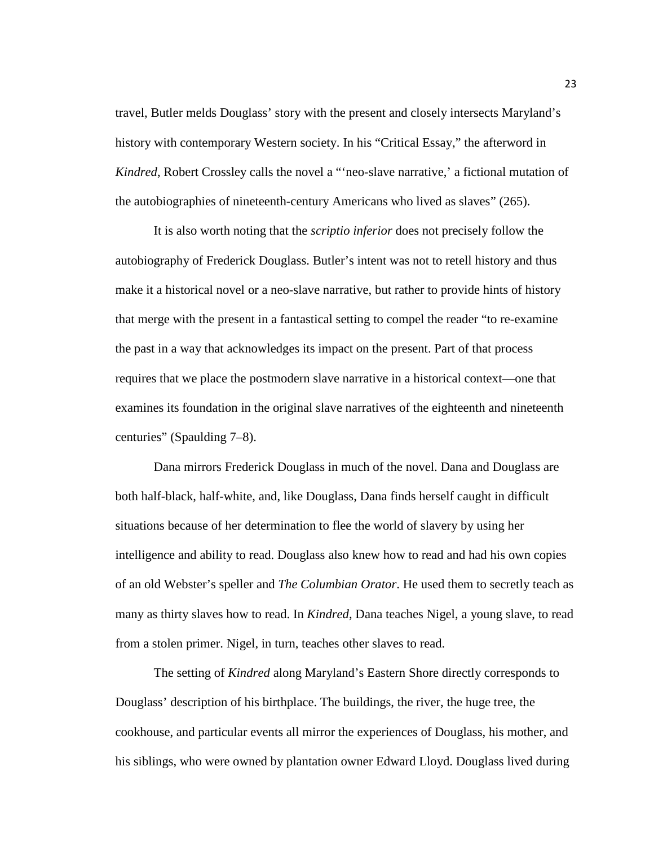travel, Butler melds Douglass' story with the present and closely intersects Maryland's history with contemporary Western society. In his "Critical Essay," the afterword in *Kindred*, Robert Crossley calls the novel a "'neo-slave narrative,' a fictional mutation of the autobiographies of nineteenth-century Americans who lived as slaves" (265).

It is also worth noting that the *scriptio inferior* does not precisely follow the autobiography of Frederick Douglass. Butler's intent was not to retell history and thus make it a historical novel or a neo-slave narrative, but rather to provide hints of history that merge with the present in a fantastical setting to compel the reader "to re-examine the past in a way that acknowledges its impact on the present. Part of that process requires that we place the postmodern slave narrative in a historical context—one that examines its foundation in the original slave narratives of the eighteenth and nineteenth centuries" (Spaulding 7–8).

Dana mirrors Frederick Douglass in much of the novel. Dana and Douglass are both half-black, half-white, and, like Douglass, Dana finds herself caught in difficult situations because of her determination to flee the world of slavery by using her intelligence and ability to read. Douglass also knew how to read and had his own copies of an old Webster's speller and *The Columbian Orator*. He used them to secretly teach as many as thirty slaves how to read. In *Kindred*, Dana teaches Nigel, a young slave, to read from a stolen primer. Nigel, in turn, teaches other slaves to read.

The setting of *Kindred* along Maryland's Eastern Shore directly corresponds to Douglass' description of his birthplace. The buildings, the river, the huge tree, the cookhouse, and particular events all mirror the experiences of Douglass, his mother, and his siblings, who were owned by plantation owner Edward Lloyd. Douglass lived during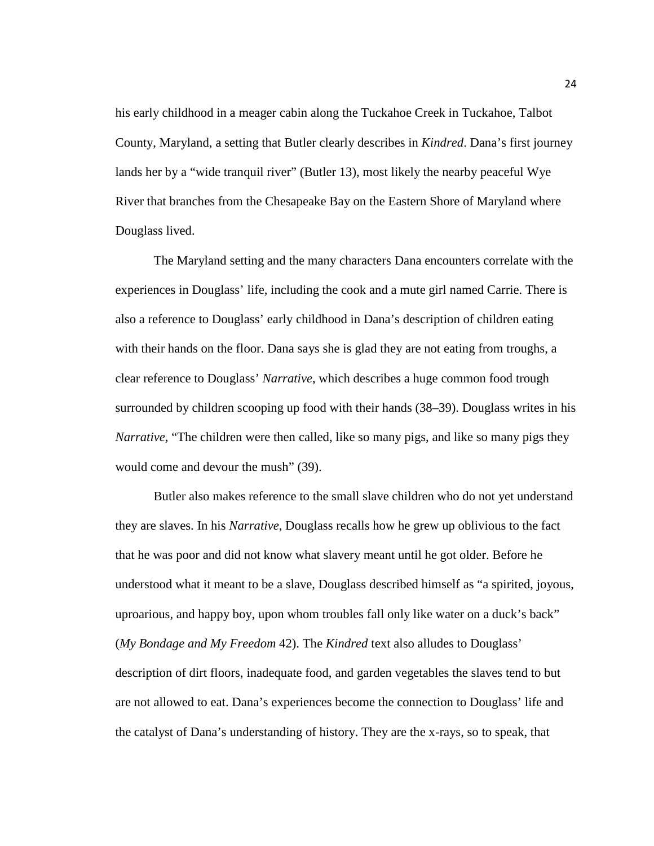his early childhood in a meager cabin along the Tuckahoe Creek in Tuckahoe, Talbot County, Maryland, a setting that Butler clearly describes in *Kindred*. Dana's first journey lands her by a "wide tranquil river" (Butler 13), most likely the nearby peaceful Wye River that branches from the Chesapeake Bay on the Eastern Shore of Maryland where Douglass lived.

The Maryland setting and the many characters Dana encounters correlate with the experiences in Douglass' life, including the cook and a mute girl named Carrie. There is also a reference to Douglass' early childhood in Dana's description of children eating with their hands on the floor. Dana says she is glad they are not eating from troughs, a clear reference to Douglass' *Narrative*, which describes a huge common food trough surrounded by children scooping up food with their hands (38–39). Douglass writes in his *Narrative*, "The children were then called, like so many pigs, and like so many pigs they would come and devour the mush" (39).

Butler also makes reference to the small slave children who do not yet understand they are slaves. In his *Narrative*, Douglass recalls how he grew up oblivious to the fact that he was poor and did not know what slavery meant until he got older. Before he understood what it meant to be a slave, Douglass described himself as "a spirited, joyous, uproarious, and happy boy, upon whom troubles fall only like water on a duck's back" (*My Bondage and My Freedom* 42). The *Kindred* text also alludes to Douglass' description of dirt floors, inadequate food, and garden vegetables the slaves tend to but are not allowed to eat. Dana's experiences become the connection to Douglass' life and the catalyst of Dana's understanding of history. They are the x-rays, so to speak, that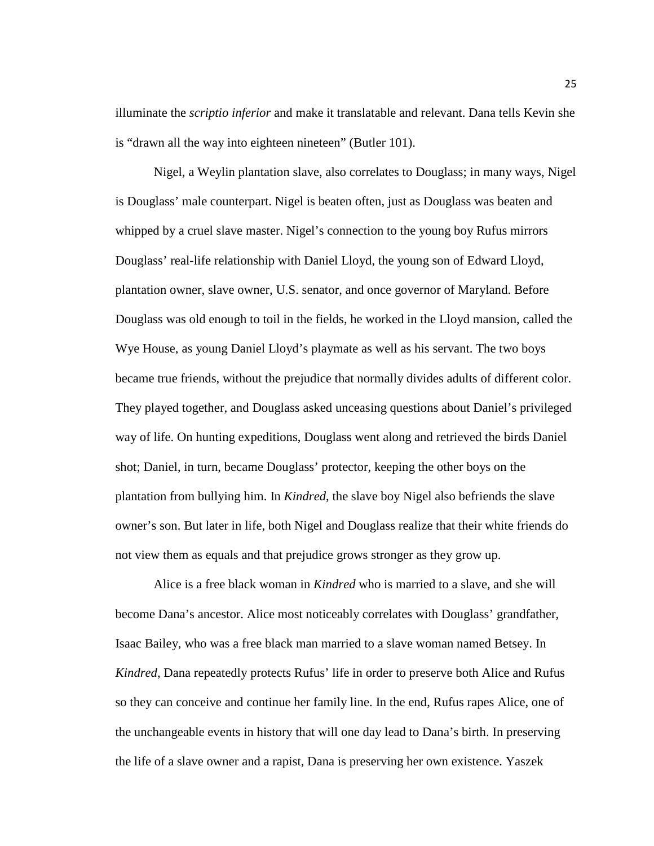illuminate the *scriptio inferior* and make it translatable and relevant. Dana tells Kevin she is "drawn all the way into eighteen nineteen" (Butler 101).

Nigel, a Weylin plantation slave, also correlates to Douglass; in many ways, Nigel is Douglass' male counterpart. Nigel is beaten often, just as Douglass was beaten and whipped by a cruel slave master. Nigel's connection to the young boy Rufus mirrors Douglass' real-life relationship with Daniel Lloyd, the young son of Edward Lloyd, plantation owner, slave owner, U.S. senator, and once governor of Maryland. Before Douglass was old enough to toil in the fields, he worked in the Lloyd mansion, called the Wye House, as young Daniel Lloyd's playmate as well as his servant. The two boys became true friends, without the prejudice that normally divides adults of different color. They played together, and Douglass asked unceasing questions about Daniel's privileged way of life. On hunting expeditions, Douglass went along and retrieved the birds Daniel shot; Daniel, in turn, became Douglass' protector, keeping the other boys on the plantation from bullying him. In *Kindred*, the slave boy Nigel also befriends the slave owner's son. But later in life, both Nigel and Douglass realize that their white friends do not view them as equals and that prejudice grows stronger as they grow up.

Alice is a free black woman in *Kindred* who is married to a slave, and she will become Dana's ancestor. Alice most noticeably correlates with Douglass' grandfather, Isaac Bailey, who was a free black man married to a slave woman named Betsey. In *Kindred*, Dana repeatedly protects Rufus' life in order to preserve both Alice and Rufus so they can conceive and continue her family line. In the end, Rufus rapes Alice, one of the unchangeable events in history that will one day lead to Dana's birth. In preserving the life of a slave owner and a rapist, Dana is preserving her own existence. Yaszek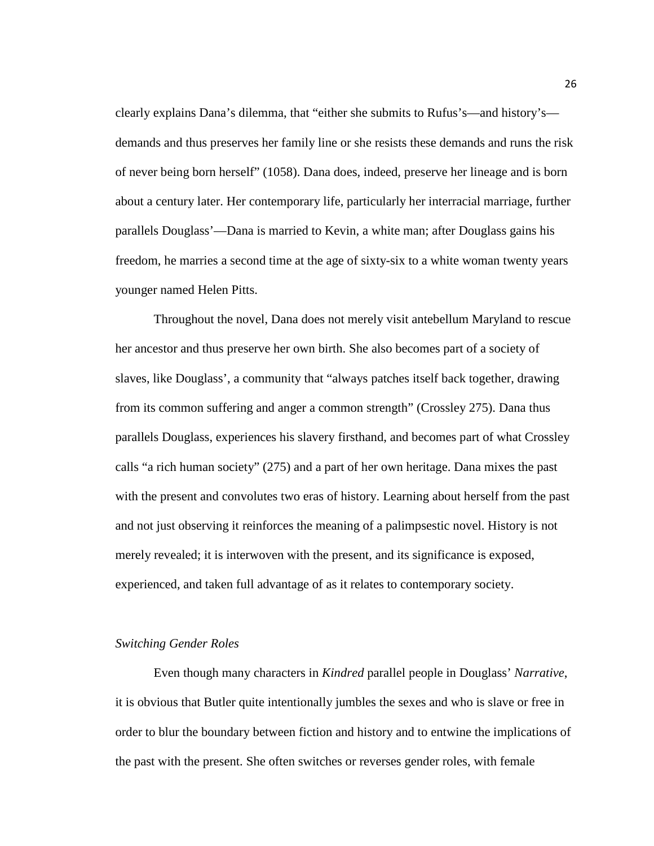clearly explains Dana's dilemma, that "either she submits to Rufus's—and history's demands and thus preserves her family line or she resists these demands and runs the risk of never being born herself" (1058). Dana does, indeed, preserve her lineage and is born about a century later. Her contemporary life, particularly her interracial marriage, further parallels Douglass'—Dana is married to Kevin, a white man; after Douglass gains his freedom, he marries a second time at the age of sixty-six to a white woman twenty years younger named Helen Pitts.

Throughout the novel, Dana does not merely visit antebellum Maryland to rescue her ancestor and thus preserve her own birth. She also becomes part of a society of slaves, like Douglass', a community that "always patches itself back together, drawing from its common suffering and anger a common strength" (Crossley 275). Dana thus parallels Douglass, experiences his slavery firsthand, and becomes part of what Crossley calls "a rich human society" (275) and a part of her own heritage. Dana mixes the past with the present and convolutes two eras of history. Learning about herself from the past and not just observing it reinforces the meaning of a palimpsestic novel. History is not merely revealed; it is interwoven with the present, and its significance is exposed, experienced, and taken full advantage of as it relates to contemporary society.

#### *Switching Gender Roles*

Even though many characters in *Kindred* parallel people in Douglass' *Narrative*, it is obvious that Butler quite intentionally jumbles the sexes and who is slave or free in order to blur the boundary between fiction and history and to entwine the implications of the past with the present. She often switches or reverses gender roles, with female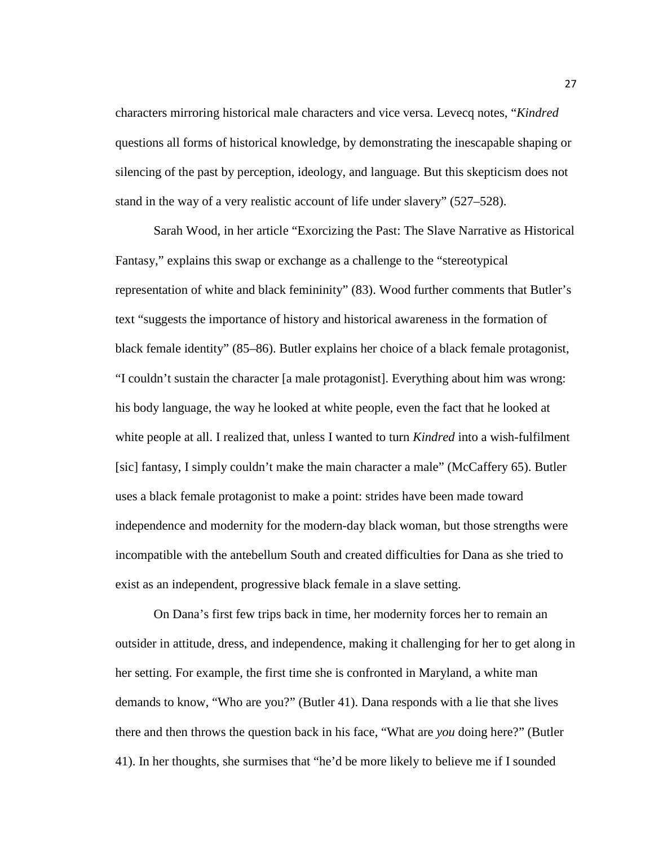characters mirroring historical male characters and vice versa. Levecq notes, "*Kindred* questions all forms of historical knowledge, by demonstrating the inescapable shaping or silencing of the past by perception, ideology, and language. But this skepticism does not stand in the way of a very realistic account of life under slavery" (527–528).

Sarah Wood, in her article "Exorcizing the Past: The Slave Narrative as Historical Fantasy," explains this swap or exchange as a challenge to the "stereotypical representation of white and black femininity" (83). Wood further comments that Butler's text "suggests the importance of history and historical awareness in the formation of black female identity" (85–86). Butler explains her choice of a black female protagonist, "I couldn't sustain the character [a male protagonist]. Everything about him was wrong: his body language, the way he looked at white people, even the fact that he looked at white people at all. I realized that, unless I wanted to turn *Kindred* into a wish-fulfilment [sic] fantasy, I simply couldn't make the main character a male" (McCaffery 65). Butler uses a black female protagonist to make a point: strides have been made toward independence and modernity for the modern-day black woman, but those strengths were incompatible with the antebellum South and created difficulties for Dana as she tried to exist as an independent, progressive black female in a slave setting.

On Dana's first few trips back in time, her modernity forces her to remain an outsider in attitude, dress, and independence, making it challenging for her to get along in her setting. For example, the first time she is confronted in Maryland, a white man demands to know, "Who are you?" (Butler 41). Dana responds with a lie that she lives there and then throws the question back in his face, "What are *you* doing here?" (Butler 41). In her thoughts, she surmises that "he'd be more likely to believe me if I sounded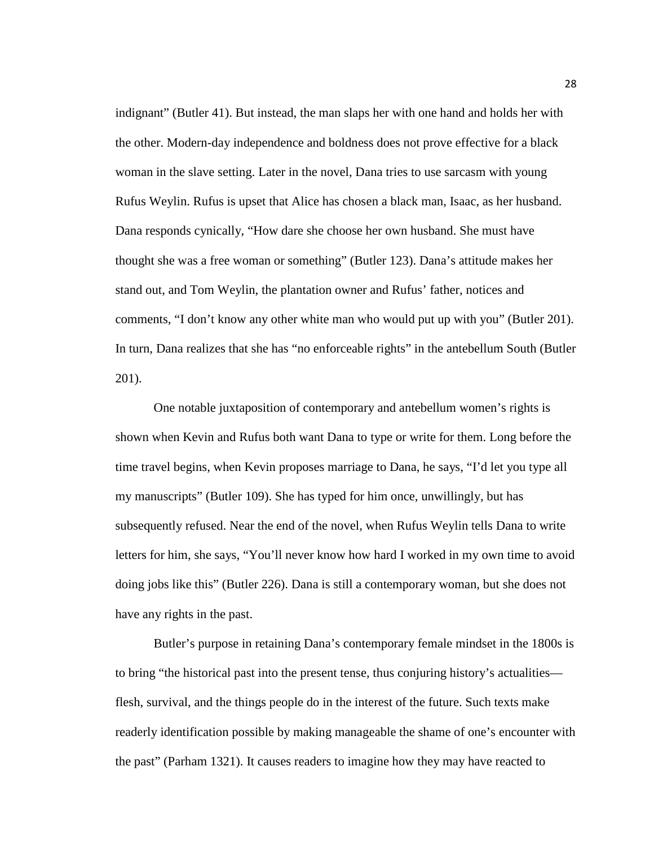indignant" (Butler 41). But instead, the man slaps her with one hand and holds her with the other. Modern-day independence and boldness does not prove effective for a black woman in the slave setting. Later in the novel, Dana tries to use sarcasm with young Rufus Weylin. Rufus is upset that Alice has chosen a black man, Isaac, as her husband. Dana responds cynically, "How dare she choose her own husband. She must have thought she was a free woman or something" (Butler 123). Dana's attitude makes her stand out, and Tom Weylin, the plantation owner and Rufus' father, notices and comments, "I don't know any other white man who would put up with you" (Butler 201). In turn, Dana realizes that she has "no enforceable rights" in the antebellum South (Butler 201).

One notable juxtaposition of contemporary and antebellum women's rights is shown when Kevin and Rufus both want Dana to type or write for them. Long before the time travel begins, when Kevin proposes marriage to Dana, he says, "I'd let you type all my manuscripts" (Butler 109). She has typed for him once, unwillingly, but has subsequently refused. Near the end of the novel, when Rufus Weylin tells Dana to write letters for him, she says, "You'll never know how hard I worked in my own time to avoid doing jobs like this" (Butler 226). Dana is still a contemporary woman, but she does not have any rights in the past.

Butler's purpose in retaining Dana's contemporary female mindset in the 1800s is to bring "the historical past into the present tense, thus conjuring history's actualities flesh, survival, and the things people do in the interest of the future. Such texts make readerly identification possible by making manageable the shame of one's encounter with the past" (Parham 1321). It causes readers to imagine how they may have reacted to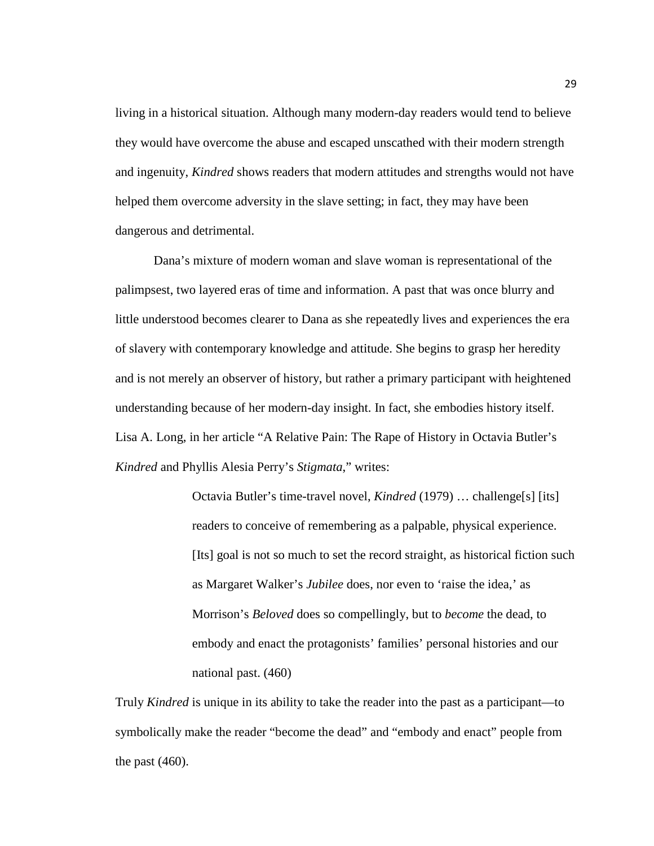living in a historical situation. Although many modern-day readers would tend to believe they would have overcome the abuse and escaped unscathed with their modern strength and ingenuity, *Kindred* shows readers that modern attitudes and strengths would not have helped them overcome adversity in the slave setting; in fact, they may have been dangerous and detrimental.

Dana's mixture of modern woman and slave woman is representational of the palimpsest, two layered eras of time and information. A past that was once blurry and little understood becomes clearer to Dana as she repeatedly lives and experiences the era of slavery with contemporary knowledge and attitude. She begins to grasp her heredity and is not merely an observer of history, but rather a primary participant with heightened understanding because of her modern-day insight. In fact, she embodies history itself. Lisa A. Long, in her article "A Relative Pain: The Rape of History in Octavia Butler's *Kindred* and Phyllis Alesia Perry's *Stigmata*," writes:

> Octavia Butler's time-travel novel, *Kindred* (1979) … challenge[s] [its] readers to conceive of remembering as a palpable, physical experience. [Its] goal is not so much to set the record straight, as historical fiction such as Margaret Walker's *Jubilee* does, nor even to 'raise the idea,' as Morrison's *Beloved* does so compellingly, but to *become* the dead, to embody and enact the protagonists' families' personal histories and our national past. (460)

Truly *Kindred* is unique in its ability to take the reader into the past as a participant—to symbolically make the reader "become the dead" and "embody and enact" people from the past (460).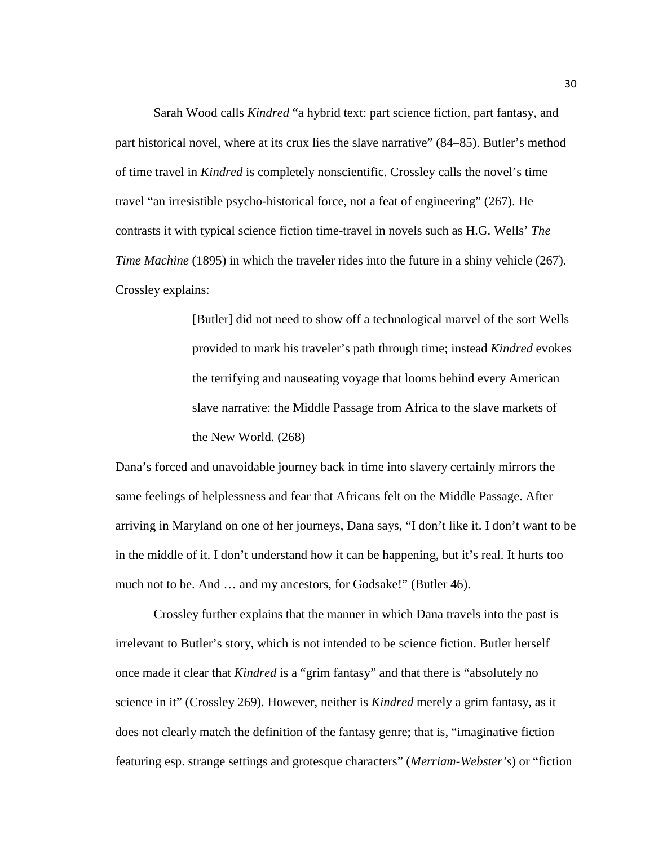Sarah Wood calls *Kindred* "a hybrid text: part science fiction, part fantasy, and part historical novel, where at its crux lies the slave narrative" (84–85). Butler's method of time travel in *Kindred* is completely nonscientific. Crossley calls the novel's time travel "an irresistible psycho-historical force, not a feat of engineering" (267). He contrasts it with typical science fiction time-travel in novels such as H.G. Wells' *The Time Machine* (1895) in which the traveler rides into the future in a shiny vehicle (267). Crossley explains:

> [Butler] did not need to show off a technological marvel of the sort Wells provided to mark his traveler's path through time; instead *Kindred* evokes the terrifying and nauseating voyage that looms behind every American slave narrative: the Middle Passage from Africa to the slave markets of the New World. (268)

Dana's forced and unavoidable journey back in time into slavery certainly mirrors the same feelings of helplessness and fear that Africans felt on the Middle Passage. After arriving in Maryland on one of her journeys, Dana says, "I don't like it. I don't want to be in the middle of it. I don't understand how it can be happening, but it's real. It hurts too much not to be. And ... and my ancestors, for Godsake!" (Butler 46).

Crossley further explains that the manner in which Dana travels into the past is irrelevant to Butler's story, which is not intended to be science fiction. Butler herself once made it clear that *Kindred* is a "grim fantasy" and that there is "absolutely no science in it" (Crossley 269). However, neither is *Kindred* merely a grim fantasy, as it does not clearly match the definition of the fantasy genre; that is, "imaginative fiction featuring esp. strange settings and grotesque characters" (*Merriam-Webster's*) or "fiction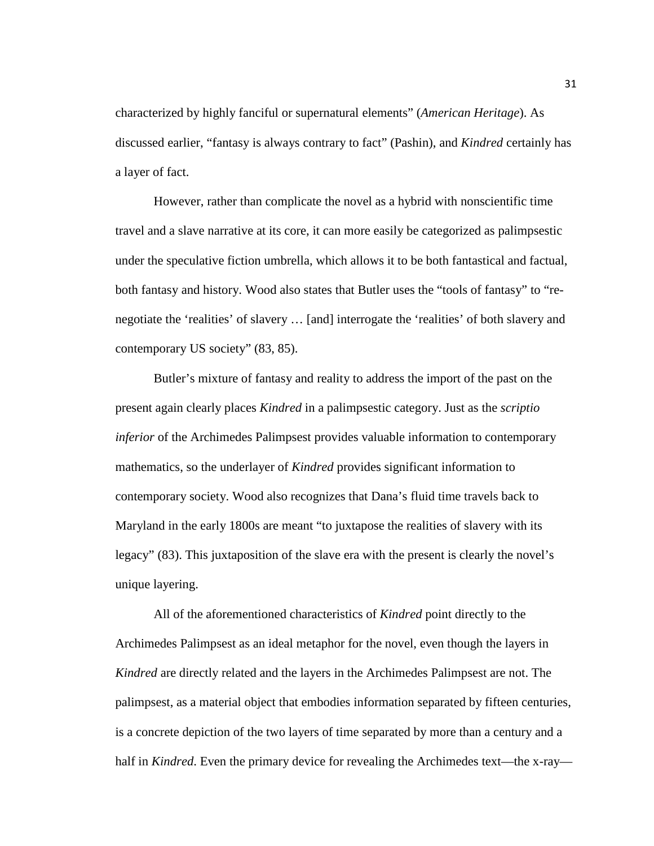characterized by highly fanciful or supernatural elements" (*American Heritage*). As discussed earlier, "fantasy is always contrary to fact" (Pashin), and *Kindred* certainly has a layer of fact.

However, rather than complicate the novel as a hybrid with nonscientific time travel and a slave narrative at its core, it can more easily be categorized as palimpsestic under the speculative fiction umbrella, which allows it to be both fantastical and factual, both fantasy and history. Wood also states that Butler uses the "tools of fantasy" to "renegotiate the 'realities' of slavery … [and] interrogate the 'realities' of both slavery and contemporary US society" (83, 85).

Butler's mixture of fantasy and reality to address the import of the past on the present again clearly places *Kindred* in a palimpsestic category. Just as the *scriptio inferior* of the Archimedes Palimpsest provides valuable information to contemporary mathematics, so the underlayer of *Kindred* provides significant information to contemporary society. Wood also recognizes that Dana's fluid time travels back to Maryland in the early 1800s are meant "to juxtapose the realities of slavery with its legacy" (83). This juxtaposition of the slave era with the present is clearly the novel's unique layering.

All of the aforementioned characteristics of *Kindred* point directly to the Archimedes Palimpsest as an ideal metaphor for the novel, even though the layers in *Kindred* are directly related and the layers in the Archimedes Palimpsest are not. The palimpsest, as a material object that embodies information separated by fifteen centuries, is a concrete depiction of the two layers of time separated by more than a century and a half in *Kindred*. Even the primary device for revealing the Archimedes text—the x-ray—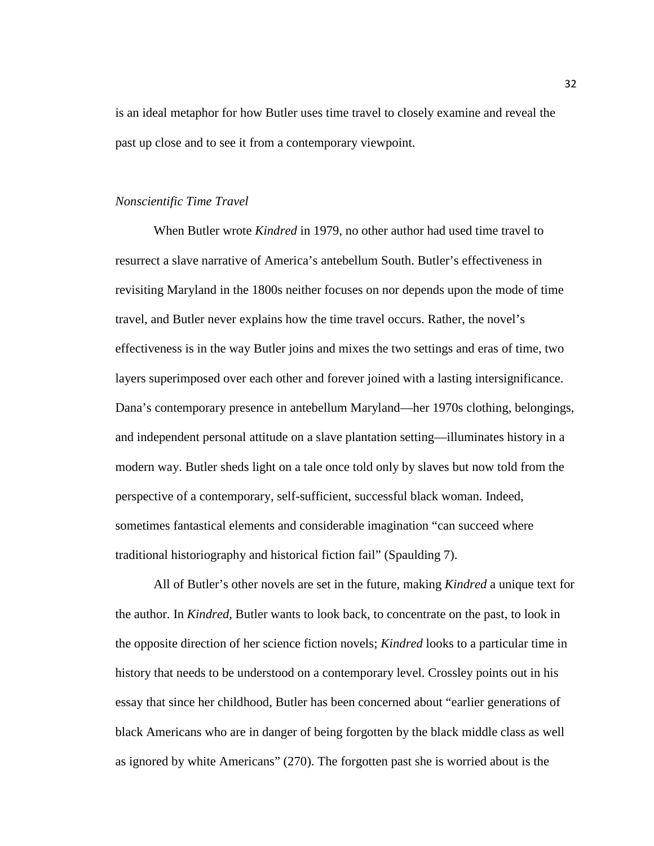is an ideal metaphor for how Butler uses time travel to closely examine and reveal the past up close and to see it from a contemporary viewpoint.

## *Nonscientific Time Travel*

When Butler wrote *Kindred* in 1979, no other author had used time travel to resurrect a slave narrative of America's antebellum South. Butler's effectiveness in revisiting Maryland in the 1800s neither focuses on nor depends upon the mode of time travel, and Butler never explains how the time travel occurs. Rather, the novel's effectiveness is in the way Butler joins and mixes the two settings and eras of time, two layers superimposed over each other and forever joined with a lasting intersignificance. Dana's contemporary presence in antebellum Maryland—her 1970s clothing, belongings, and independent personal attitude on a slave plantation setting—illuminates history in a modern way. Butler sheds light on a tale once told only by slaves but now told from the perspective of a contemporary, self-sufficient, successful black woman. Indeed, sometimes fantastical elements and considerable imagination "can succeed where traditional historiography and historical fiction fail" (Spaulding 7).

All of Butler's other novels are set in the future, making *Kindred* a unique text for the author. In *Kindred*, Butler wants to look back, to concentrate on the past, to look in the opposite direction of her science fiction novels; *Kindred* looks to a particular time in history that needs to be understood on a contemporary level. Crossley points out in his essay that since her childhood, Butler has been concerned about "earlier generations of black Americans who are in danger of being forgotten by the black middle class as well as ignored by white Americans" (270). The forgotten past she is worried about is the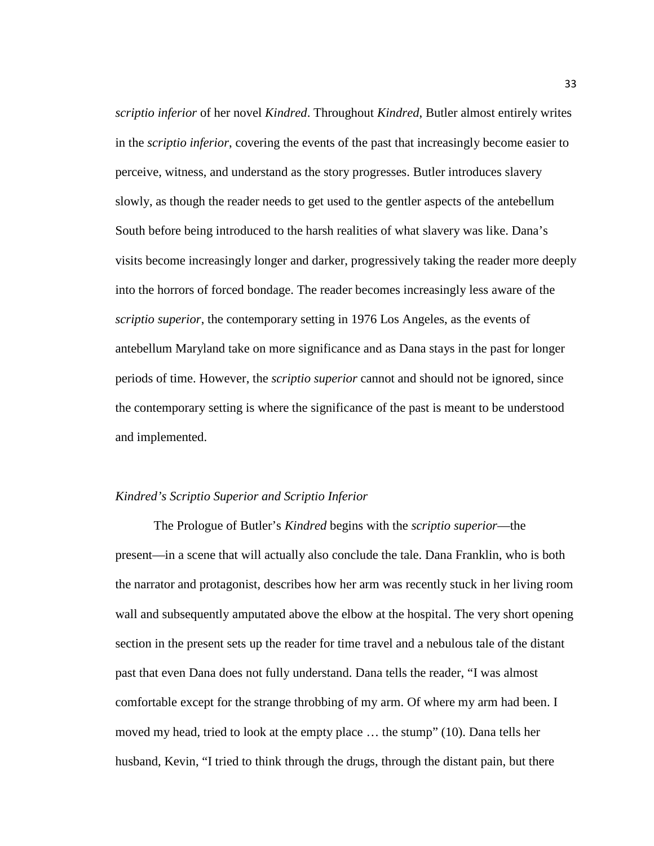*scriptio inferior* of her novel *Kindred*. Throughout *Kindred*, Butler almost entirely writes in the *scriptio inferior*, covering the events of the past that increasingly become easier to perceive, witness, and understand as the story progresses. Butler introduces slavery slowly, as though the reader needs to get used to the gentler aspects of the antebellum South before being introduced to the harsh realities of what slavery was like. Dana's visits become increasingly longer and darker, progressively taking the reader more deeply into the horrors of forced bondage. The reader becomes increasingly less aware of the *scriptio superior*, the contemporary setting in 1976 Los Angeles, as the events of antebellum Maryland take on more significance and as Dana stays in the past for longer periods of time. However, the *scriptio superior* cannot and should not be ignored, since the contemporary setting is where the significance of the past is meant to be understood and implemented.

# *Kindred's Scriptio Superior and Scriptio Inferior*

The Prologue of Butler's *Kindred* begins with the *scriptio superior*—the present—in a scene that will actually also conclude the tale. Dana Franklin, who is both the narrator and protagonist, describes how her arm was recently stuck in her living room wall and subsequently amputated above the elbow at the hospital. The very short opening section in the present sets up the reader for time travel and a nebulous tale of the distant past that even Dana does not fully understand. Dana tells the reader, "I was almost comfortable except for the strange throbbing of my arm. Of where my arm had been. I moved my head, tried to look at the empty place … the stump" (10). Dana tells her husband, Kevin, "I tried to think through the drugs, through the distant pain, but there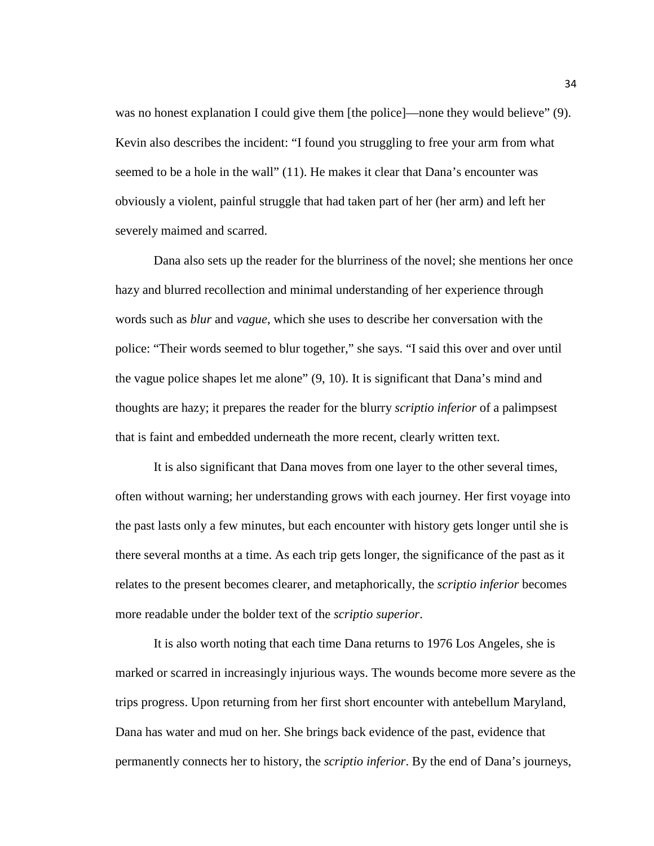was no honest explanation I could give them [the police]—none they would believe" (9). Kevin also describes the incident: "I found you struggling to free your arm from what seemed to be a hole in the wall" (11). He makes it clear that Dana's encounter was obviously a violent, painful struggle that had taken part of her (her arm) and left her severely maimed and scarred.

Dana also sets up the reader for the blurriness of the novel; she mentions her once hazy and blurred recollection and minimal understanding of her experience through words such as *blur* and *vague*, which she uses to describe her conversation with the police: "Their words seemed to blur together," she says. "I said this over and over until the vague police shapes let me alone" (9, 10). It is significant that Dana's mind and thoughts are hazy; it prepares the reader for the blurry *scriptio inferior* of a palimpsest that is faint and embedded underneath the more recent, clearly written text.

It is also significant that Dana moves from one layer to the other several times, often without warning; her understanding grows with each journey. Her first voyage into the past lasts only a few minutes, but each encounter with history gets longer until she is there several months at a time. As each trip gets longer, the significance of the past as it relates to the present becomes clearer, and metaphorically, the *scriptio inferior* becomes more readable under the bolder text of the *scriptio superior*.

It is also worth noting that each time Dana returns to 1976 Los Angeles, she is marked or scarred in increasingly injurious ways. The wounds become more severe as the trips progress. Upon returning from her first short encounter with antebellum Maryland, Dana has water and mud on her. She brings back evidence of the past, evidence that permanently connects her to history, the *scriptio inferior*. By the end of Dana's journeys,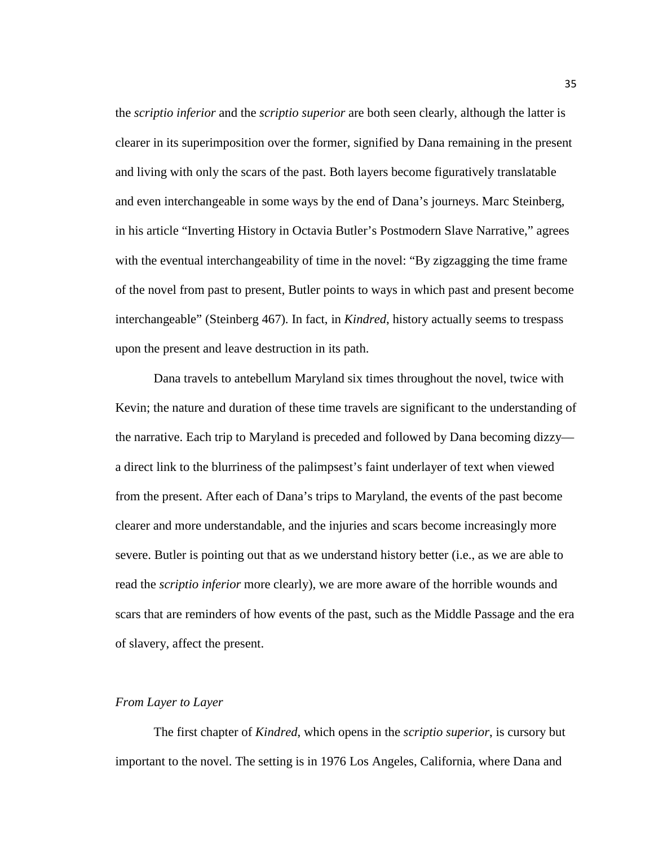the *scriptio inferior* and the *scriptio superior* are both seen clearly, although the latter is clearer in its superimposition over the former, signified by Dana remaining in the present and living with only the scars of the past. Both layers become figuratively translatable and even interchangeable in some ways by the end of Dana's journeys. Marc Steinberg, in his article "Inverting History in Octavia Butler's Postmodern Slave Narrative," agrees with the eventual interchangeability of time in the novel: "By zigzagging the time frame of the novel from past to present, Butler points to ways in which past and present become interchangeable" (Steinberg 467). In fact, in *Kindred*, history actually seems to trespass upon the present and leave destruction in its path.

Dana travels to antebellum Maryland six times throughout the novel, twice with Kevin; the nature and duration of these time travels are significant to the understanding of the narrative. Each trip to Maryland is preceded and followed by Dana becoming dizzy a direct link to the blurriness of the palimpsest's faint underlayer of text when viewed from the present. After each of Dana's trips to Maryland, the events of the past become clearer and more understandable, and the injuries and scars become increasingly more severe. Butler is pointing out that as we understand history better (i.e., as we are able to read the *scriptio inferior* more clearly), we are more aware of the horrible wounds and scars that are reminders of how events of the past, such as the Middle Passage and the era of slavery, affect the present.

#### *From Layer to Layer*

The first chapter of *Kindred*, which opens in the *scriptio superior*, is cursory but important to the novel. The setting is in 1976 Los Angeles, California, where Dana and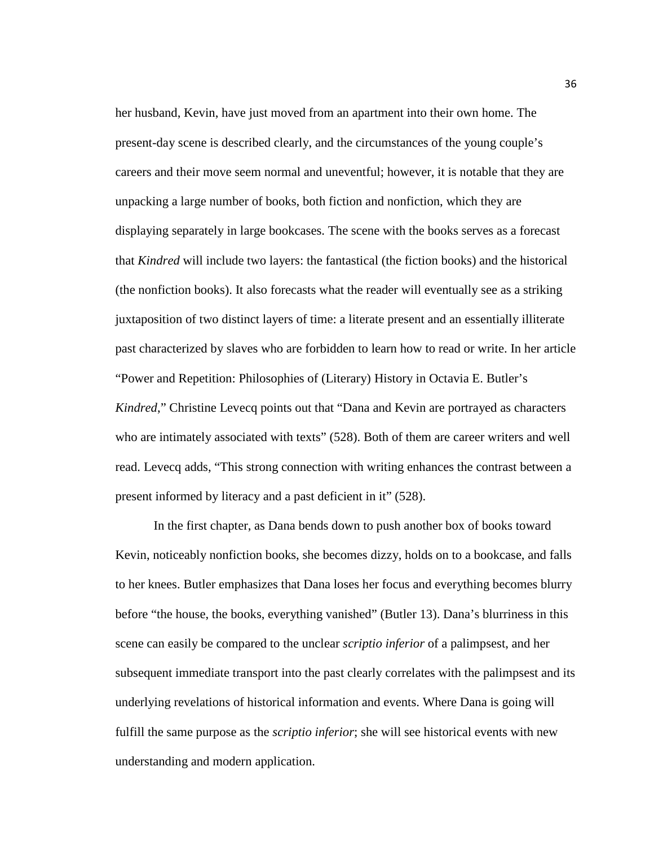her husband, Kevin, have just moved from an apartment into their own home. The present-day scene is described clearly, and the circumstances of the young couple's careers and their move seem normal and uneventful; however, it is notable that they are unpacking a large number of books, both fiction and nonfiction, which they are displaying separately in large bookcases. The scene with the books serves as a forecast that *Kindred* will include two layers: the fantastical (the fiction books) and the historical (the nonfiction books). It also forecasts what the reader will eventually see as a striking juxtaposition of two distinct layers of time: a literate present and an essentially illiterate past characterized by slaves who are forbidden to learn how to read or write. In her article "Power and Repetition: Philosophies of (Literary) History in Octavia E. Butler's *Kindred*," Christine Levecq points out that "Dana and Kevin are portrayed as characters who are intimately associated with texts" (528). Both of them are career writers and well read. Levecq adds, "This strong connection with writing enhances the contrast between a present informed by literacy and a past deficient in it" (528).

In the first chapter, as Dana bends down to push another box of books toward Kevin, noticeably nonfiction books, she becomes dizzy, holds on to a bookcase, and falls to her knees. Butler emphasizes that Dana loses her focus and everything becomes blurry before "the house, the books, everything vanished" (Butler 13). Dana's blurriness in this scene can easily be compared to the unclear *scriptio inferior* of a palimpsest, and her subsequent immediate transport into the past clearly correlates with the palimpsest and its underlying revelations of historical information and events. Where Dana is going will fulfill the same purpose as the *scriptio inferior*; she will see historical events with new understanding and modern application.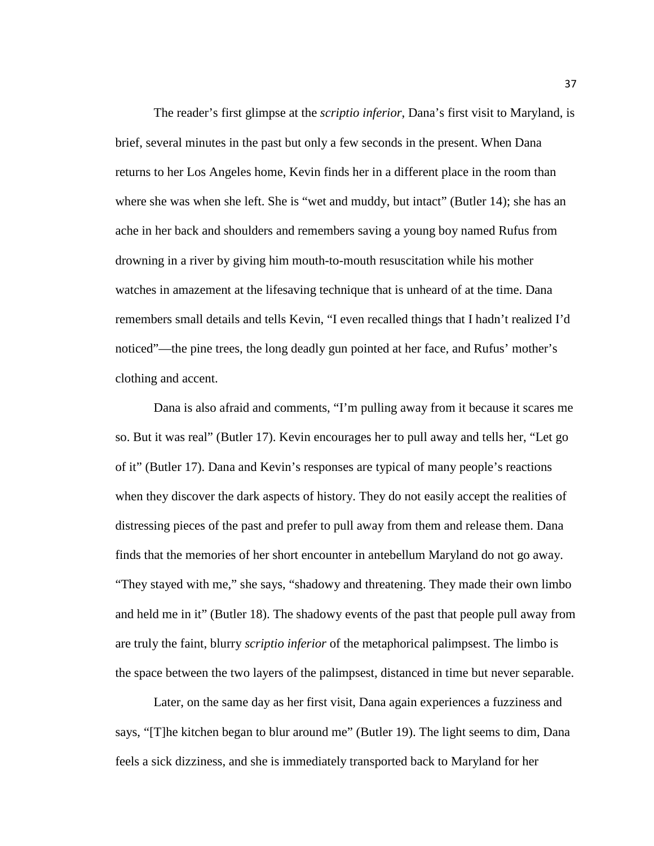The reader's first glimpse at the *scriptio inferior*, Dana's first visit to Maryland, is brief, several minutes in the past but only a few seconds in the present. When Dana returns to her Los Angeles home, Kevin finds her in a different place in the room than where she was when she left. She is "wet and muddy, but intact" (Butler 14); she has an ache in her back and shoulders and remembers saving a young boy named Rufus from drowning in a river by giving him mouth-to-mouth resuscitation while his mother watches in amazement at the lifesaving technique that is unheard of at the time. Dana remembers small details and tells Kevin, "I even recalled things that I hadn't realized I'd noticed"—the pine trees, the long deadly gun pointed at her face, and Rufus' mother's clothing and accent.

Dana is also afraid and comments, "I'm pulling away from it because it scares me so. But it was real" (Butler 17). Kevin encourages her to pull away and tells her, "Let go of it" (Butler 17). Dana and Kevin's responses are typical of many people's reactions when they discover the dark aspects of history. They do not easily accept the realities of distressing pieces of the past and prefer to pull away from them and release them. Dana finds that the memories of her short encounter in antebellum Maryland do not go away. "They stayed with me," she says, "shadowy and threatening. They made their own limbo and held me in it" (Butler 18). The shadowy events of the past that people pull away from are truly the faint, blurry *scriptio inferior* of the metaphorical palimpsest. The limbo is the space between the two layers of the palimpsest, distanced in time but never separable.

Later, on the same day as her first visit, Dana again experiences a fuzziness and says, "[T]he kitchen began to blur around me" (Butler 19). The light seems to dim, Dana feels a sick dizziness, and she is immediately transported back to Maryland for her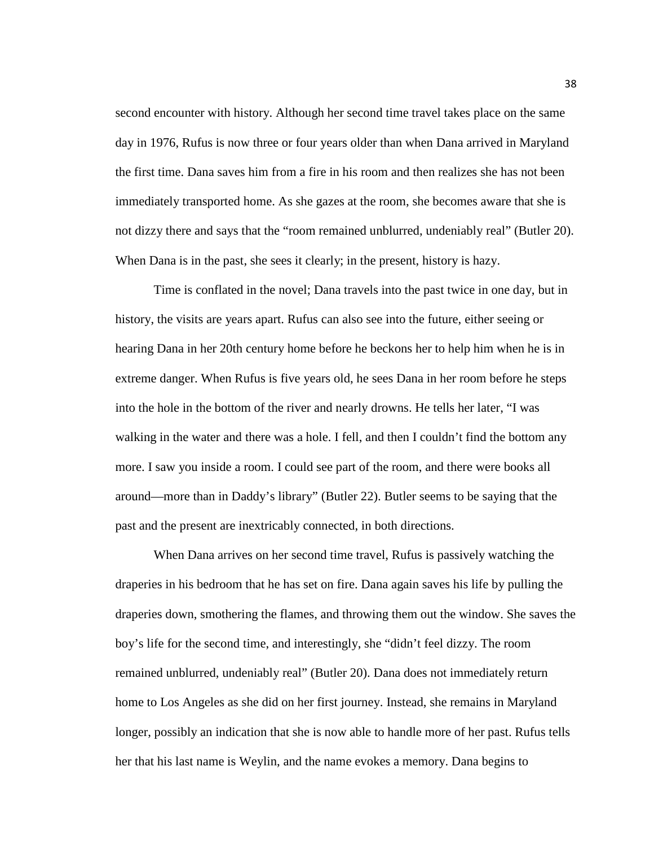second encounter with history. Although her second time travel takes place on the same day in 1976, Rufus is now three or four years older than when Dana arrived in Maryland the first time. Dana saves him from a fire in his room and then realizes she has not been immediately transported home. As she gazes at the room, she becomes aware that she is not dizzy there and says that the "room remained unblurred, undeniably real" (Butler 20). When Dana is in the past, she sees it clearly; in the present, history is hazy.

Time is conflated in the novel; Dana travels into the past twice in one day, but in history, the visits are years apart. Rufus can also see into the future, either seeing or hearing Dana in her 20th century home before he beckons her to help him when he is in extreme danger. When Rufus is five years old, he sees Dana in her room before he steps into the hole in the bottom of the river and nearly drowns. He tells her later, "I was walking in the water and there was a hole. I fell, and then I couldn't find the bottom any more. I saw you inside a room. I could see part of the room, and there were books all around—more than in Daddy's library" (Butler 22). Butler seems to be saying that the past and the present are inextricably connected, in both directions.

When Dana arrives on her second time travel, Rufus is passively watching the draperies in his bedroom that he has set on fire. Dana again saves his life by pulling the draperies down, smothering the flames, and throwing them out the window. She saves the boy's life for the second time, and interestingly, she "didn't feel dizzy. The room remained unblurred, undeniably real" (Butler 20). Dana does not immediately return home to Los Angeles as she did on her first journey. Instead, she remains in Maryland longer, possibly an indication that she is now able to handle more of her past. Rufus tells her that his last name is Weylin, and the name evokes a memory. Dana begins to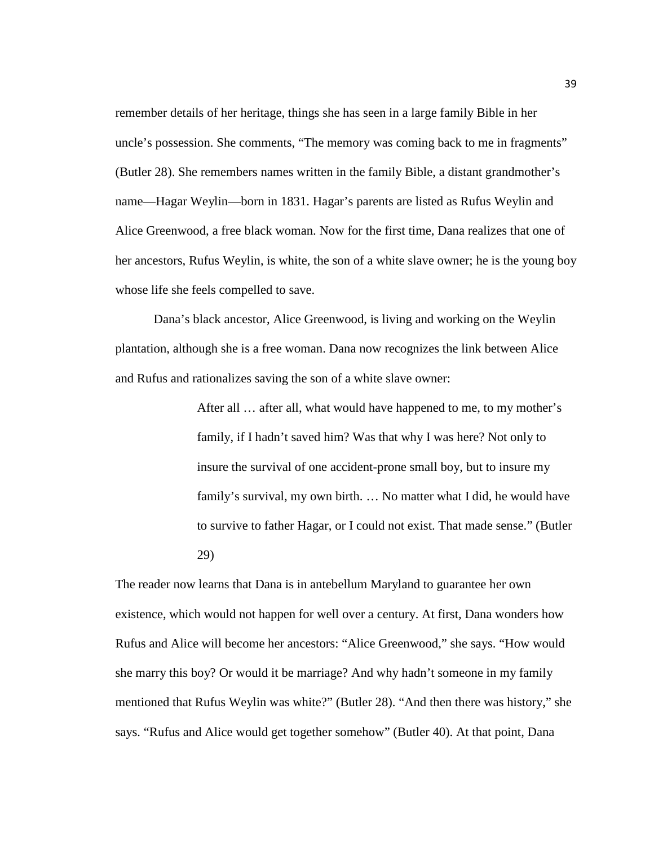remember details of her heritage, things she has seen in a large family Bible in her uncle's possession. She comments, "The memory was coming back to me in fragments" (Butler 28). She remembers names written in the family Bible, a distant grandmother's name—Hagar Weylin—born in 1831. Hagar's parents are listed as Rufus Weylin and Alice Greenwood, a free black woman. Now for the first time, Dana realizes that one of her ancestors, Rufus Weylin, is white, the son of a white slave owner; he is the young boy whose life she feels compelled to save.

Dana's black ancestor, Alice Greenwood, is living and working on the Weylin plantation, although she is a free woman. Dana now recognizes the link between Alice and Rufus and rationalizes saving the son of a white slave owner:

> After all … after all, what would have happened to me, to my mother's family, if I hadn't saved him? Was that why I was here? Not only to insure the survival of one accident-prone small boy, but to insure my family's survival, my own birth. … No matter what I did, he would have to survive to father Hagar, or I could not exist. That made sense." (Butler 29)

The reader now learns that Dana is in antebellum Maryland to guarantee her own existence, which would not happen for well over a century. At first, Dana wonders how Rufus and Alice will become her ancestors: "Alice Greenwood," she says. "How would she marry this boy? Or would it be marriage? And why hadn't someone in my family mentioned that Rufus Weylin was white?" (Butler 28). "And then there was history," she says. "Rufus and Alice would get together somehow" (Butler 40). At that point, Dana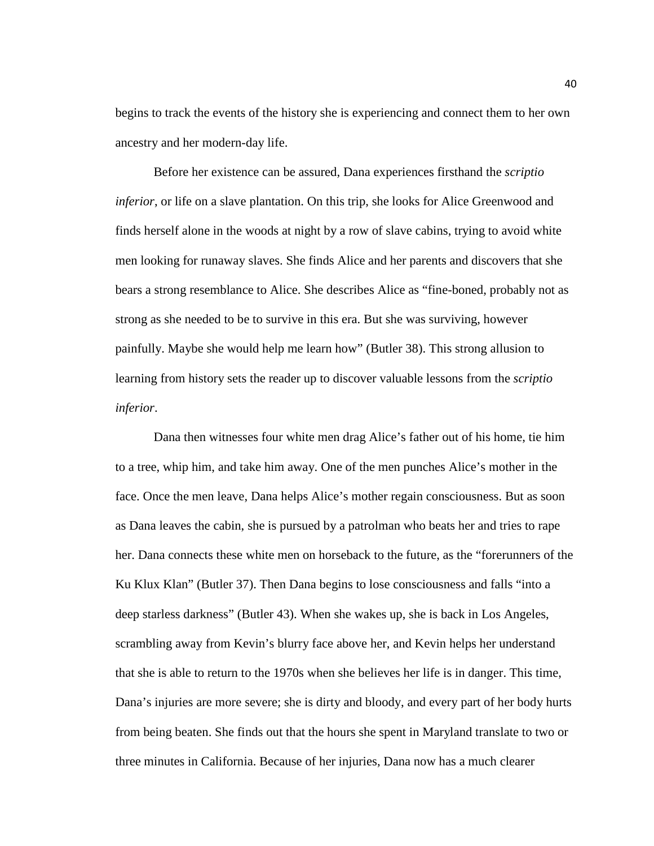begins to track the events of the history she is experiencing and connect them to her own ancestry and her modern-day life.

Before her existence can be assured, Dana experiences firsthand the *scriptio inferior*, or life on a slave plantation. On this trip, she looks for Alice Greenwood and finds herself alone in the woods at night by a row of slave cabins, trying to avoid white men looking for runaway slaves. She finds Alice and her parents and discovers that she bears a strong resemblance to Alice. She describes Alice as "fine-boned, probably not as strong as she needed to be to survive in this era. But she was surviving, however painfully. Maybe she would help me learn how" (Butler 38). This strong allusion to learning from history sets the reader up to discover valuable lessons from the *scriptio inferior*.

Dana then witnesses four white men drag Alice's father out of his home, tie him to a tree, whip him, and take him away. One of the men punches Alice's mother in the face. Once the men leave, Dana helps Alice's mother regain consciousness. But as soon as Dana leaves the cabin, she is pursued by a patrolman who beats her and tries to rape her. Dana connects these white men on horseback to the future, as the "forerunners of the Ku Klux Klan" (Butler 37). Then Dana begins to lose consciousness and falls "into a deep starless darkness" (Butler 43). When she wakes up, she is back in Los Angeles, scrambling away from Kevin's blurry face above her, and Kevin helps her understand that she is able to return to the 1970s when she believes her life is in danger. This time, Dana's injuries are more severe; she is dirty and bloody, and every part of her body hurts from being beaten. She finds out that the hours she spent in Maryland translate to two or three minutes in California. Because of her injuries, Dana now has a much clearer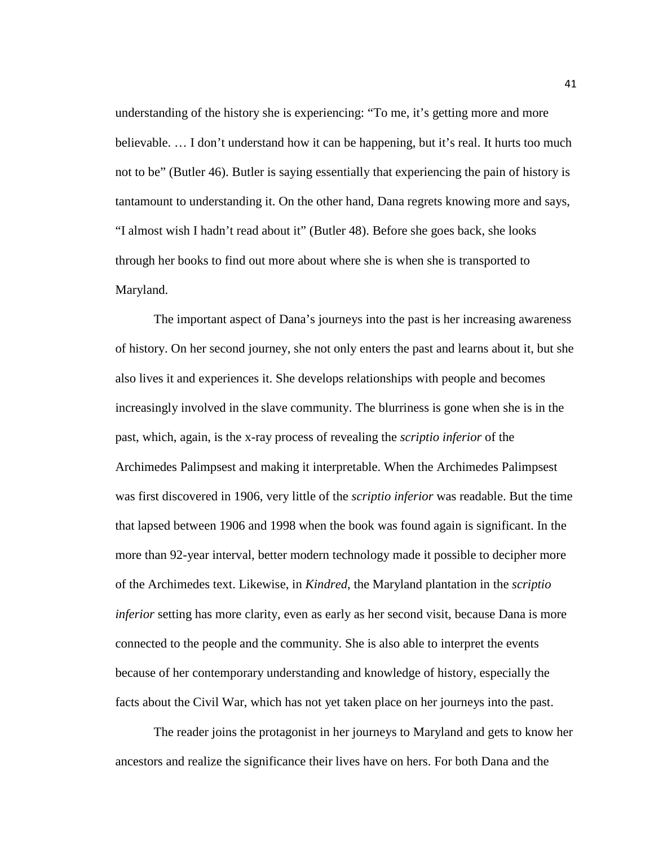understanding of the history she is experiencing: "To me, it's getting more and more believable. … I don't understand how it can be happening, but it's real. It hurts too much not to be" (Butler 46). Butler is saying essentially that experiencing the pain of history is tantamount to understanding it. On the other hand, Dana regrets knowing more and says, "I almost wish I hadn't read about it" (Butler 48). Before she goes back, she looks through her books to find out more about where she is when she is transported to Maryland.

The important aspect of Dana's journeys into the past is her increasing awareness of history. On her second journey, she not only enters the past and learns about it, but she also lives it and experiences it. She develops relationships with people and becomes increasingly involved in the slave community. The blurriness is gone when she is in the past, which, again, is the x-ray process of revealing the *scriptio inferior* of the Archimedes Palimpsest and making it interpretable. When the Archimedes Palimpsest was first discovered in 1906, very little of the *scriptio inferior* was readable. But the time that lapsed between 1906 and 1998 when the book was found again is significant. In the more than 92-year interval, better modern technology made it possible to decipher more of the Archimedes text. Likewise, in *Kindred*, the Maryland plantation in the *scriptio inferior* setting has more clarity, even as early as her second visit, because Dana is more connected to the people and the community. She is also able to interpret the events because of her contemporary understanding and knowledge of history, especially the facts about the Civil War, which has not yet taken place on her journeys into the past.

The reader joins the protagonist in her journeys to Maryland and gets to know her ancestors and realize the significance their lives have on hers. For both Dana and the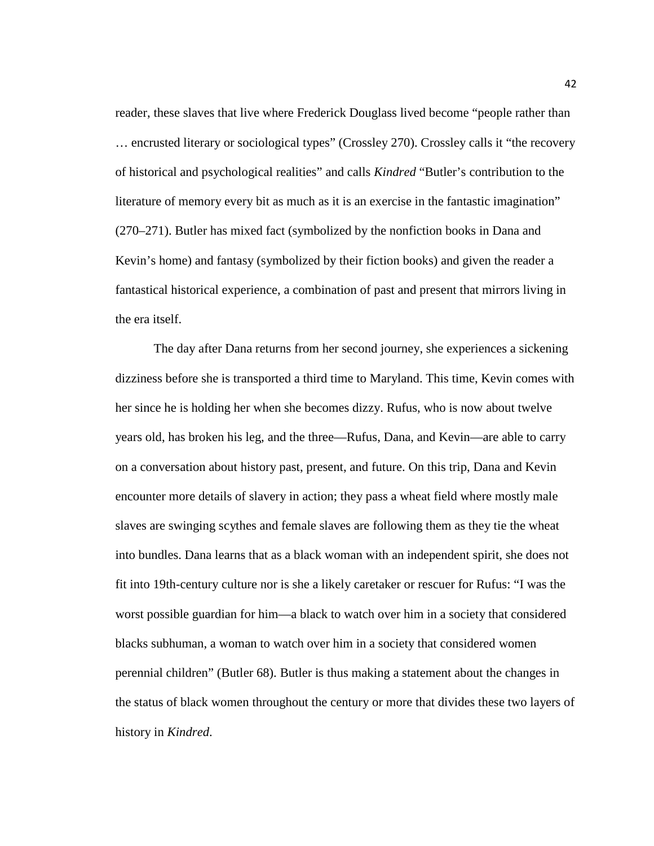reader, these slaves that live where Frederick Douglass lived become "people rather than … encrusted literary or sociological types" (Crossley 270). Crossley calls it "the recovery of historical and psychological realities" and calls *Kindred* "Butler's contribution to the literature of memory every bit as much as it is an exercise in the fantastic imagination" (270–271). Butler has mixed fact (symbolized by the nonfiction books in Dana and Kevin's home) and fantasy (symbolized by their fiction books) and given the reader a fantastical historical experience, a combination of past and present that mirrors living in the era itself.

The day after Dana returns from her second journey, she experiences a sickening dizziness before she is transported a third time to Maryland. This time, Kevin comes with her since he is holding her when she becomes dizzy. Rufus, who is now about twelve years old, has broken his leg, and the three—Rufus, Dana, and Kevin—are able to carry on a conversation about history past, present, and future. On this trip, Dana and Kevin encounter more details of slavery in action; they pass a wheat field where mostly male slaves are swinging scythes and female slaves are following them as they tie the wheat into bundles. Dana learns that as a black woman with an independent spirit, she does not fit into 19th-century culture nor is she a likely caretaker or rescuer for Rufus: "I was the worst possible guardian for him—a black to watch over him in a society that considered blacks subhuman, a woman to watch over him in a society that considered women perennial children" (Butler 68). Butler is thus making a statement about the changes in the status of black women throughout the century or more that divides these two layers of history in *Kindred*.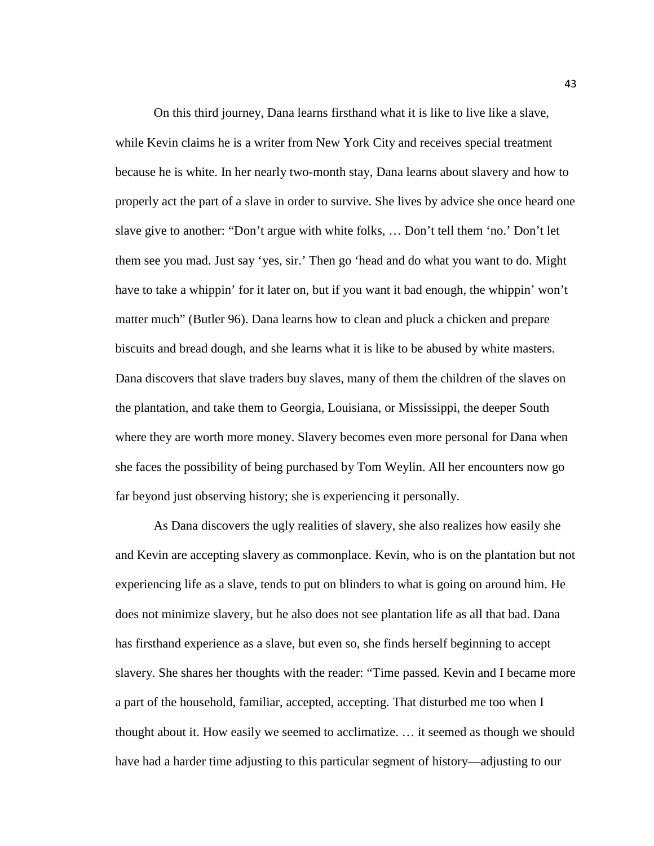On this third journey, Dana learns firsthand what it is like to live like a slave, while Kevin claims he is a writer from New York City and receives special treatment because he is white. In her nearly two-month stay, Dana learns about slavery and how to properly act the part of a slave in order to survive. She lives by advice she once heard one slave give to another: "Don't argue with white folks, … Don't tell them 'no.' Don't let them see you mad. Just say 'yes, sir.' Then go 'head and do what you want to do. Might have to take a whippin' for it later on, but if you want it bad enough, the whippin' won't matter much" (Butler 96). Dana learns how to clean and pluck a chicken and prepare biscuits and bread dough, and she learns what it is like to be abused by white masters. Dana discovers that slave traders buy slaves, many of them the children of the slaves on the plantation, and take them to Georgia, Louisiana, or Mississippi, the deeper South where they are worth more money. Slavery becomes even more personal for Dana when she faces the possibility of being purchased by Tom Weylin. All her encounters now go far beyond just observing history; she is experiencing it personally.

As Dana discovers the ugly realities of slavery, she also realizes how easily she and Kevin are accepting slavery as commonplace. Kevin, who is on the plantation but not experiencing life as a slave, tends to put on blinders to what is going on around him. He does not minimize slavery, but he also does not see plantation life as all that bad. Dana has firsthand experience as a slave, but even so, she finds herself beginning to accept slavery. She shares her thoughts with the reader: "Time passed. Kevin and I became more a part of the household, familiar, accepted, accepting. That disturbed me too when I thought about it. How easily we seemed to acclimatize. … it seemed as though we should have had a harder time adjusting to this particular segment of history—adjusting to our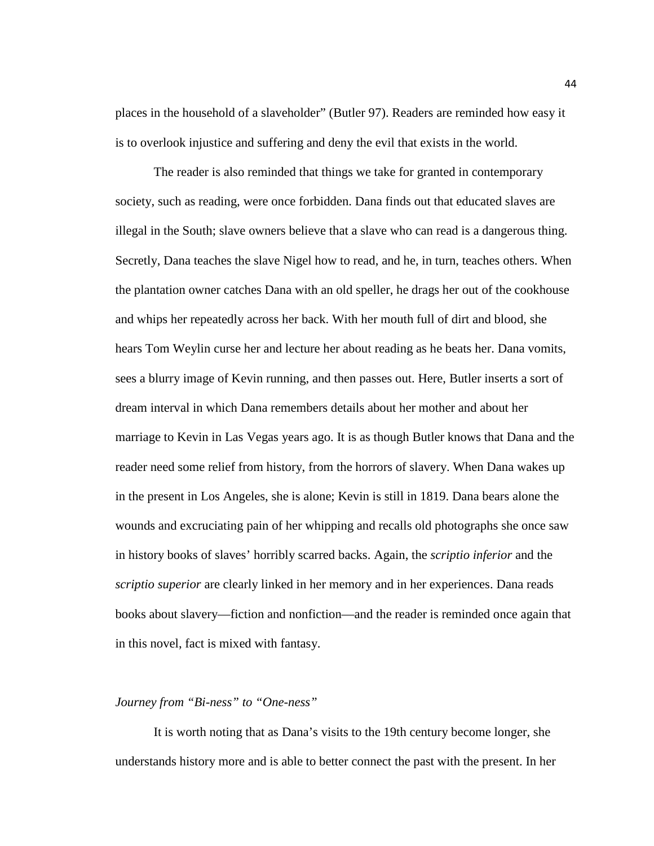places in the household of a slaveholder" (Butler 97). Readers are reminded how easy it is to overlook injustice and suffering and deny the evil that exists in the world.

The reader is also reminded that things we take for granted in contemporary society, such as reading, were once forbidden. Dana finds out that educated slaves are illegal in the South; slave owners believe that a slave who can read is a dangerous thing. Secretly, Dana teaches the slave Nigel how to read, and he, in turn, teaches others. When the plantation owner catches Dana with an old speller, he drags her out of the cookhouse and whips her repeatedly across her back. With her mouth full of dirt and blood, she hears Tom Weylin curse her and lecture her about reading as he beats her. Dana vomits, sees a blurry image of Kevin running, and then passes out. Here, Butler inserts a sort of dream interval in which Dana remembers details about her mother and about her marriage to Kevin in Las Vegas years ago. It is as though Butler knows that Dana and the reader need some relief from history, from the horrors of slavery. When Dana wakes up in the present in Los Angeles, she is alone; Kevin is still in 1819. Dana bears alone the wounds and excruciating pain of her whipping and recalls old photographs she once saw in history books of slaves' horribly scarred backs. Again, the *scriptio inferior* and the *scriptio superior* are clearly linked in her memory and in her experiences. Dana reads books about slavery—fiction and nonfiction—and the reader is reminded once again that in this novel, fact is mixed with fantasy.

## *Journey from "Bi-ness" to "One-ness"*

It is worth noting that as Dana's visits to the 19th century become longer, she understands history more and is able to better connect the past with the present. In her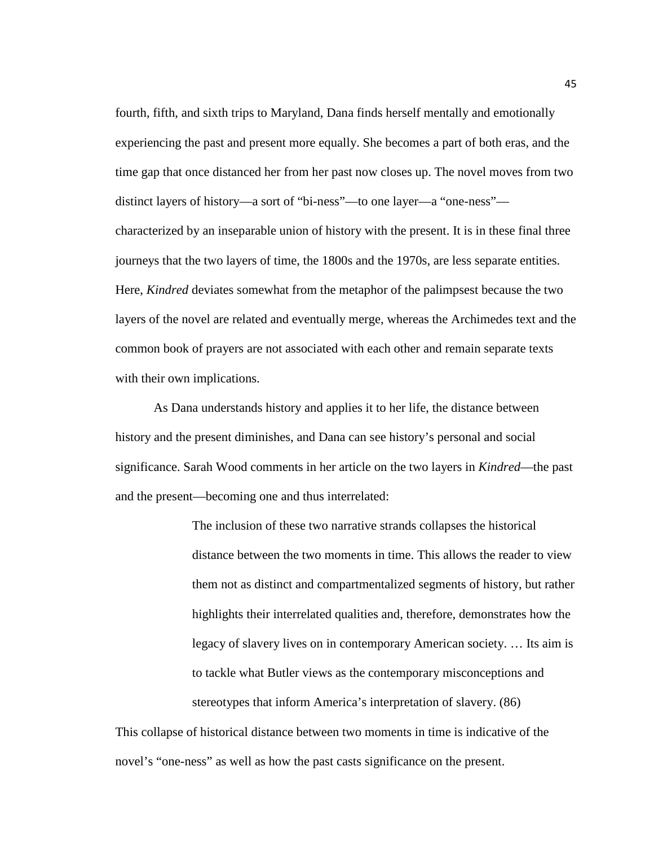fourth, fifth, and sixth trips to Maryland, Dana finds herself mentally and emotionally experiencing the past and present more equally. She becomes a part of both eras, and the time gap that once distanced her from her past now closes up. The novel moves from two distinct layers of history—a sort of "bi-ness"—to one layer—a "one-ness" characterized by an inseparable union of history with the present. It is in these final three journeys that the two layers of time, the 1800s and the 1970s, are less separate entities. Here, *Kindred* deviates somewhat from the metaphor of the palimpsest because the two layers of the novel are related and eventually merge, whereas the Archimedes text and the common book of prayers are not associated with each other and remain separate texts with their own implications.

As Dana understands history and applies it to her life, the distance between history and the present diminishes, and Dana can see history's personal and social significance. Sarah Wood comments in her article on the two layers in *Kindred*—the past and the present—becoming one and thus interrelated:

> The inclusion of these two narrative strands collapses the historical distance between the two moments in time. This allows the reader to view them not as distinct and compartmentalized segments of history, but rather highlights their interrelated qualities and, therefore, demonstrates how the legacy of slavery lives on in contemporary American society. … Its aim is to tackle what Butler views as the contemporary misconceptions and stereotypes that inform America's interpretation of slavery. (86)

This collapse of historical distance between two moments in time is indicative of the novel's "one-ness" as well as how the past casts significance on the present.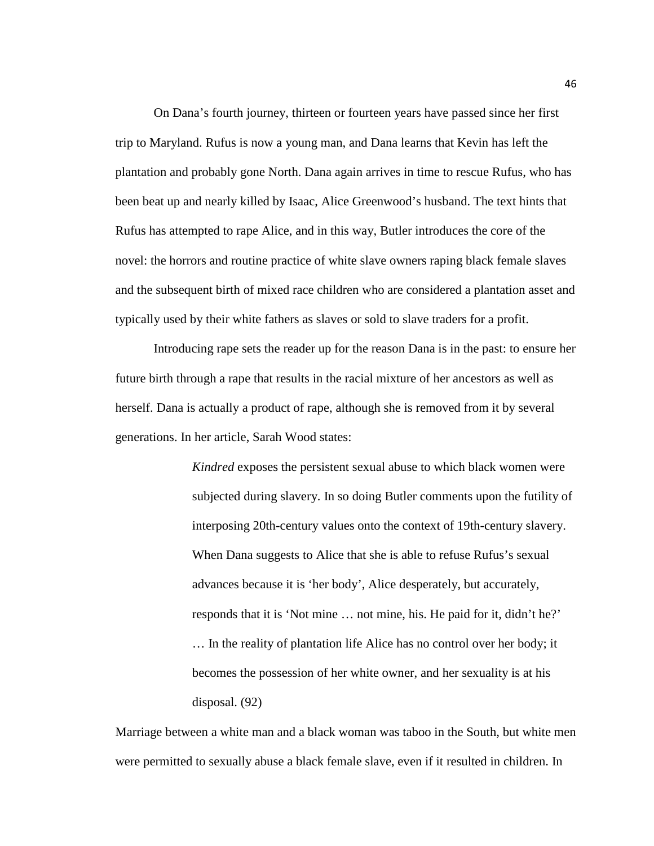On Dana's fourth journey, thirteen or fourteen years have passed since her first trip to Maryland. Rufus is now a young man, and Dana learns that Kevin has left the plantation and probably gone North. Dana again arrives in time to rescue Rufus, who has been beat up and nearly killed by Isaac, Alice Greenwood's husband. The text hints that Rufus has attempted to rape Alice, and in this way, Butler introduces the core of the novel: the horrors and routine practice of white slave owners raping black female slaves and the subsequent birth of mixed race children who are considered a plantation asset and typically used by their white fathers as slaves or sold to slave traders for a profit.

Introducing rape sets the reader up for the reason Dana is in the past: to ensure her future birth through a rape that results in the racial mixture of her ancestors as well as herself. Dana is actually a product of rape, although she is removed from it by several generations. In her article, Sarah Wood states:

> *Kindred* exposes the persistent sexual abuse to which black women were subjected during slavery. In so doing Butler comments upon the futility of interposing 20th-century values onto the context of 19th-century slavery. When Dana suggests to Alice that she is able to refuse Rufus's sexual advances because it is 'her body', Alice desperately, but accurately, responds that it is 'Not mine … not mine, his. He paid for it, didn't he?' … In the reality of plantation life Alice has no control over her body; it becomes the possession of her white owner, and her sexuality is at his disposal. (92)

Marriage between a white man and a black woman was taboo in the South, but white men were permitted to sexually abuse a black female slave, even if it resulted in children. In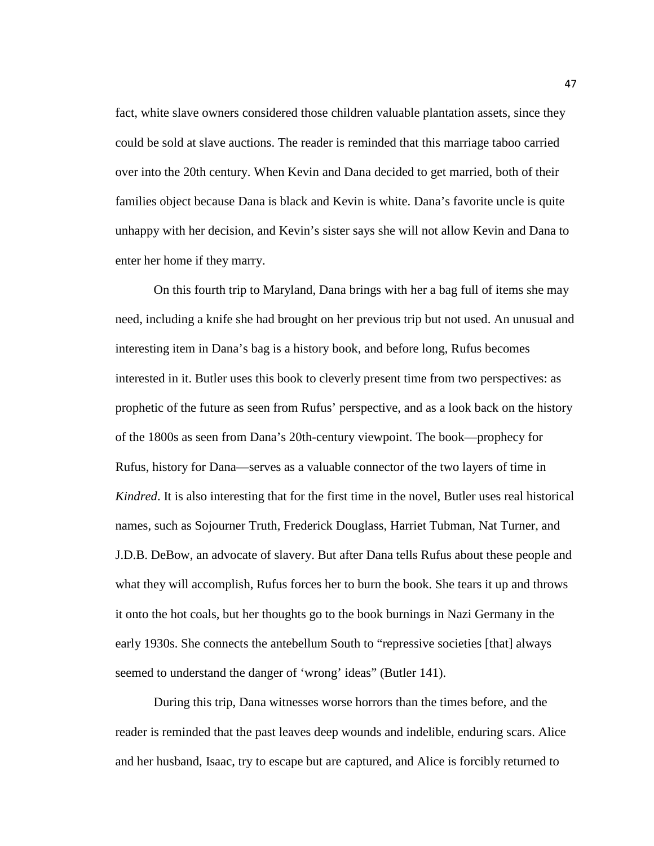fact, white slave owners considered those children valuable plantation assets, since they could be sold at slave auctions. The reader is reminded that this marriage taboo carried over into the 20th century. When Kevin and Dana decided to get married, both of their families object because Dana is black and Kevin is white. Dana's favorite uncle is quite unhappy with her decision, and Kevin's sister says she will not allow Kevin and Dana to enter her home if they marry.

On this fourth trip to Maryland, Dana brings with her a bag full of items she may need, including a knife she had brought on her previous trip but not used. An unusual and interesting item in Dana's bag is a history book, and before long, Rufus becomes interested in it. Butler uses this book to cleverly present time from two perspectives: as prophetic of the future as seen from Rufus' perspective, and as a look back on the history of the 1800s as seen from Dana's 20th-century viewpoint. The book—prophecy for Rufus, history for Dana—serves as a valuable connector of the two layers of time in *Kindred*. It is also interesting that for the first time in the novel, Butler uses real historical names, such as Sojourner Truth, Frederick Douglass, Harriet Tubman, Nat Turner, and J.D.B. DeBow, an advocate of slavery. But after Dana tells Rufus about these people and what they will accomplish, Rufus forces her to burn the book. She tears it up and throws it onto the hot coals, but her thoughts go to the book burnings in Nazi Germany in the early 1930s. She connects the antebellum South to "repressive societies [that] always seemed to understand the danger of 'wrong' ideas" (Butler 141).

During this trip, Dana witnesses worse horrors than the times before, and the reader is reminded that the past leaves deep wounds and indelible, enduring scars. Alice and her husband, Isaac, try to escape but are captured, and Alice is forcibly returned to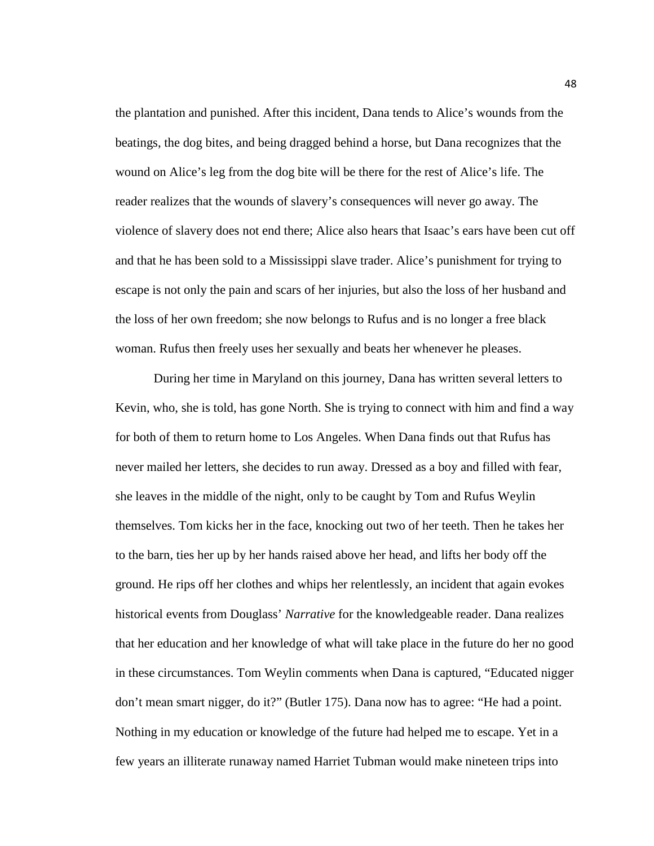the plantation and punished. After this incident, Dana tends to Alice's wounds from the beatings, the dog bites, and being dragged behind a horse, but Dana recognizes that the wound on Alice's leg from the dog bite will be there for the rest of Alice's life. The reader realizes that the wounds of slavery's consequences will never go away. The violence of slavery does not end there; Alice also hears that Isaac's ears have been cut off and that he has been sold to a Mississippi slave trader. Alice's punishment for trying to escape is not only the pain and scars of her injuries, but also the loss of her husband and the loss of her own freedom; she now belongs to Rufus and is no longer a free black woman. Rufus then freely uses her sexually and beats her whenever he pleases.

During her time in Maryland on this journey, Dana has written several letters to Kevin, who, she is told, has gone North. She is trying to connect with him and find a way for both of them to return home to Los Angeles. When Dana finds out that Rufus has never mailed her letters, she decides to run away. Dressed as a boy and filled with fear, she leaves in the middle of the night, only to be caught by Tom and Rufus Weylin themselves. Tom kicks her in the face, knocking out two of her teeth. Then he takes her to the barn, ties her up by her hands raised above her head, and lifts her body off the ground. He rips off her clothes and whips her relentlessly, an incident that again evokes historical events from Douglass' *Narrative* for the knowledgeable reader. Dana realizes that her education and her knowledge of what will take place in the future do her no good in these circumstances. Tom Weylin comments when Dana is captured, "Educated nigger don't mean smart nigger, do it?" (Butler 175). Dana now has to agree: "He had a point. Nothing in my education or knowledge of the future had helped me to escape. Yet in a few years an illiterate runaway named Harriet Tubman would make nineteen trips into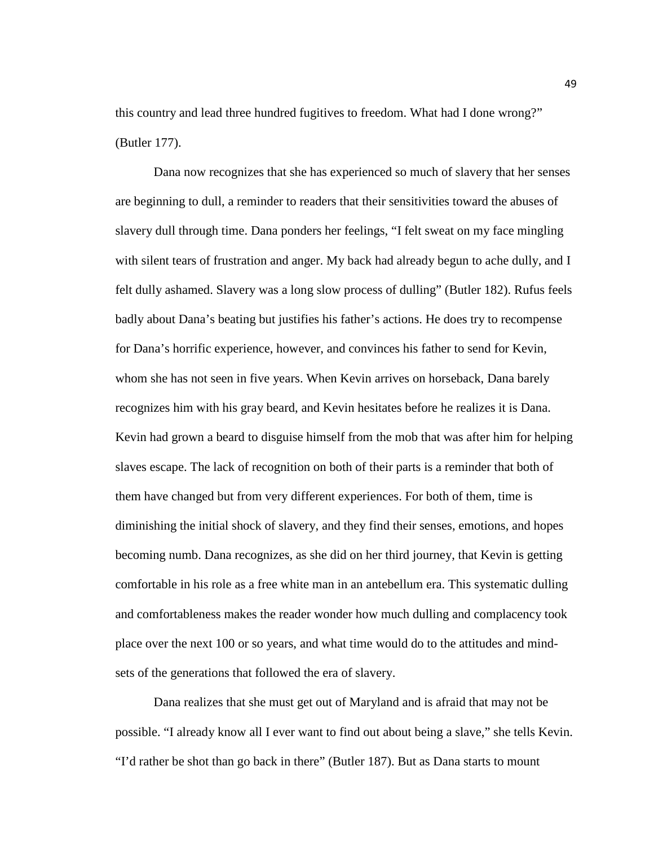this country and lead three hundred fugitives to freedom. What had I done wrong?" (Butler 177).

Dana now recognizes that she has experienced so much of slavery that her senses are beginning to dull, a reminder to readers that their sensitivities toward the abuses of slavery dull through time. Dana ponders her feelings, "I felt sweat on my face mingling with silent tears of frustration and anger. My back had already begun to ache dully, and I felt dully ashamed. Slavery was a long slow process of dulling" (Butler 182). Rufus feels badly about Dana's beating but justifies his father's actions. He does try to recompense for Dana's horrific experience, however, and convinces his father to send for Kevin, whom she has not seen in five years. When Kevin arrives on horseback, Dana barely recognizes him with his gray beard, and Kevin hesitates before he realizes it is Dana. Kevin had grown a beard to disguise himself from the mob that was after him for helping slaves escape. The lack of recognition on both of their parts is a reminder that both of them have changed but from very different experiences. For both of them, time is diminishing the initial shock of slavery, and they find their senses, emotions, and hopes becoming numb. Dana recognizes, as she did on her third journey, that Kevin is getting comfortable in his role as a free white man in an antebellum era. This systematic dulling and comfortableness makes the reader wonder how much dulling and complacency took place over the next 100 or so years, and what time would do to the attitudes and mindsets of the generations that followed the era of slavery.

Dana realizes that she must get out of Maryland and is afraid that may not be possible. "I already know all I ever want to find out about being a slave," she tells Kevin. "I'd rather be shot than go back in there" (Butler 187). But as Dana starts to mount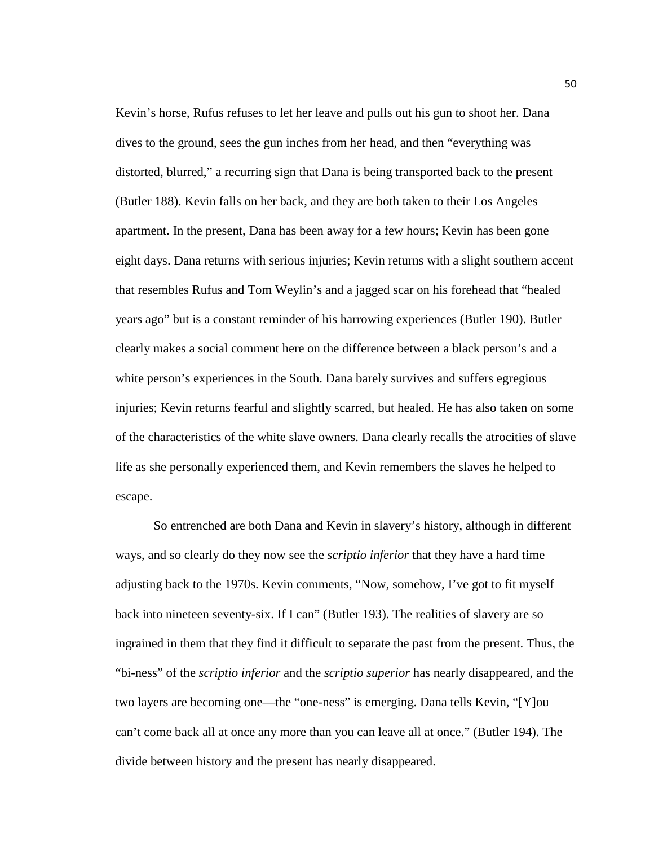Kevin's horse, Rufus refuses to let her leave and pulls out his gun to shoot her. Dana dives to the ground, sees the gun inches from her head, and then "everything was distorted, blurred," a recurring sign that Dana is being transported back to the present (Butler 188). Kevin falls on her back, and they are both taken to their Los Angeles apartment. In the present, Dana has been away for a few hours; Kevin has been gone eight days. Dana returns with serious injuries; Kevin returns with a slight southern accent that resembles Rufus and Tom Weylin's and a jagged scar on his forehead that "healed years ago" but is a constant reminder of his harrowing experiences (Butler 190). Butler clearly makes a social comment here on the difference between a black person's and a white person's experiences in the South. Dana barely survives and suffers egregious injuries; Kevin returns fearful and slightly scarred, but healed. He has also taken on some of the characteristics of the white slave owners. Dana clearly recalls the atrocities of slave life as she personally experienced them, and Kevin remembers the slaves he helped to escape.

So entrenched are both Dana and Kevin in slavery's history, although in different ways, and so clearly do they now see the *scriptio inferior* that they have a hard time adjusting back to the 1970s. Kevin comments, "Now, somehow, I've got to fit myself back into nineteen seventy-six. If I can" (Butler 193). The realities of slavery are so ingrained in them that they find it difficult to separate the past from the present. Thus, the "bi-ness" of the *scriptio inferior* and the *scriptio superior* has nearly disappeared, and the two layers are becoming one—the "one-ness" is emerging. Dana tells Kevin, "[Y]ou can't come back all at once any more than you can leave all at once." (Butler 194). The divide between history and the present has nearly disappeared.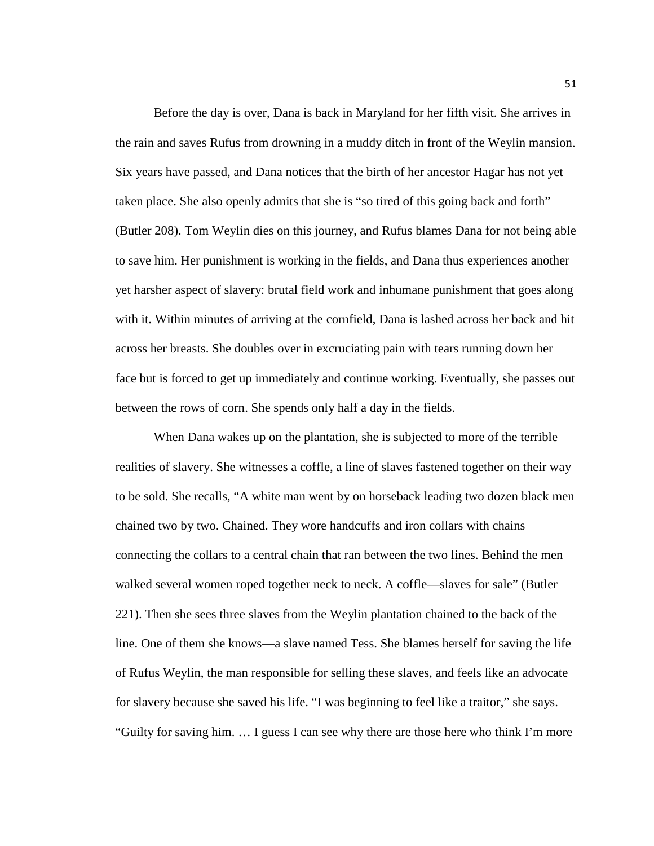Before the day is over, Dana is back in Maryland for her fifth visit. She arrives in the rain and saves Rufus from drowning in a muddy ditch in front of the Weylin mansion. Six years have passed, and Dana notices that the birth of her ancestor Hagar has not yet taken place. She also openly admits that she is "so tired of this going back and forth" (Butler 208). Tom Weylin dies on this journey, and Rufus blames Dana for not being able to save him. Her punishment is working in the fields, and Dana thus experiences another yet harsher aspect of slavery: brutal field work and inhumane punishment that goes along with it. Within minutes of arriving at the cornfield, Dana is lashed across her back and hit across her breasts. She doubles over in excruciating pain with tears running down her face but is forced to get up immediately and continue working. Eventually, she passes out between the rows of corn. She spends only half a day in the fields.

When Dana wakes up on the plantation, she is subjected to more of the terrible realities of slavery. She witnesses a coffle, a line of slaves fastened together on their way to be sold. She recalls, "A white man went by on horseback leading two dozen black men chained two by two. Chained. They wore handcuffs and iron collars with chains connecting the collars to a central chain that ran between the two lines. Behind the men walked several women roped together neck to neck. A coffle—slaves for sale" (Butler 221). Then she sees three slaves from the Weylin plantation chained to the back of the line. One of them she knows—a slave named Tess. She blames herself for saving the life of Rufus Weylin, the man responsible for selling these slaves, and feels like an advocate for slavery because she saved his life. "I was beginning to feel like a traitor," she says. "Guilty for saving him. … I guess I can see why there are those here who think I'm more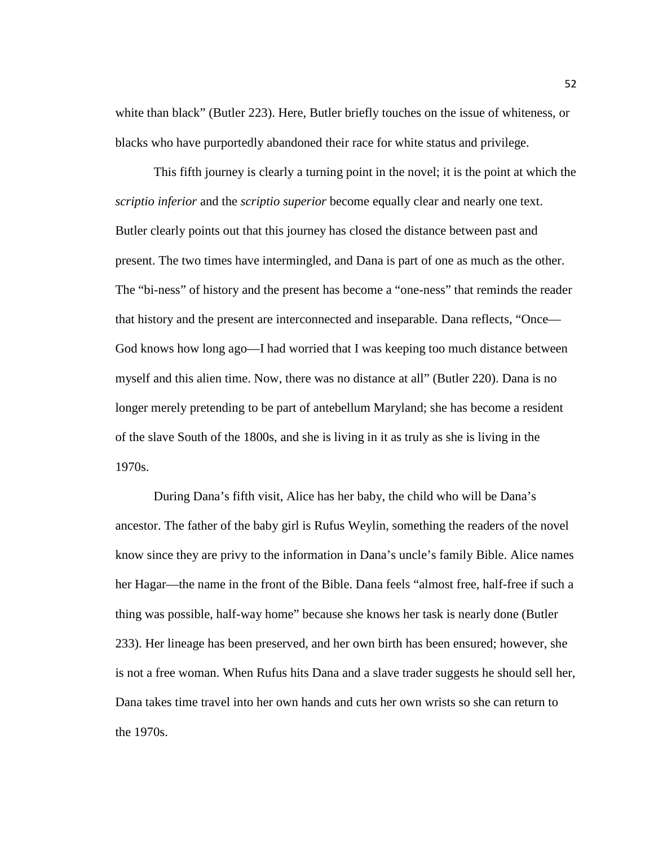white than black" (Butler 223). Here, Butler briefly touches on the issue of whiteness, or blacks who have purportedly abandoned their race for white status and privilege.

This fifth journey is clearly a turning point in the novel; it is the point at which the *scriptio inferior* and the *scriptio superior* become equally clear and nearly one text. Butler clearly points out that this journey has closed the distance between past and present. The two times have intermingled, and Dana is part of one as much as the other. The "bi-ness" of history and the present has become a "one-ness" that reminds the reader that history and the present are interconnected and inseparable. Dana reflects, "Once— God knows how long ago—I had worried that I was keeping too much distance between myself and this alien time. Now, there was no distance at all" (Butler 220). Dana is no longer merely pretending to be part of antebellum Maryland; she has become a resident of the slave South of the 1800s, and she is living in it as truly as she is living in the 1970s.

During Dana's fifth visit, Alice has her baby, the child who will be Dana's ancestor. The father of the baby girl is Rufus Weylin, something the readers of the novel know since they are privy to the information in Dana's uncle's family Bible. Alice names her Hagar—the name in the front of the Bible. Dana feels "almost free, half-free if such a thing was possible, half-way home" because she knows her task is nearly done (Butler 233). Her lineage has been preserved, and her own birth has been ensured; however, she is not a free woman. When Rufus hits Dana and a slave trader suggests he should sell her, Dana takes time travel into her own hands and cuts her own wrists so she can return to the 1970s.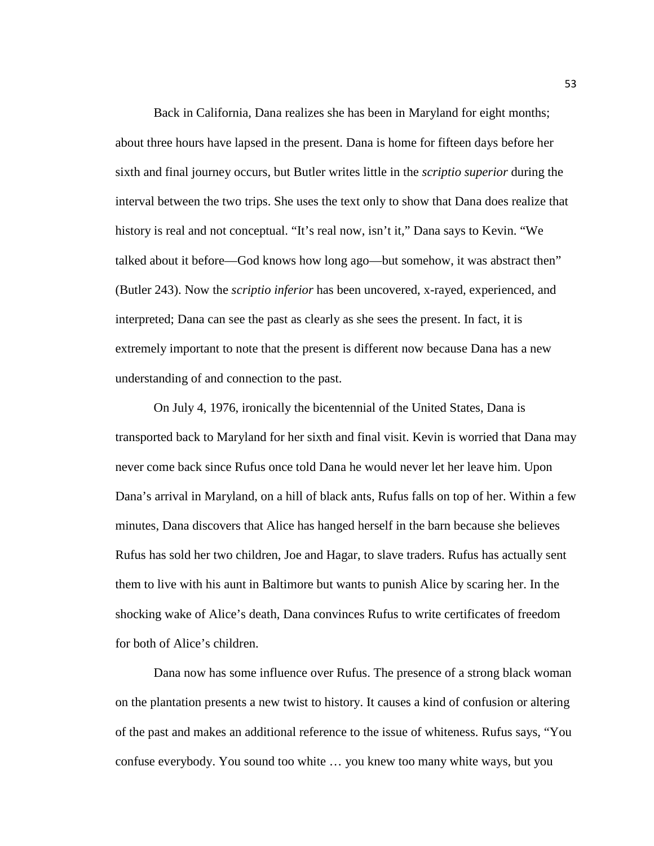Back in California, Dana realizes she has been in Maryland for eight months; about three hours have lapsed in the present. Dana is home for fifteen days before her sixth and final journey occurs, but Butler writes little in the *scriptio superior* during the interval between the two trips. She uses the text only to show that Dana does realize that history is real and not conceptual. "It's real now, isn't it," Dana says to Kevin. "We talked about it before—God knows how long ago—but somehow, it was abstract then" (Butler 243). Now the *scriptio inferior* has been uncovered, x-rayed, experienced, and interpreted; Dana can see the past as clearly as she sees the present. In fact, it is extremely important to note that the present is different now because Dana has a new understanding of and connection to the past.

On July 4, 1976, ironically the bicentennial of the United States, Dana is transported back to Maryland for her sixth and final visit. Kevin is worried that Dana may never come back since Rufus once told Dana he would never let her leave him. Upon Dana's arrival in Maryland, on a hill of black ants, Rufus falls on top of her. Within a few minutes, Dana discovers that Alice has hanged herself in the barn because she believes Rufus has sold her two children, Joe and Hagar, to slave traders. Rufus has actually sent them to live with his aunt in Baltimore but wants to punish Alice by scaring her. In the shocking wake of Alice's death, Dana convinces Rufus to write certificates of freedom for both of Alice's children.

Dana now has some influence over Rufus. The presence of a strong black woman on the plantation presents a new twist to history. It causes a kind of confusion or altering of the past and makes an additional reference to the issue of whiteness. Rufus says, "You confuse everybody. You sound too white … you knew too many white ways, but you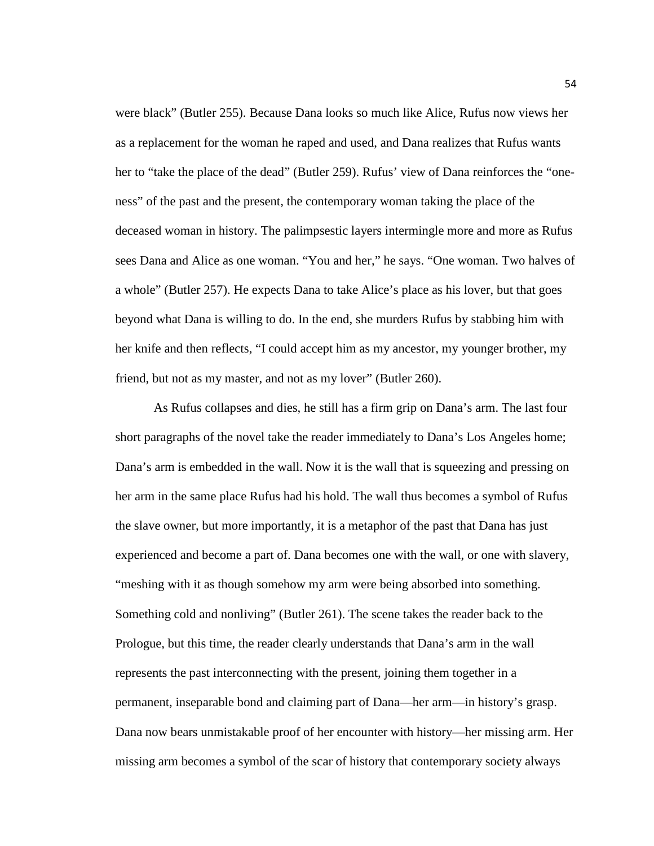were black" (Butler 255). Because Dana looks so much like Alice, Rufus now views her as a replacement for the woman he raped and used, and Dana realizes that Rufus wants her to "take the place of the dead" (Butler 259). Rufus' view of Dana reinforces the "oneness" of the past and the present, the contemporary woman taking the place of the deceased woman in history. The palimpsestic layers intermingle more and more as Rufus sees Dana and Alice as one woman. "You and her," he says. "One woman. Two halves of a whole" (Butler 257). He expects Dana to take Alice's place as his lover, but that goes beyond what Dana is willing to do. In the end, she murders Rufus by stabbing him with her knife and then reflects, "I could accept him as my ancestor, my younger brother, my friend, but not as my master, and not as my lover" (Butler 260).

As Rufus collapses and dies, he still has a firm grip on Dana's arm. The last four short paragraphs of the novel take the reader immediately to Dana's Los Angeles home; Dana's arm is embedded in the wall. Now it is the wall that is squeezing and pressing on her arm in the same place Rufus had his hold. The wall thus becomes a symbol of Rufus the slave owner, but more importantly, it is a metaphor of the past that Dana has just experienced and become a part of. Dana becomes one with the wall, or one with slavery, "meshing with it as though somehow my arm were being absorbed into something. Something cold and nonliving" (Butler 261). The scene takes the reader back to the Prologue, but this time, the reader clearly understands that Dana's arm in the wall represents the past interconnecting with the present, joining them together in a permanent, inseparable bond and claiming part of Dana—her arm—in history's grasp. Dana now bears unmistakable proof of her encounter with history—her missing arm. Her missing arm becomes a symbol of the scar of history that contemporary society always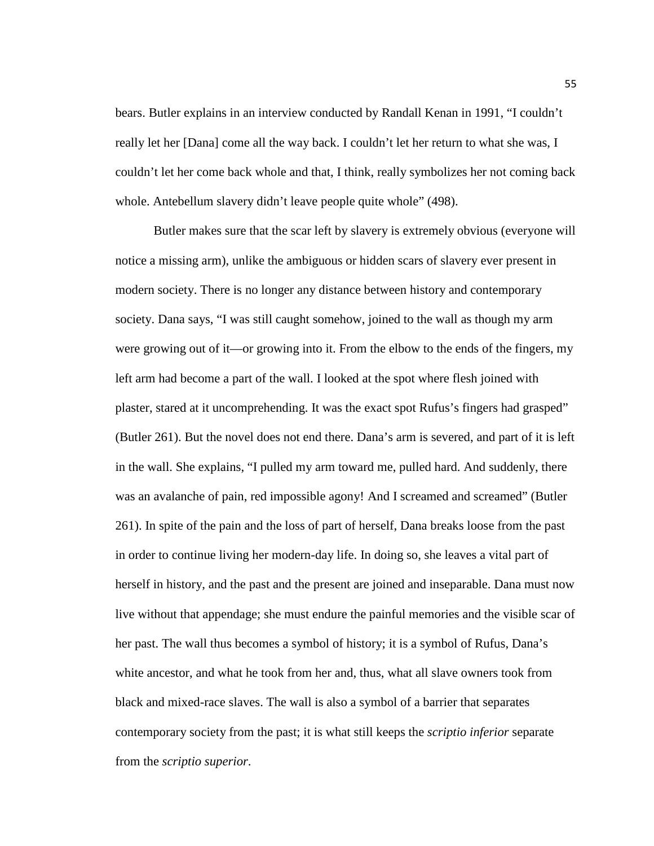bears. Butler explains in an interview conducted by Randall Kenan in 1991, "I couldn't really let her [Dana] come all the way back. I couldn't let her return to what she was, I couldn't let her come back whole and that, I think, really symbolizes her not coming back whole. Antebellum slavery didn't leave people quite whole" (498).

Butler makes sure that the scar left by slavery is extremely obvious (everyone will notice a missing arm), unlike the ambiguous or hidden scars of slavery ever present in modern society. There is no longer any distance between history and contemporary society. Dana says, "I was still caught somehow, joined to the wall as though my arm were growing out of it—or growing into it. From the elbow to the ends of the fingers, my left arm had become a part of the wall. I looked at the spot where flesh joined with plaster, stared at it uncomprehending. It was the exact spot Rufus's fingers had grasped" (Butler 261). But the novel does not end there. Dana's arm is severed, and part of it is left in the wall. She explains, "I pulled my arm toward me, pulled hard. And suddenly, there was an avalanche of pain, red impossible agony! And I screamed and screamed" (Butler 261). In spite of the pain and the loss of part of herself, Dana breaks loose from the past in order to continue living her modern-day life. In doing so, she leaves a vital part of herself in history, and the past and the present are joined and inseparable. Dana must now live without that appendage; she must endure the painful memories and the visible scar of her past. The wall thus becomes a symbol of history; it is a symbol of Rufus, Dana's white ancestor, and what he took from her and, thus, what all slave owners took from black and mixed-race slaves. The wall is also a symbol of a barrier that separates contemporary society from the past; it is what still keeps the *scriptio inferior* separate from the *scriptio superior*.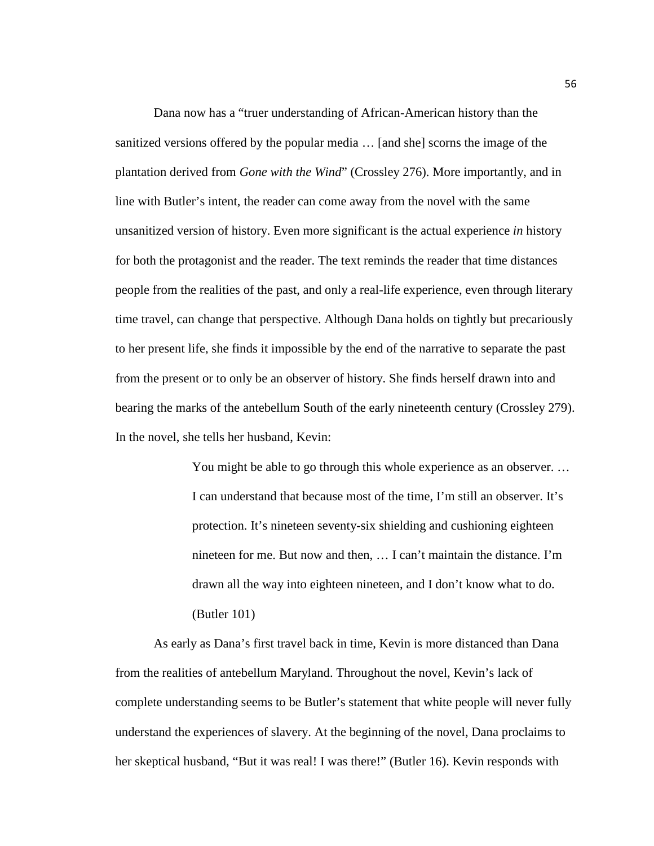Dana now has a "truer understanding of African-American history than the sanitized versions offered by the popular media … [and she] scorns the image of the plantation derived from *Gone with the Wind*" (Crossley 276). More importantly, and in line with Butler's intent, the reader can come away from the novel with the same unsanitized version of history. Even more significant is the actual experience *in* history for both the protagonist and the reader. The text reminds the reader that time distances people from the realities of the past, and only a real-life experience, even through literary time travel, can change that perspective. Although Dana holds on tightly but precariously to her present life, she finds it impossible by the end of the narrative to separate the past from the present or to only be an observer of history. She finds herself drawn into and bearing the marks of the antebellum South of the early nineteenth century (Crossley 279). In the novel, she tells her husband, Kevin:

> You might be able to go through this whole experience as an observer. … I can understand that because most of the time, I'm still an observer. It's protection. It's nineteen seventy-six shielding and cushioning eighteen nineteen for me. But now and then, … I can't maintain the distance. I'm drawn all the way into eighteen nineteen, and I don't know what to do. (Butler 101)

As early as Dana's first travel back in time, Kevin is more distanced than Dana from the realities of antebellum Maryland. Throughout the novel, Kevin's lack of complete understanding seems to be Butler's statement that white people will never fully understand the experiences of slavery. At the beginning of the novel, Dana proclaims to her skeptical husband, "But it was real! I was there!" (Butler 16). Kevin responds with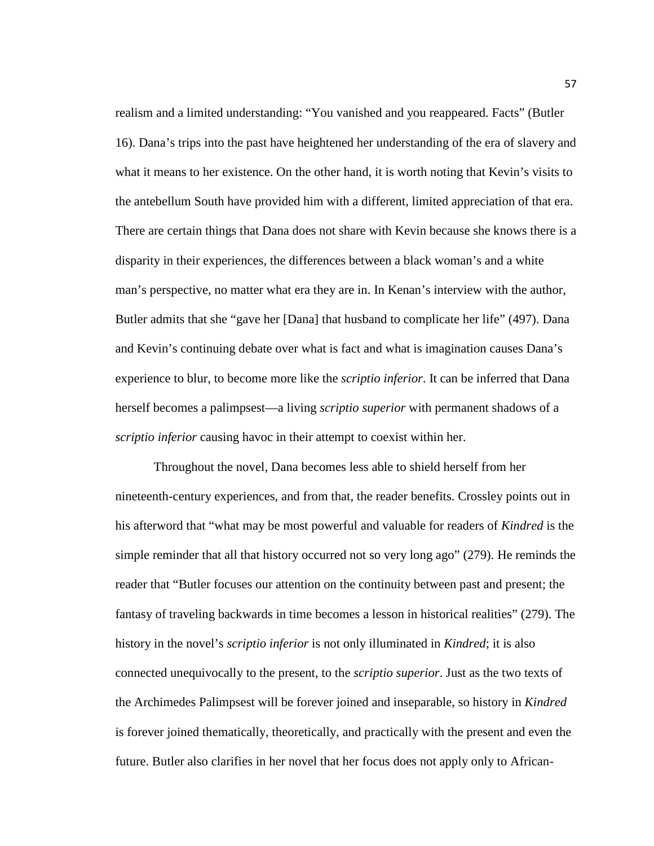realism and a limited understanding: "You vanished and you reappeared. Facts" (Butler 16). Dana's trips into the past have heightened her understanding of the era of slavery and what it means to her existence. On the other hand, it is worth noting that Kevin's visits to the antebellum South have provided him with a different, limited appreciation of that era. There are certain things that Dana does not share with Kevin because she knows there is a disparity in their experiences, the differences between a black woman's and a white man's perspective, no matter what era they are in. In Kenan's interview with the author, Butler admits that she "gave her [Dana] that husband to complicate her life" (497). Dana and Kevin's continuing debate over what is fact and what is imagination causes Dana's experience to blur, to become more like the *scriptio inferior*. It can be inferred that Dana herself becomes a palimpsest—a living *scriptio superior* with permanent shadows of a *scriptio inferior* causing havoc in their attempt to coexist within her.

Throughout the novel, Dana becomes less able to shield herself from her nineteenth-century experiences, and from that, the reader benefits. Crossley points out in his afterword that "what may be most powerful and valuable for readers of *Kindred* is the simple reminder that all that history occurred not so very long ago" (279). He reminds the reader that "Butler focuses our attention on the continuity between past and present; the fantasy of traveling backwards in time becomes a lesson in historical realities" (279). The history in the novel's *scriptio inferior* is not only illuminated in *Kindred*; it is also connected unequivocally to the present, to the *scriptio superior*. Just as the two texts of the Archimedes Palimpsest will be forever joined and inseparable, so history in *Kindred*  is forever joined thematically, theoretically, and practically with the present and even the future. Butler also clarifies in her novel that her focus does not apply only to African-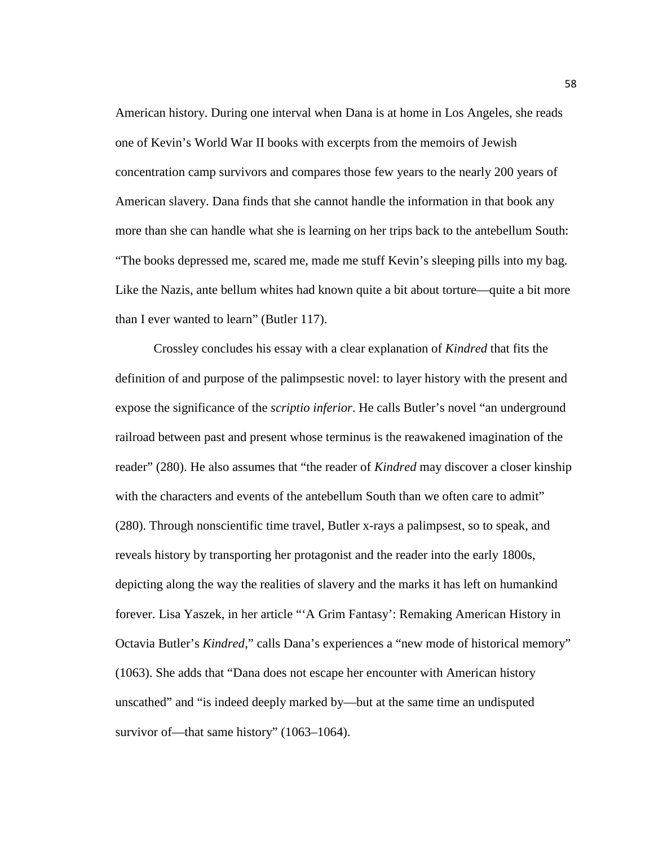American history. During one interval when Dana is at home in Los Angeles, she reads one of Kevin's World War II books with excerpts from the memoirs of Jewish concentration camp survivors and compares those few years to the nearly 200 years of American slavery. Dana finds that she cannot handle the information in that book any more than she can handle what she is learning on her trips back to the antebellum South: "The books depressed me, scared me, made me stuff Kevin's sleeping pills into my bag. Like the Nazis, ante bellum whites had known quite a bit about torture—quite a bit more than I ever wanted to learn" (Butler 117).

Crossley concludes his essay with a clear explanation of *Kindred* that fits the definition of and purpose of the palimpsestic novel: to layer history with the present and expose the significance of the *scriptio inferior*. He calls Butler's novel "an underground railroad between past and present whose terminus is the reawakened imagination of the reader" (280). He also assumes that "the reader of *Kindred* may discover a closer kinship with the characters and events of the antebellum South than we often care to admit" (280). Through nonscientific time travel, Butler x-rays a palimpsest, so to speak, and reveals history by transporting her protagonist and the reader into the early 1800s, depicting along the way the realities of slavery and the marks it has left on humankind forever. Lisa Yaszek, in her article "'A Grim Fantasy': Remaking American History in Octavia Butler's *Kindred*," calls Dana's experiences a "new mode of historical memory" (1063). She adds that "Dana does not escape her encounter with American history unscathed" and "is indeed deeply marked by—but at the same time an undisputed survivor of—that same history" (1063–1064).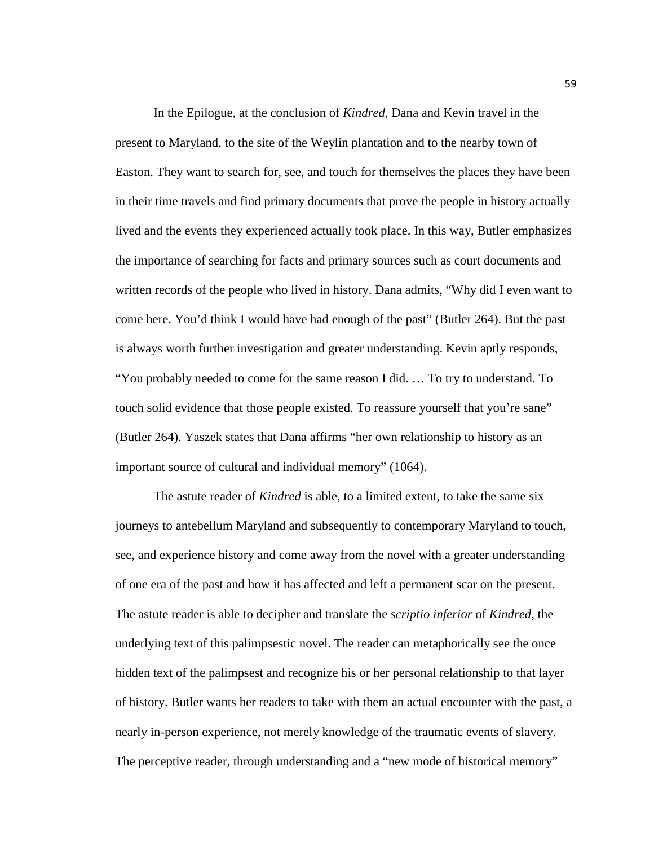In the Epilogue, at the conclusion of *Kindred*, Dana and Kevin travel in the present to Maryland, to the site of the Weylin plantation and to the nearby town of Easton. They want to search for, see, and touch for themselves the places they have been in their time travels and find primary documents that prove the people in history actually lived and the events they experienced actually took place. In this way, Butler emphasizes the importance of searching for facts and primary sources such as court documents and written records of the people who lived in history. Dana admits, "Why did I even want to come here. You'd think I would have had enough of the past" (Butler 264). But the past is always worth further investigation and greater understanding. Kevin aptly responds, "You probably needed to come for the same reason I did. … To try to understand. To touch solid evidence that those people existed. To reassure yourself that you're sane" (Butler 264). Yaszek states that Dana affirms "her own relationship to history as an important source of cultural and individual memory" (1064).

The astute reader of *Kindred* is able, to a limited extent, to take the same six journeys to antebellum Maryland and subsequently to contemporary Maryland to touch, see, and experience history and come away from the novel with a greater understanding of one era of the past and how it has affected and left a permanent scar on the present. The astute reader is able to decipher and translate the *scriptio inferior* of *Kindred*, the underlying text of this palimpsestic novel. The reader can metaphorically see the once hidden text of the palimpsest and recognize his or her personal relationship to that layer of history. Butler wants her readers to take with them an actual encounter with the past, a nearly in-person experience, not merely knowledge of the traumatic events of slavery. The perceptive reader, through understanding and a "new mode of historical memory"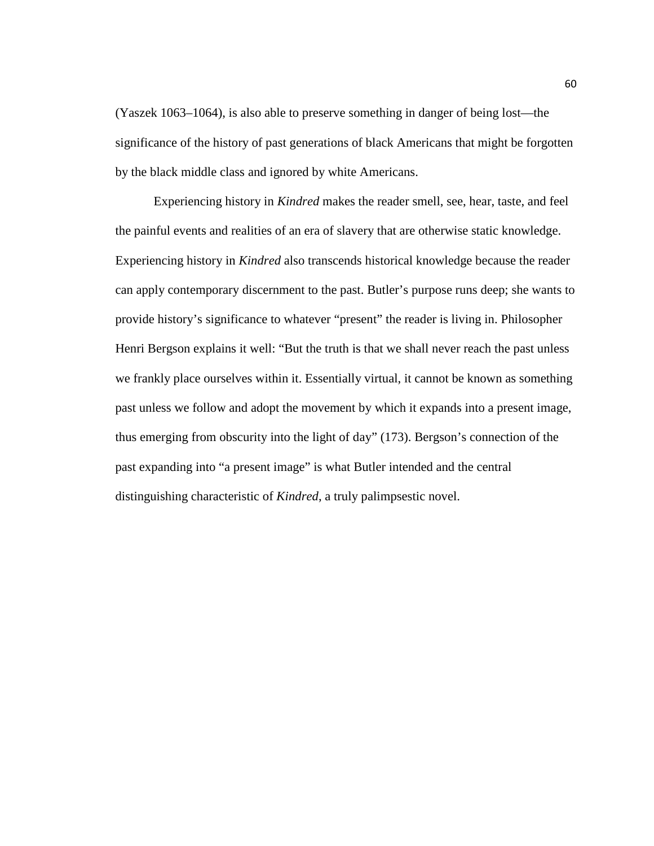(Yaszek 1063–1064), is also able to preserve something in danger of being lost—the significance of the history of past generations of black Americans that might be forgotten by the black middle class and ignored by white Americans.

Experiencing history in *Kindred* makes the reader smell, see, hear, taste, and feel the painful events and realities of an era of slavery that are otherwise static knowledge. Experiencing history in *Kindred* also transcends historical knowledge because the reader can apply contemporary discernment to the past. Butler's purpose runs deep; she wants to provide history's significance to whatever "present" the reader is living in. Philosopher Henri Bergson explains it well: "But the truth is that we shall never reach the past unless we frankly place ourselves within it. Essentially virtual, it cannot be known as something past unless we follow and adopt the movement by which it expands into a present image, thus emerging from obscurity into the light of day" (173). Bergson's connection of the past expanding into "a present image" is what Butler intended and the central distinguishing characteristic of *Kindred*, a truly palimpsestic novel.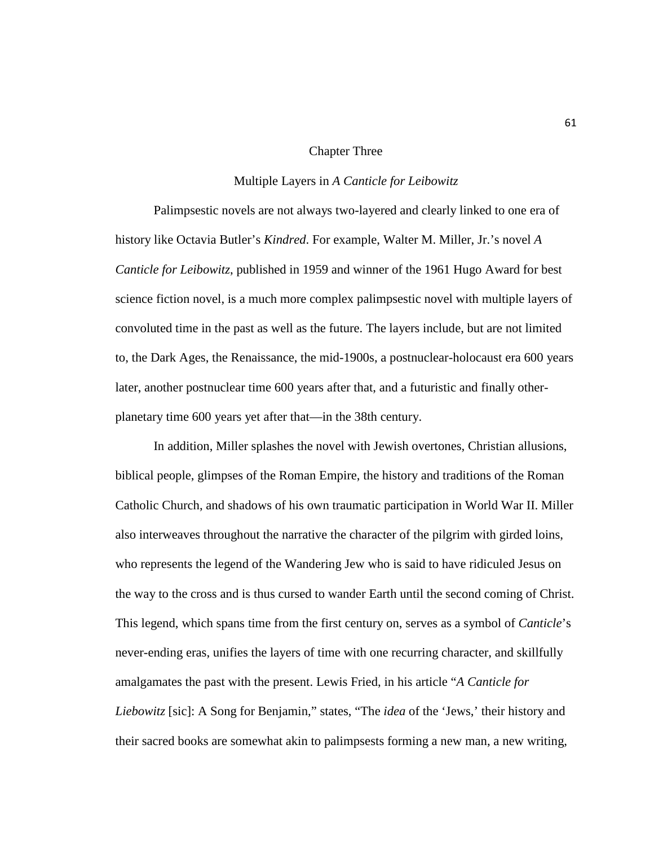#### Chapter Three

#### Multiple Layers in *A Canticle for Leibowitz*

Palimpsestic novels are not always two-layered and clearly linked to one era of history like Octavia Butler's *Kindred*. For example, Walter M. Miller, Jr.'s novel *A Canticle for Leibowitz*, published in 1959 and winner of the 1961 Hugo Award for best science fiction novel, is a much more complex palimpsestic novel with multiple layers of convoluted time in the past as well as the future. The layers include, but are not limited to, the Dark Ages, the Renaissance, the mid-1900s, a postnuclear-holocaust era 600 years later, another postnuclear time 600 years after that, and a futuristic and finally otherplanetary time 600 years yet after that—in the 38th century.

In addition, Miller splashes the novel with Jewish overtones, Christian allusions, biblical people, glimpses of the Roman Empire, the history and traditions of the Roman Catholic Church, and shadows of his own traumatic participation in World War II. Miller also interweaves throughout the narrative the character of the pilgrim with girded loins, who represents the legend of the Wandering Jew who is said to have ridiculed Jesus on the way to the cross and is thus cursed to wander Earth until the second coming of Christ. This legend, which spans time from the first century on, serves as a symbol of *Canticle*'s never-ending eras, unifies the layers of time with one recurring character, and skillfully amalgamates the past with the present. Lewis Fried, in his article "*A Canticle for Liebowitz* [sic]: A Song for Benjamin," states, "The *idea* of the 'Jews,' their history and their sacred books are somewhat akin to palimpsests forming a new man, a new writing,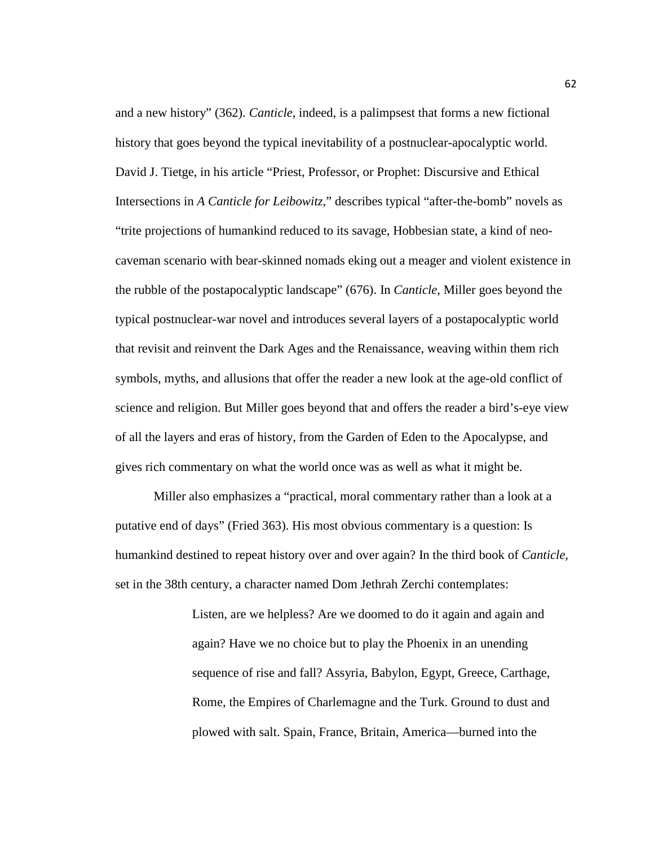and a new history" (362). *Canticle*, indeed, is a palimpsest that forms a new fictional history that goes beyond the typical inevitability of a postnuclear-apocalyptic world. David J. Tietge, in his article "Priest, Professor, or Prophet: Discursive and Ethical Intersections in *A Canticle for Leibowitz*," describes typical "after-the-bomb" novels as "trite projections of humankind reduced to its savage, Hobbesian state, a kind of neocaveman scenario with bear-skinned nomads eking out a meager and violent existence in the rubble of the postapocalyptic landscape" (676). In *Canticle*, Miller goes beyond the typical postnuclear-war novel and introduces several layers of a postapocalyptic world that revisit and reinvent the Dark Ages and the Renaissance, weaving within them rich symbols, myths, and allusions that offer the reader a new look at the age-old conflict of science and religion. But Miller goes beyond that and offers the reader a bird's-eye view of all the layers and eras of history, from the Garden of Eden to the Apocalypse, and gives rich commentary on what the world once was as well as what it might be.

Miller also emphasizes a "practical, moral commentary rather than a look at a putative end of days" (Fried 363). His most obvious commentary is a question: Is humankind destined to repeat history over and over again? In the third book of *Canticle*, set in the 38th century, a character named Dom Jethrah Zerchi contemplates:

> Listen, are we helpless? Are we doomed to do it again and again and again? Have we no choice but to play the Phoenix in an unending sequence of rise and fall? Assyria, Babylon, Egypt, Greece, Carthage, Rome, the Empires of Charlemagne and the Turk. Ground to dust and plowed with salt. Spain, France, Britain, America—burned into the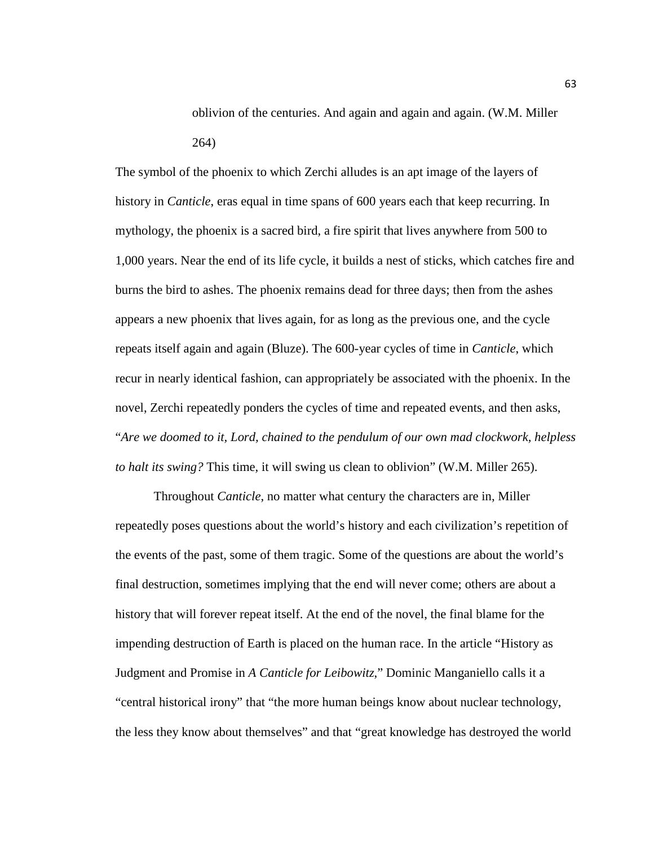oblivion of the centuries. And again and again and again. (W.M. Miller 264)

The symbol of the phoenix to which Zerchi alludes is an apt image of the layers of history in *Canticle*, eras equal in time spans of 600 years each that keep recurring. In mythology, the phoenix is a sacred bird, a fire spirit that lives anywhere from 500 to 1,000 years. Near the end of its life cycle, it builds a nest of sticks, which catches fire and burns the bird to ashes. The phoenix remains dead for three days; then from the ashes appears a new phoenix that lives again, for as long as the previous one, and the cycle repeats itself again and again (Bluze). The 600-year cycles of time in *Canticle*, which recur in nearly identical fashion, can appropriately be associated with the phoenix. In the novel, Zerchi repeatedly ponders the cycles of time and repeated events, and then asks, "*Are we doomed to it, Lord, chained to the pendulum of our own mad clockwork, helpless to halt its swing?* This time, it will swing us clean to oblivion" (W.M. Miller 265).

Throughout *Canticle*, no matter what century the characters are in, Miller repeatedly poses questions about the world's history and each civilization's repetition of the events of the past, some of them tragic. Some of the questions are about the world's final destruction, sometimes implying that the end will never come; others are about a history that will forever repeat itself. At the end of the novel, the final blame for the impending destruction of Earth is placed on the human race. In the article "History as Judgment and Promise in *A Canticle for Leibowitz*," Dominic Manganiello calls it a "central historical irony" that "the more human beings know about nuclear technology, the less they know about themselves" and that "great knowledge has destroyed the world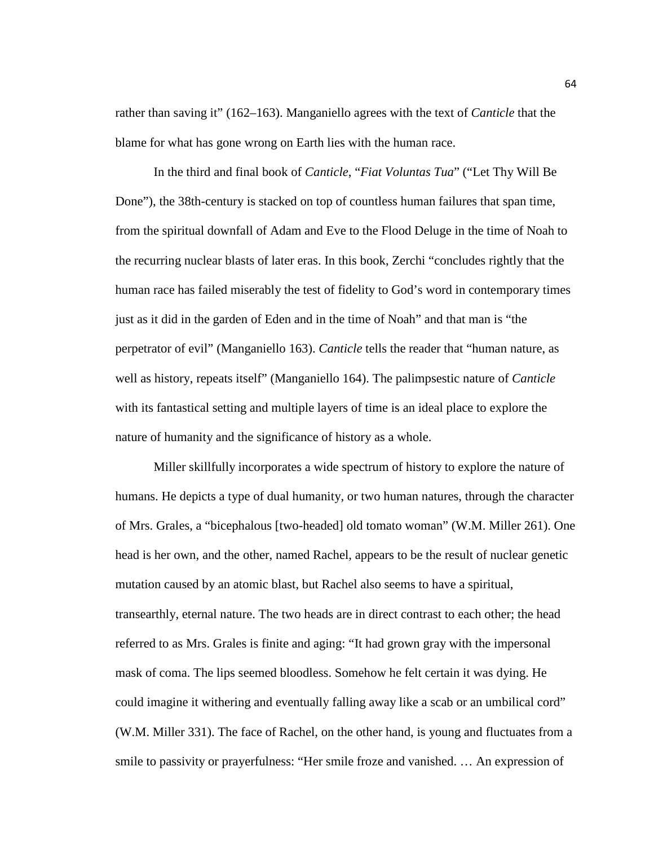rather than saving it" (162–163). Manganiello agrees with the text of *Canticle* that the blame for what has gone wrong on Earth lies with the human race.

In the third and final book of *Canticle*, "*Fiat Voluntas Tua*" ("Let Thy Will Be Done"), the 38th-century is stacked on top of countless human failures that span time, from the spiritual downfall of Adam and Eve to the Flood Deluge in the time of Noah to the recurring nuclear blasts of later eras. In this book, Zerchi "concludes rightly that the human race has failed miserably the test of fidelity to God's word in contemporary times just as it did in the garden of Eden and in the time of Noah" and that man is "the perpetrator of evil" (Manganiello 163). *Canticle* tells the reader that "human nature, as well as history, repeats itself" (Manganiello 164). The palimpsestic nature of *Canticle* with its fantastical setting and multiple layers of time is an ideal place to explore the nature of humanity and the significance of history as a whole.

Miller skillfully incorporates a wide spectrum of history to explore the nature of humans. He depicts a type of dual humanity, or two human natures, through the character of Mrs. Grales, a "bicephalous [two-headed] old tomato woman" (W.M. Miller 261). One head is her own, and the other, named Rachel, appears to be the result of nuclear genetic mutation caused by an atomic blast, but Rachel also seems to have a spiritual, transearthly, eternal nature. The two heads are in direct contrast to each other; the head referred to as Mrs. Grales is finite and aging: "It had grown gray with the impersonal mask of coma. The lips seemed bloodless. Somehow he felt certain it was dying. He could imagine it withering and eventually falling away like a scab or an umbilical cord" (W.M. Miller 331). The face of Rachel, on the other hand, is young and fluctuates from a smile to passivity or prayerfulness: "Her smile froze and vanished. … An expression of

64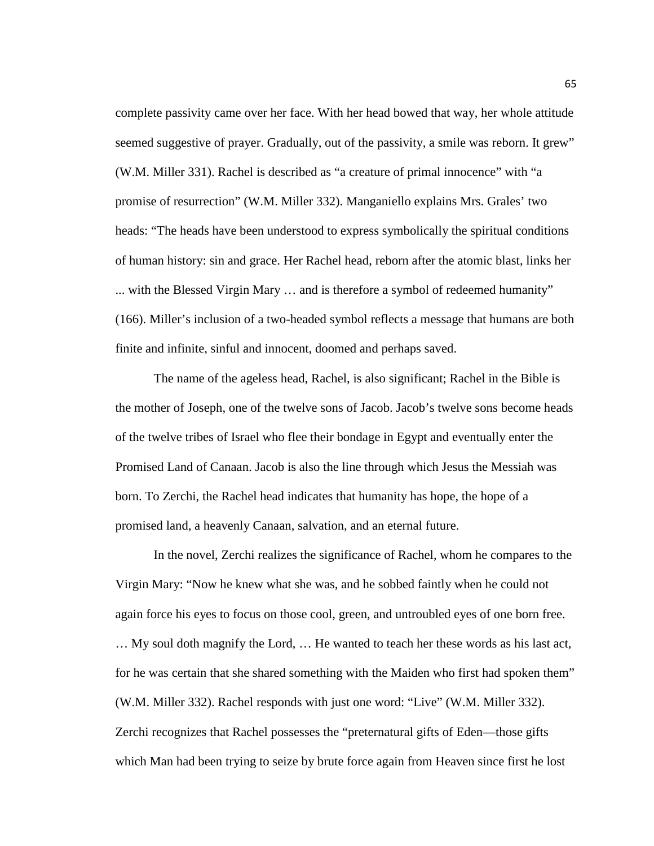complete passivity came over her face. With her head bowed that way, her whole attitude seemed suggestive of prayer. Gradually, out of the passivity, a smile was reborn. It grew" (W.M. Miller 331). Rachel is described as "a creature of primal innocence" with "a promise of resurrection" (W.M. Miller 332). Manganiello explains Mrs. Grales' two heads: "The heads have been understood to express symbolically the spiritual conditions of human history: sin and grace. Her Rachel head, reborn after the atomic blast, links her ... with the Blessed Virgin Mary … and is therefore a symbol of redeemed humanity" (166). Miller's inclusion of a two-headed symbol reflects a message that humans are both finite and infinite, sinful and innocent, doomed and perhaps saved.

The name of the ageless head, Rachel, is also significant; Rachel in the Bible is the mother of Joseph, one of the twelve sons of Jacob. Jacob's twelve sons become heads of the twelve tribes of Israel who flee their bondage in Egypt and eventually enter the Promised Land of Canaan. Jacob is also the line through which Jesus the Messiah was born. To Zerchi, the Rachel head indicates that humanity has hope, the hope of a promised land, a heavenly Canaan, salvation, and an eternal future.

In the novel, Zerchi realizes the significance of Rachel, whom he compares to the Virgin Mary: "Now he knew what she was, and he sobbed faintly when he could not again force his eyes to focus on those cool, green, and untroubled eyes of one born free. … My soul doth magnify the Lord, … He wanted to teach her these words as his last act, for he was certain that she shared something with the Maiden who first had spoken them" (W.M. Miller 332). Rachel responds with just one word: "Live" (W.M. Miller 332). Zerchi recognizes that Rachel possesses the "preternatural gifts of Eden—those gifts which Man had been trying to seize by brute force again from Heaven since first he lost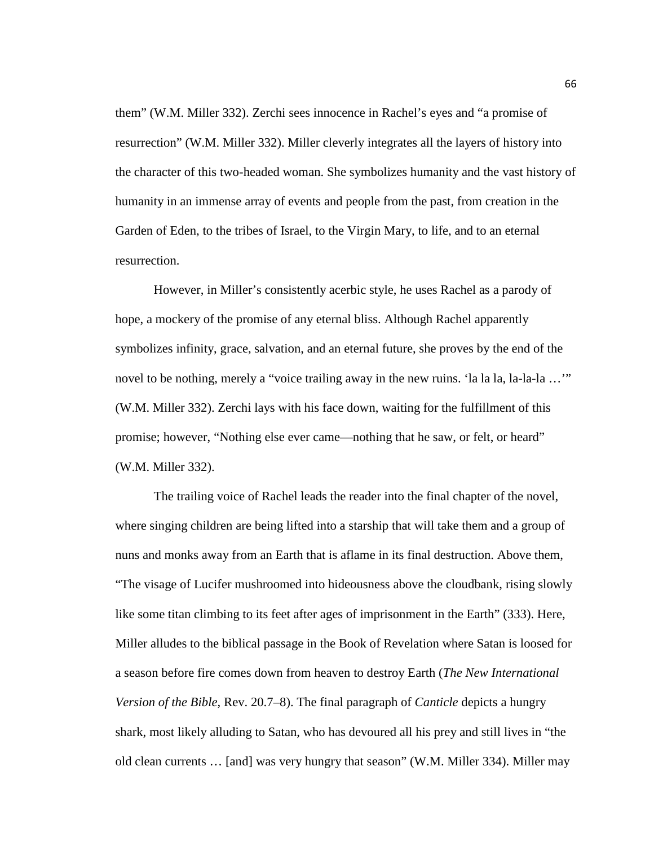them" (W.M. Miller 332). Zerchi sees innocence in Rachel's eyes and "a promise of resurrection" (W.M. Miller 332). Miller cleverly integrates all the layers of history into the character of this two-headed woman. She symbolizes humanity and the vast history of humanity in an immense array of events and people from the past, from creation in the Garden of Eden, to the tribes of Israel, to the Virgin Mary, to life, and to an eternal resurrection.

However, in Miller's consistently acerbic style, he uses Rachel as a parody of hope, a mockery of the promise of any eternal bliss. Although Rachel apparently symbolizes infinity, grace, salvation, and an eternal future, she proves by the end of the novel to be nothing, merely a "voice trailing away in the new ruins. 'la la la, la-la-la ..." (W.M. Miller 332). Zerchi lays with his face down, waiting for the fulfillment of this promise; however, "Nothing else ever came—nothing that he saw, or felt, or heard" (W.M. Miller 332).

The trailing voice of Rachel leads the reader into the final chapter of the novel, where singing children are being lifted into a starship that will take them and a group of nuns and monks away from an Earth that is aflame in its final destruction. Above them, "The visage of Lucifer mushroomed into hideousness above the cloudbank, rising slowly like some titan climbing to its feet after ages of imprisonment in the Earth" (333). Here, Miller alludes to the biblical passage in the Book of Revelation where Satan is loosed for a season before fire comes down from heaven to destroy Earth (*The New International Version of the Bible*, Rev. 20.7–8). The final paragraph of *Canticle* depicts a hungry shark, most likely alluding to Satan, who has devoured all his prey and still lives in "the old clean currents … [and] was very hungry that season" (W.M. Miller 334). Miller may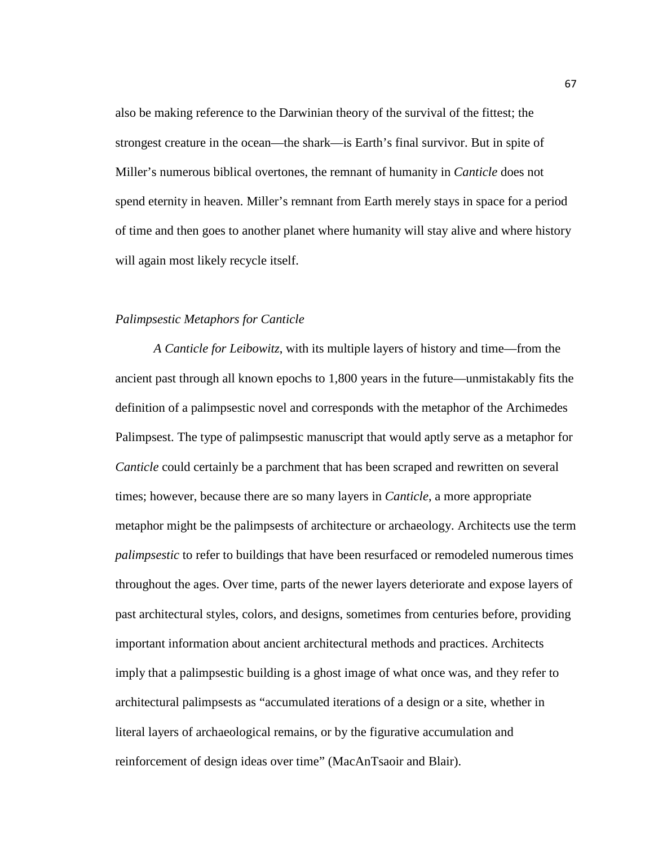also be making reference to the Darwinian theory of the survival of the fittest; the strongest creature in the ocean—the shark—is Earth's final survivor. But in spite of Miller's numerous biblical overtones, the remnant of humanity in *Canticle* does not spend eternity in heaven. Miller's remnant from Earth merely stays in space for a period of time and then goes to another planet where humanity will stay alive and where history will again most likely recycle itself.

## *Palimpsestic Metaphors for Canticle*

*A Canticle for Leibowitz*, with its multiple layers of history and time—from the ancient past through all known epochs to 1,800 years in the future—unmistakably fits the definition of a palimpsestic novel and corresponds with the metaphor of the Archimedes Palimpsest. The type of palimpsestic manuscript that would aptly serve as a metaphor for *Canticle* could certainly be a parchment that has been scraped and rewritten on several times; however, because there are so many layers in *Canticle*, a more appropriate metaphor might be the palimpsests of architecture or archaeology. Architects use the term *palimpsestic* to refer to buildings that have been resurfaced or remodeled numerous times throughout the ages. Over time, parts of the newer layers deteriorate and expose layers of past architectural styles, colors, and designs, sometimes from centuries before, providing important information about ancient architectural methods and practices. Architects imply that a palimpsestic building is a ghost image of what once was, and they refer to architectural palimpsests as "accumulated iterations of a design or a site, whether in literal layers of archaeological remains, or by the figurative accumulation and reinforcement of design ideas over time" (MacAnTsaoir and Blair).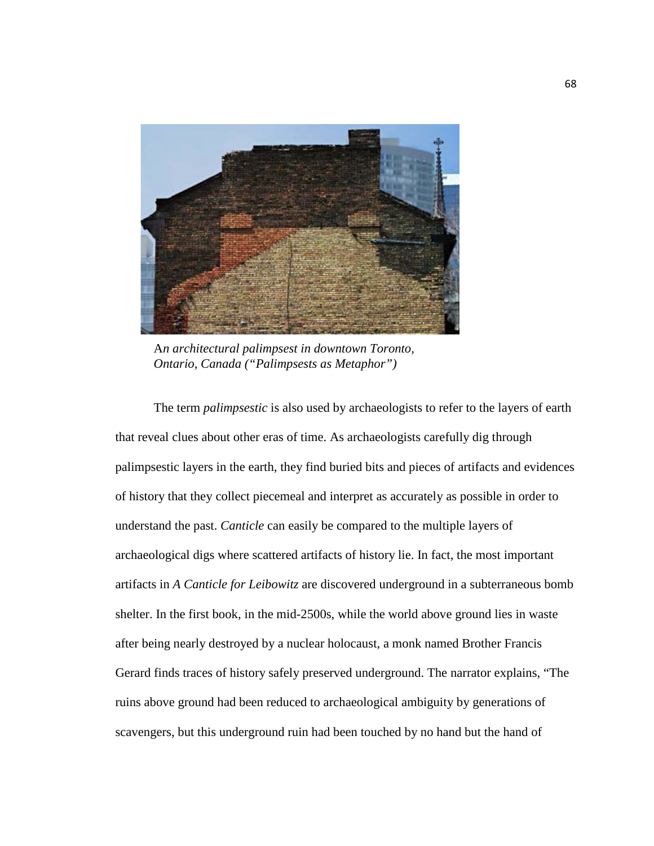

A*n architectural palimpsest in downtown Toronto, Ontario, Canada ("Palimpsests as Metaphor")*

The term *palimpsestic* is also used by archaeologists to refer to the layers of earth that reveal clues about other eras of time. As archaeologists carefully dig through palimpsestic layers in the earth, they find buried bits and pieces of artifacts and evidences of history that they collect piecemeal and interpret as accurately as possible in order to understand the past. *Canticle* can easily be compared to the multiple layers of archaeological digs where scattered artifacts of history lie. In fact, the most important artifacts in *A Canticle for Leibowitz* are discovered underground in a subterraneous bomb shelter. In the first book, in the mid-2500s, while the world above ground lies in waste after being nearly destroyed by a nuclear holocaust, a monk named Brother Francis Gerard finds traces of history safely preserved underground. The narrator explains, "The ruins above ground had been reduced to archaeological ambiguity by generations of scavengers, but this underground ruin had been touched by no hand but the hand of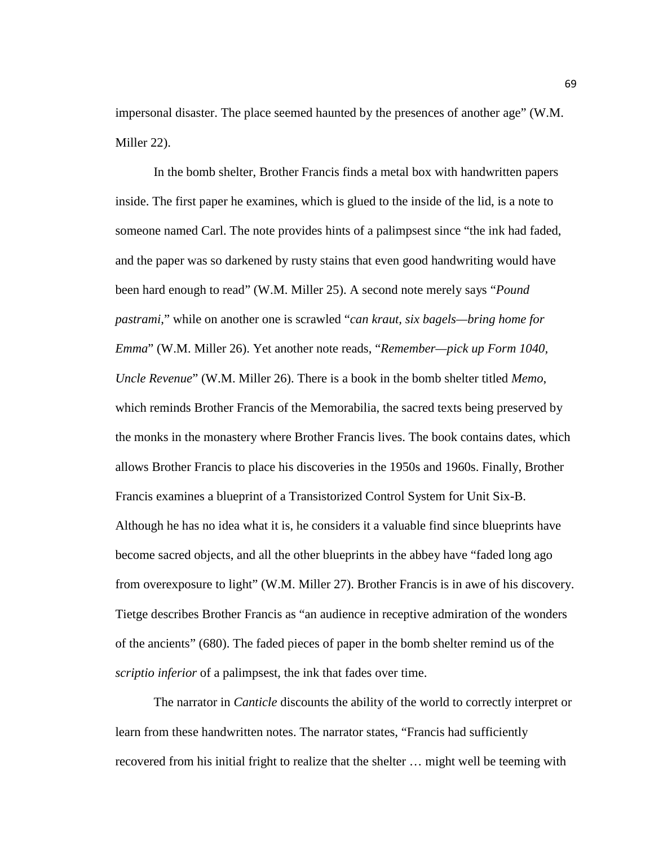impersonal disaster. The place seemed haunted by the presences of another age" (W.M. Miller 22).

In the bomb shelter, Brother Francis finds a metal box with handwritten papers inside. The first paper he examines, which is glued to the inside of the lid, is a note to someone named Carl. The note provides hints of a palimpsest since "the ink had faded, and the paper was so darkened by rusty stains that even good handwriting would have been hard enough to read" (W.M. Miller 25). A second note merely says "*Pound pastrami*," while on another one is scrawled "*can kraut, six bagels—bring home for Emma*" (W.M. Miller 26). Yet another note reads, "*Remember—pick up Form 1040, Uncle Revenue*" (W.M. Miller 26). There is a book in the bomb shelter titled *Memo*, which reminds Brother Francis of the Memorabilia, the sacred texts being preserved by the monks in the monastery where Brother Francis lives. The book contains dates, which allows Brother Francis to place his discoveries in the 1950s and 1960s. Finally, Brother Francis examines a blueprint of a Transistorized Control System for Unit Six-B. Although he has no idea what it is, he considers it a valuable find since blueprints have become sacred objects, and all the other blueprints in the abbey have "faded long ago from overexposure to light" (W.M. Miller 27). Brother Francis is in awe of his discovery. Tietge describes Brother Francis as "an audience in receptive admiration of the wonders of the ancients" (680). The faded pieces of paper in the bomb shelter remind us of the *scriptio inferior* of a palimpsest, the ink that fades over time.

The narrator in *Canticle* discounts the ability of the world to correctly interpret or learn from these handwritten notes. The narrator states, "Francis had sufficiently recovered from his initial fright to realize that the shelter … might well be teeming with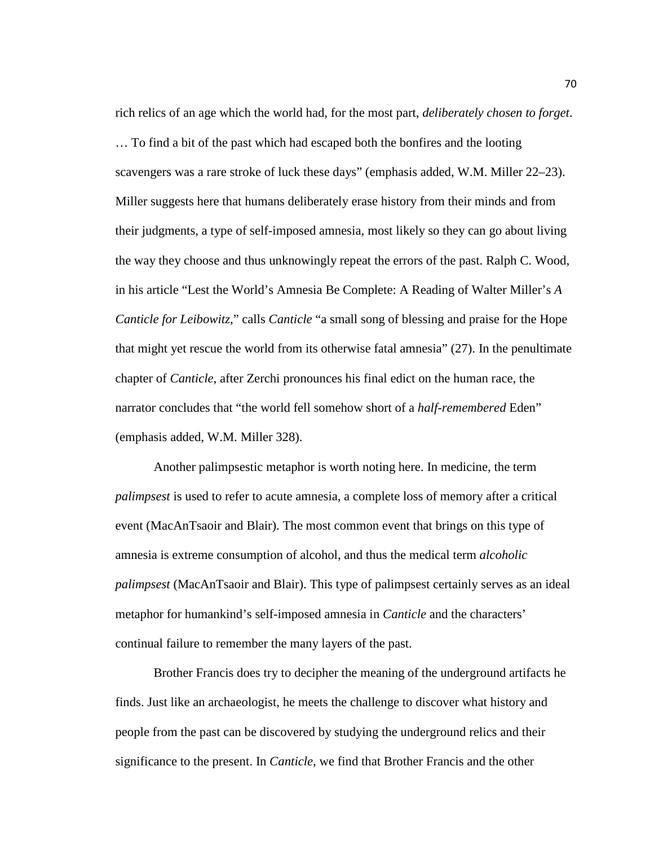rich relics of an age which the world had, for the most part, *deliberately chosen to forget*. … To find a bit of the past which had escaped both the bonfires and the looting scavengers was a rare stroke of luck these days" (emphasis added, W.M. Miller 22–23). Miller suggests here that humans deliberately erase history from their minds and from their judgments, a type of self-imposed amnesia, most likely so they can go about living the way they choose and thus unknowingly repeat the errors of the past. Ralph C. Wood, in his article "Lest the World's Amnesia Be Complete: A Reading of Walter Miller's *A Canticle for Leibowitz*," calls *Canticle* "a small song of blessing and praise for the Hope that might yet rescue the world from its otherwise fatal amnesia" (27). In the penultimate chapter of *Canticle*, after Zerchi pronounces his final edict on the human race, the narrator concludes that "the world fell somehow short of a *half-remembered* Eden" (emphasis added, W.M. Miller 328).

Another palimpsestic metaphor is worth noting here. In medicine, the term *palimpsest* is used to refer to acute amnesia, a complete loss of memory after a critical event (MacAnTsaoir and Blair). The most common event that brings on this type of amnesia is extreme consumption of alcohol, and thus the medical term *alcoholic palimpsest* (MacAnTsaoir and Blair). This type of palimpsest certainly serves as an ideal metaphor for humankind's self-imposed amnesia in *Canticle* and the characters' continual failure to remember the many layers of the past.

Brother Francis does try to decipher the meaning of the underground artifacts he finds. Just like an archaeologist, he meets the challenge to discover what history and people from the past can be discovered by studying the underground relics and their significance to the present. In *Canticle*, we find that Brother Francis and the other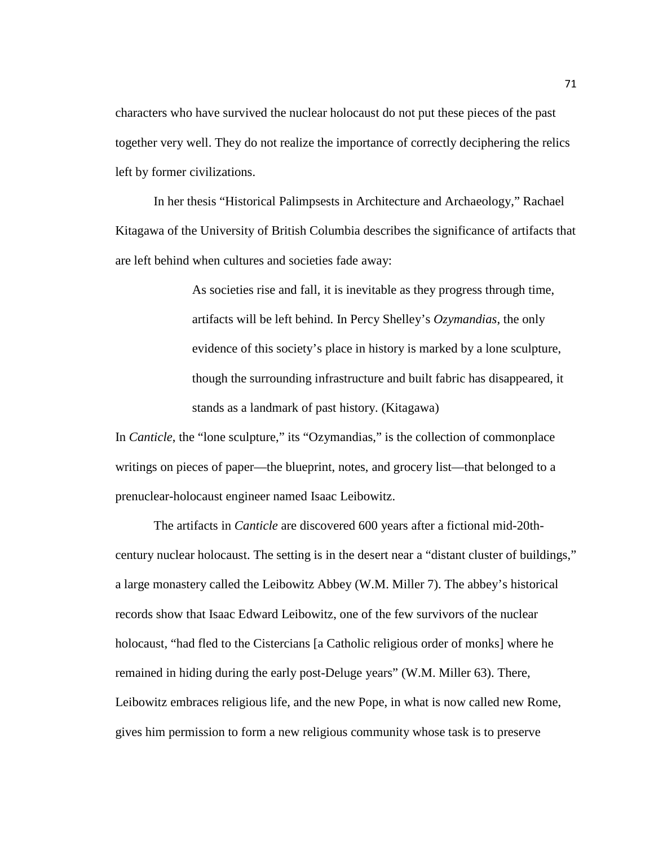characters who have survived the nuclear holocaust do not put these pieces of the past together very well. They do not realize the importance of correctly deciphering the relics left by former civilizations.

In her thesis "Historical Palimpsests in Architecture and Archaeology," Rachael Kitagawa of the University of British Columbia describes the significance of artifacts that are left behind when cultures and societies fade away:

> As societies rise and fall, it is inevitable as they progress through time, artifacts will be left behind. In Percy Shelley's *Ozymandias*, the only evidence of this society's place in history is marked by a lone sculpture, though the surrounding infrastructure and built fabric has disappeared, it stands as a landmark of past history. (Kitagawa)

In *Canticle*, the "lone sculpture," its "Ozymandias," is the collection of commonplace writings on pieces of paper—the blueprint, notes, and grocery list—that belonged to a prenuclear-holocaust engineer named Isaac Leibowitz.

The artifacts in *Canticle* are discovered 600 years after a fictional mid-20thcentury nuclear holocaust. The setting is in the desert near a "distant cluster of buildings," a large monastery called the Leibowitz Abbey (W.M. Miller 7). The abbey's historical records show that Isaac Edward Leibowitz, one of the few survivors of the nuclear holocaust, "had fled to the Cistercians [a Catholic religious order of monks] where he remained in hiding during the early post-Deluge years" (W.M. Miller 63). There, Leibowitz embraces religious life, and the new Pope, in what is now called new Rome, gives him permission to form a new religious community whose task is to preserve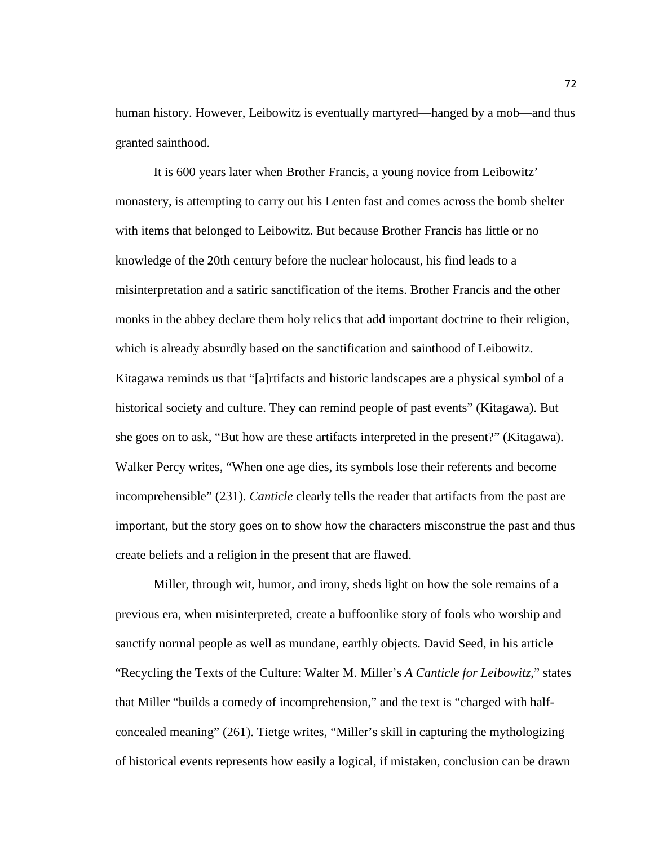human history. However, Leibowitz is eventually martyred—hanged by a mob—and thus granted sainthood.

It is 600 years later when Brother Francis, a young novice from Leibowitz' monastery, is attempting to carry out his Lenten fast and comes across the bomb shelter with items that belonged to Leibowitz. But because Brother Francis has little or no knowledge of the 20th century before the nuclear holocaust, his find leads to a misinterpretation and a satiric sanctification of the items. Brother Francis and the other monks in the abbey declare them holy relics that add important doctrine to their religion, which is already absurdly based on the sanctification and sainthood of Leibowitz. Kitagawa reminds us that "[a]rtifacts and historic landscapes are a physical symbol of a historical society and culture. They can remind people of past events" (Kitagawa). But she goes on to ask, "But how are these artifacts interpreted in the present?" (Kitagawa). Walker Percy writes, "When one age dies, its symbols lose their referents and become incomprehensible" (231). *Canticle* clearly tells the reader that artifacts from the past are important, but the story goes on to show how the characters misconstrue the past and thus create beliefs and a religion in the present that are flawed.

Miller, through wit, humor, and irony, sheds light on how the sole remains of a previous era, when misinterpreted, create a buffoonlike story of fools who worship and sanctify normal people as well as mundane, earthly objects. David Seed, in his article "Recycling the Texts of the Culture: Walter M. Miller's *A Canticle for Leibowitz*," states that Miller "builds a comedy of incomprehension," and the text is "charged with halfconcealed meaning" (261). Tietge writes, "Miller's skill in capturing the mythologizing of historical events represents how easily a logical, if mistaken, conclusion can be drawn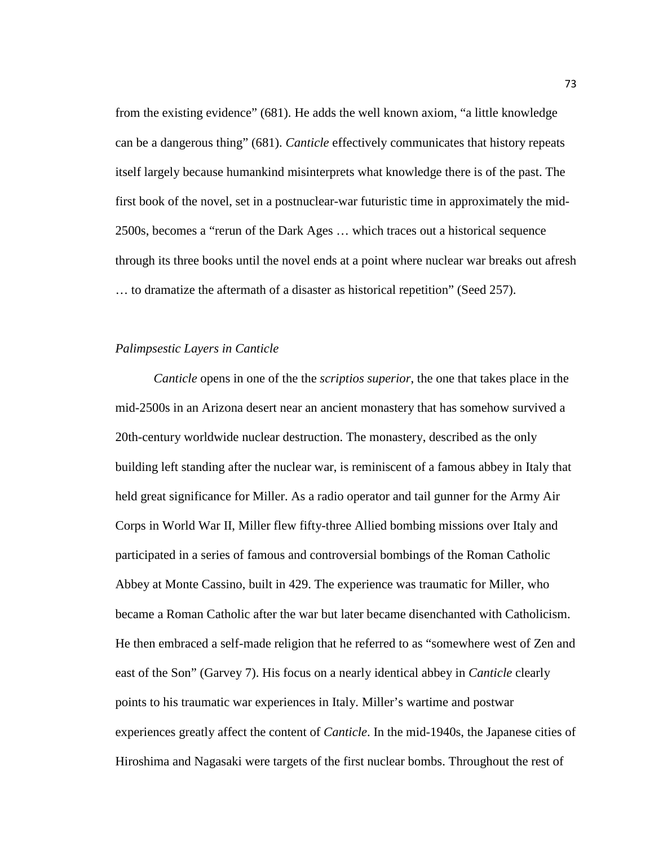from the existing evidence" (681). He adds the well known axiom, "a little knowledge can be a dangerous thing" (681). *Canticle* effectively communicates that history repeats itself largely because humankind misinterprets what knowledge there is of the past. The first book of the novel, set in a postnuclear-war futuristic time in approximately the mid-2500s, becomes a "rerun of the Dark Ages … which traces out a historical sequence through its three books until the novel ends at a point where nuclear war breaks out afresh … to dramatize the aftermath of a disaster as historical repetition" (Seed 257).

## *Palimpsestic Layers in Canticle*

*Canticle* opens in one of the the *scriptios superior*, the one that takes place in the mid-2500s in an Arizona desert near an ancient monastery that has somehow survived a 20th-century worldwide nuclear destruction. The monastery, described as the only building left standing after the nuclear war, is reminiscent of a famous abbey in Italy that held great significance for Miller. As a radio operator and tail gunner for the Army Air Corps in World War II, Miller flew fifty-three Allied bombing missions over Italy and participated in a series of famous and controversial bombings of the Roman Catholic Abbey at Monte Cassino, built in 429. The experience was traumatic for Miller, who became a Roman Catholic after the war but later became disenchanted with Catholicism. He then embraced a self-made religion that he referred to as "somewhere west of Zen and east of the Son" (Garvey 7). His focus on a nearly identical abbey in *Canticle* clearly points to his traumatic war experiences in Italy. Miller's wartime and postwar experiences greatly affect the content of *Canticle*. In the mid-1940s, the Japanese cities of Hiroshima and Nagasaki were targets of the first nuclear bombs. Throughout the rest of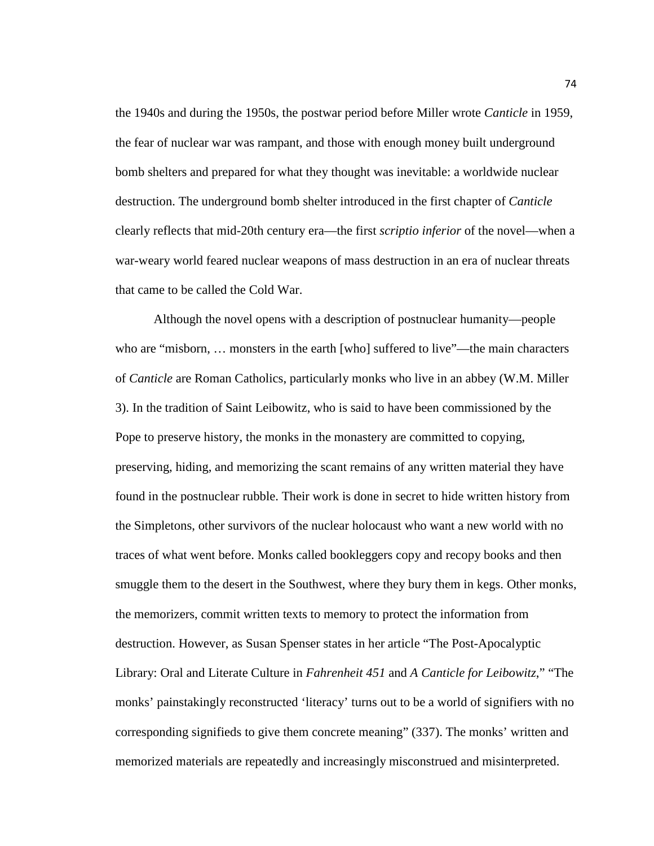the 1940s and during the 1950s, the postwar period before Miller wrote *Canticle* in 1959, the fear of nuclear war was rampant, and those with enough money built underground bomb shelters and prepared for what they thought was inevitable: a worldwide nuclear destruction. The underground bomb shelter introduced in the first chapter of *Canticle* clearly reflects that mid-20th century era—the first *scriptio inferior* of the novel—when a war-weary world feared nuclear weapons of mass destruction in an era of nuclear threats that came to be called the Cold War.

Although the novel opens with a description of postnuclear humanity—people who are "misborn, … monsters in the earth [who] suffered to live"—the main characters of *Canticle* are Roman Catholics, particularly monks who live in an abbey (W.M. Miller 3). In the tradition of Saint Leibowitz, who is said to have been commissioned by the Pope to preserve history, the monks in the monastery are committed to copying, preserving, hiding, and memorizing the scant remains of any written material they have found in the postnuclear rubble. Their work is done in secret to hide written history from the Simpletons, other survivors of the nuclear holocaust who want a new world with no traces of what went before. Monks called bookleggers copy and recopy books and then smuggle them to the desert in the Southwest, where they bury them in kegs. Other monks, the memorizers, commit written texts to memory to protect the information from destruction. However, as Susan Spenser states in her article "The Post-Apocalyptic Library: Oral and Literate Culture in *Fahrenheit 451* and *A Canticle for Leibowitz*," "The monks' painstakingly reconstructed 'literacy' turns out to be a world of signifiers with no corresponding signifieds to give them concrete meaning" (337). The monks' written and memorized materials are repeatedly and increasingly misconstrued and misinterpreted.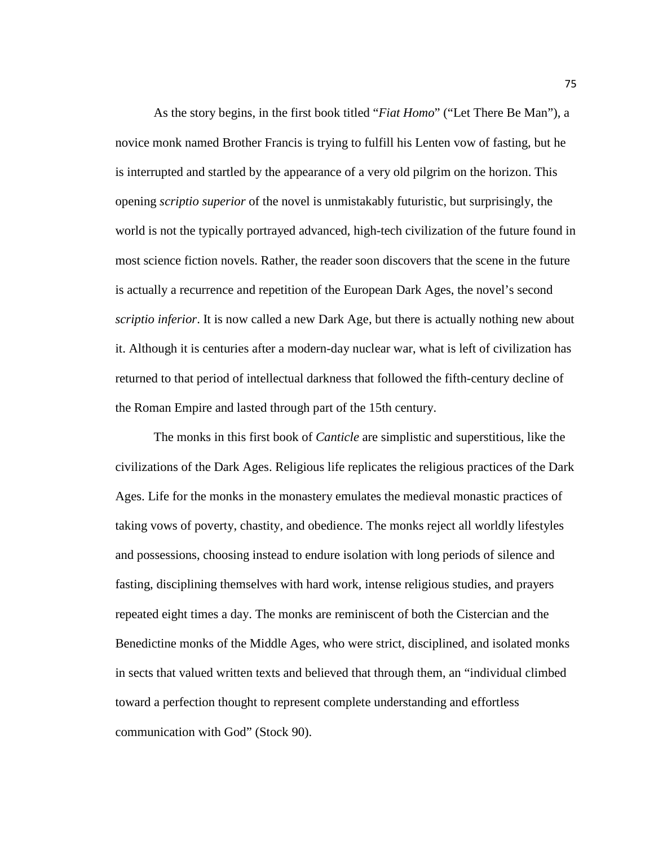As the story begins, in the first book titled "*Fiat Homo*" ("Let There Be Man"), a novice monk named Brother Francis is trying to fulfill his Lenten vow of fasting, but he is interrupted and startled by the appearance of a very old pilgrim on the horizon. This opening *scriptio superior* of the novel is unmistakably futuristic, but surprisingly, the world is not the typically portrayed advanced, high-tech civilization of the future found in most science fiction novels. Rather, the reader soon discovers that the scene in the future is actually a recurrence and repetition of the European Dark Ages, the novel's second *scriptio inferior*. It is now called a new Dark Age, but there is actually nothing new about it. Although it is centuries after a modern-day nuclear war, what is left of civilization has returned to that period of intellectual darkness that followed the fifth-century decline of the Roman Empire and lasted through part of the 15th century.

The monks in this first book of *Canticle* are simplistic and superstitious, like the civilizations of the Dark Ages. Religious life replicates the religious practices of the Dark Ages. Life for the monks in the monastery emulates the medieval monastic practices of taking vows of poverty, chastity, and obedience. The monks reject all worldly lifestyles and possessions, choosing instead to endure isolation with long periods of silence and fasting, disciplining themselves with hard work, intense religious studies, and prayers repeated eight times a day. The monks are reminiscent of both the Cistercian and the Benedictine monks of the Middle Ages, who were strict, disciplined, and isolated monks in sects that valued written texts and believed that through them, an "individual climbed toward a perfection thought to represent complete understanding and effortless communication with God" (Stock 90).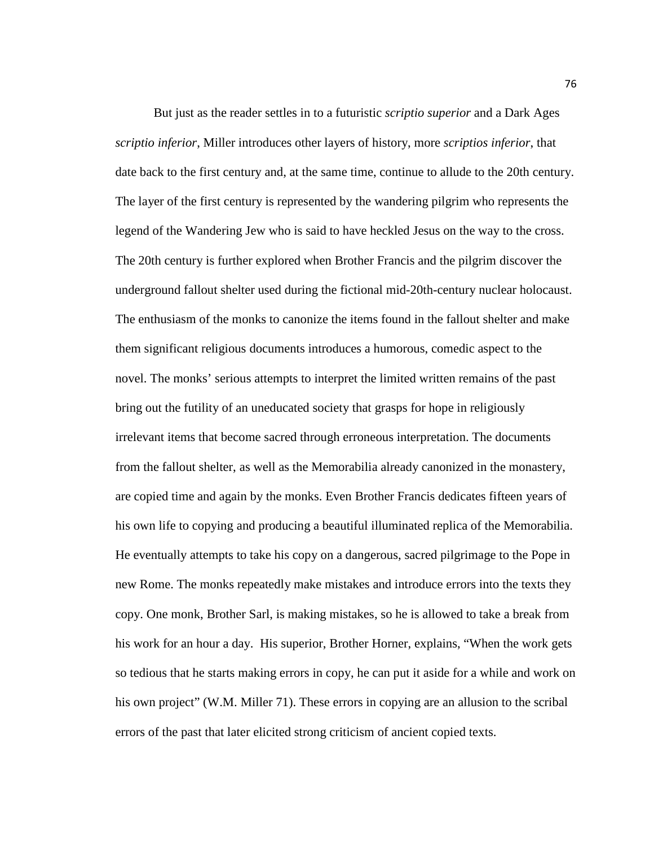But just as the reader settles in to a futuristic *scriptio superior* and a Dark Ages *scriptio inferior*, Miller introduces other layers of history, more *scriptios inferior*, that date back to the first century and, at the same time, continue to allude to the 20th century. The layer of the first century is represented by the wandering pilgrim who represents the legend of the Wandering Jew who is said to have heckled Jesus on the way to the cross. The 20th century is further explored when Brother Francis and the pilgrim discover the underground fallout shelter used during the fictional mid-20th-century nuclear holocaust. The enthusiasm of the monks to canonize the items found in the fallout shelter and make them significant religious documents introduces a humorous, comedic aspect to the novel. The monks' serious attempts to interpret the limited written remains of the past bring out the futility of an uneducated society that grasps for hope in religiously irrelevant items that become sacred through erroneous interpretation. The documents from the fallout shelter, as well as the Memorabilia already canonized in the monastery, are copied time and again by the monks. Even Brother Francis dedicates fifteen years of his own life to copying and producing a beautiful illuminated replica of the Memorabilia. He eventually attempts to take his copy on a dangerous, sacred pilgrimage to the Pope in new Rome. The monks repeatedly make mistakes and introduce errors into the texts they copy. One monk, Brother Sarl, is making mistakes, so he is allowed to take a break from his work for an hour a day. His superior, Brother Horner, explains, "When the work gets so tedious that he starts making errors in copy, he can put it aside for a while and work on his own project" (W.M. Miller 71). These errors in copying are an allusion to the scribal errors of the past that later elicited strong criticism of ancient copied texts.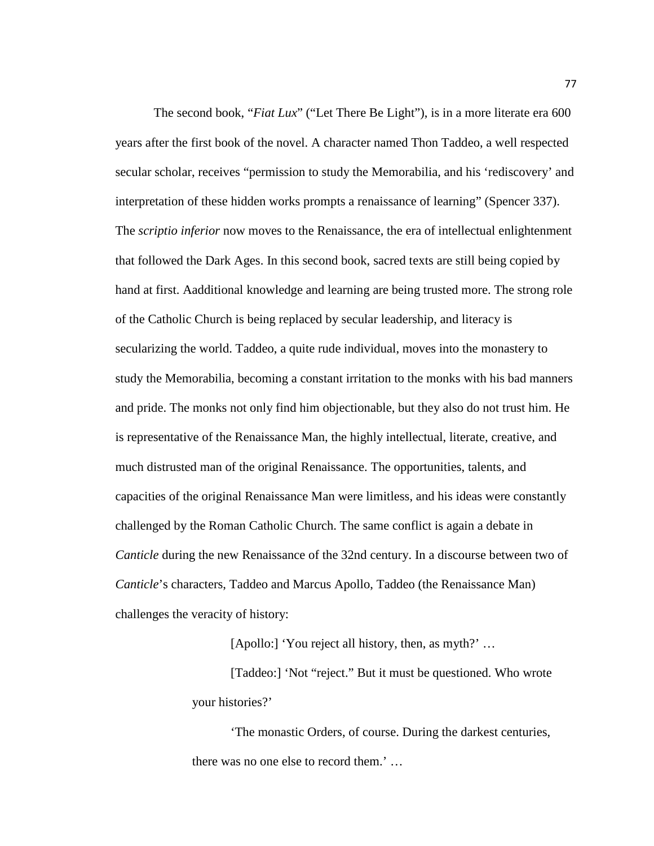The second book, "*Fiat Lux*" ("Let There Be Light"), is in a more literate era 600 years after the first book of the novel. A character named Thon Taddeo, a well respected secular scholar, receives "permission to study the Memorabilia, and his 'rediscovery' and interpretation of these hidden works prompts a renaissance of learning" (Spencer 337). The *scriptio inferior* now moves to the Renaissance, the era of intellectual enlightenment that followed the Dark Ages. In this second book, sacred texts are still being copied by hand at first. Aadditional knowledge and learning are being trusted more. The strong role of the Catholic Church is being replaced by secular leadership, and literacy is secularizing the world. Taddeo, a quite rude individual, moves into the monastery to study the Memorabilia, becoming a constant irritation to the monks with his bad manners and pride. The monks not only find him objectionable, but they also do not trust him. He is representative of the Renaissance Man, the highly intellectual, literate, creative, and much distrusted man of the original Renaissance. The opportunities, talents, and capacities of the original Renaissance Man were limitless, and his ideas were constantly challenged by the Roman Catholic Church. The same conflict is again a debate in *Canticle* during the new Renaissance of the 32nd century. In a discourse between two of *Canticle*'s characters, Taddeo and Marcus Apollo, Taddeo (the Renaissance Man) challenges the veracity of history:

[Apollo:] 'You reject all history, then, as myth?' ...

[Taddeo:] 'Not "reject." But it must be questioned. Who wrote your histories?'

'The monastic Orders, of course. During the darkest centuries, there was no one else to record them.' …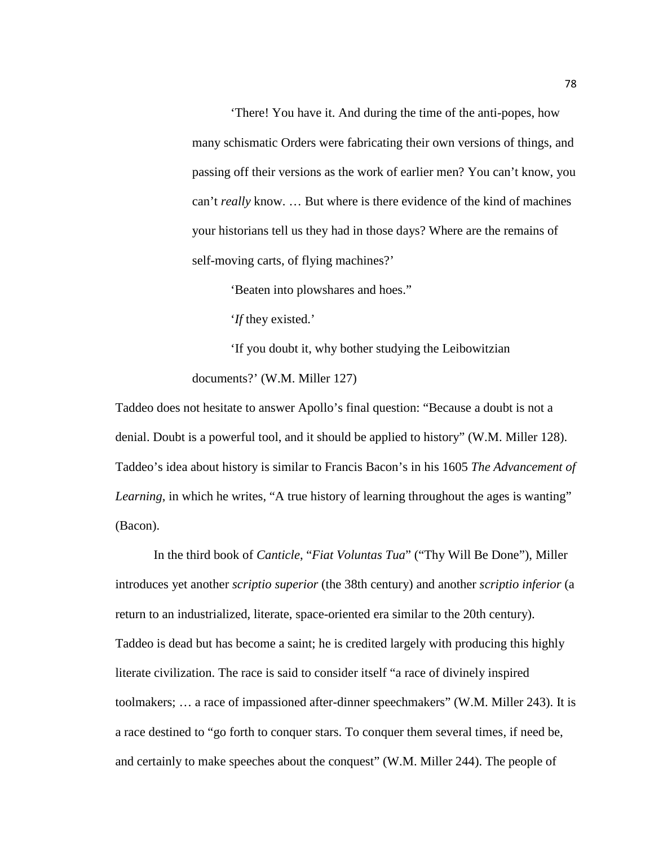'There! You have it. And during the time of the anti-popes, how many schismatic Orders were fabricating their own versions of things, and passing off their versions as the work of earlier men? You can't know, you can't *really* know. … But where is there evidence of the kind of machines your historians tell us they had in those days? Where are the remains of self-moving carts, of flying machines?'

'Beaten into plowshares and hoes."

'*If* they existed.'

'If you doubt it, why bother studying the Leibowitzian documents?' (W.M. Miller 127)

Taddeo does not hesitate to answer Apollo's final question: "Because a doubt is not a denial. Doubt is a powerful tool, and it should be applied to history" (W.M. Miller 128). Taddeo's idea about history is similar to Francis Bacon's in his 1605 *The Advancement of Learning*, in which he writes, "A true history of learning throughout the ages is wanting" (Bacon).

In the third book of *Canticle*, "*Fiat Voluntas Tua*" ("Thy Will Be Done"), Miller introduces yet another *scriptio superior* (the 38th century) and another *scriptio inferior* (a return to an industrialized, literate, space-oriented era similar to the 20th century). Taddeo is dead but has become a saint; he is credited largely with producing this highly literate civilization. The race is said to consider itself "a race of divinely inspired toolmakers; … a race of impassioned after-dinner speechmakers" (W.M. Miller 243). It is a race destined to "go forth to conquer stars. To conquer them several times, if need be, and certainly to make speeches about the conquest" (W.M. Miller 244). The people of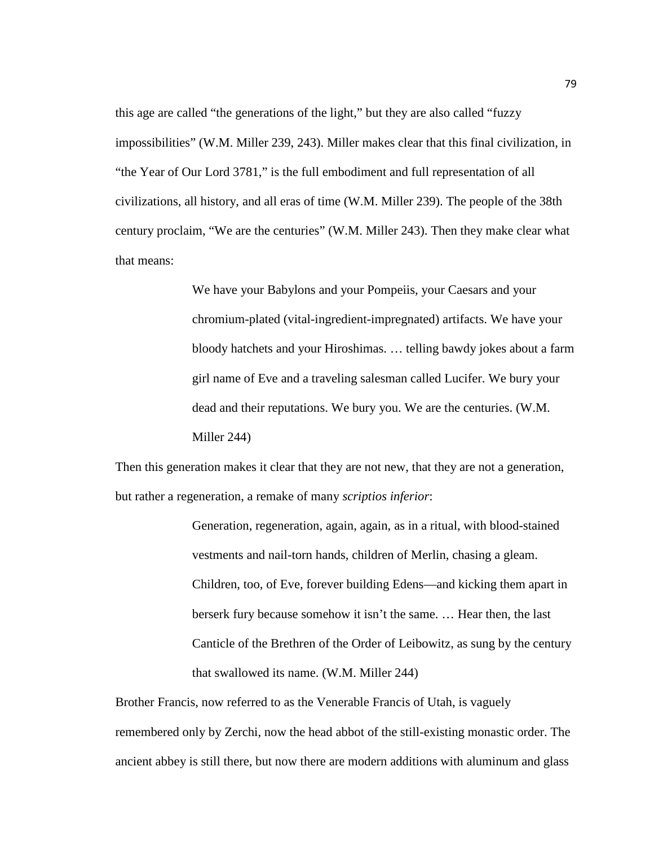this age are called "the generations of the light," but they are also called "fuzzy impossibilities" (W.M. Miller 239, 243). Miller makes clear that this final civilization, in "the Year of Our Lord 3781," is the full embodiment and full representation of all civilizations, all history, and all eras of time (W.M. Miller 239). The people of the 38th century proclaim, "We are the centuries" (W.M. Miller 243). Then they make clear what that means:

> We have your Babylons and your Pompeiis, your Caesars and your chromium-plated (vital-ingredient-impregnated) artifacts. We have your bloody hatchets and your Hiroshimas. … telling bawdy jokes about a farm girl name of Eve and a traveling salesman called Lucifer. We bury your dead and their reputations. We bury you. We are the centuries. (W.M. Miller 244)

Then this generation makes it clear that they are not new, that they are not a generation, but rather a regeneration, a remake of many *scriptios inferior*:

> Generation, regeneration, again, again, as in a ritual, with blood-stained vestments and nail-torn hands, children of Merlin, chasing a gleam. Children, too, of Eve, forever building Edens—and kicking them apart in berserk fury because somehow it isn't the same. … Hear then, the last Canticle of the Brethren of the Order of Leibowitz, as sung by the century that swallowed its name. (W.M. Miller 244)

Brother Francis, now referred to as the Venerable Francis of Utah, is vaguely remembered only by Zerchi, now the head abbot of the still-existing monastic order. The ancient abbey is still there, but now there are modern additions with aluminum and glass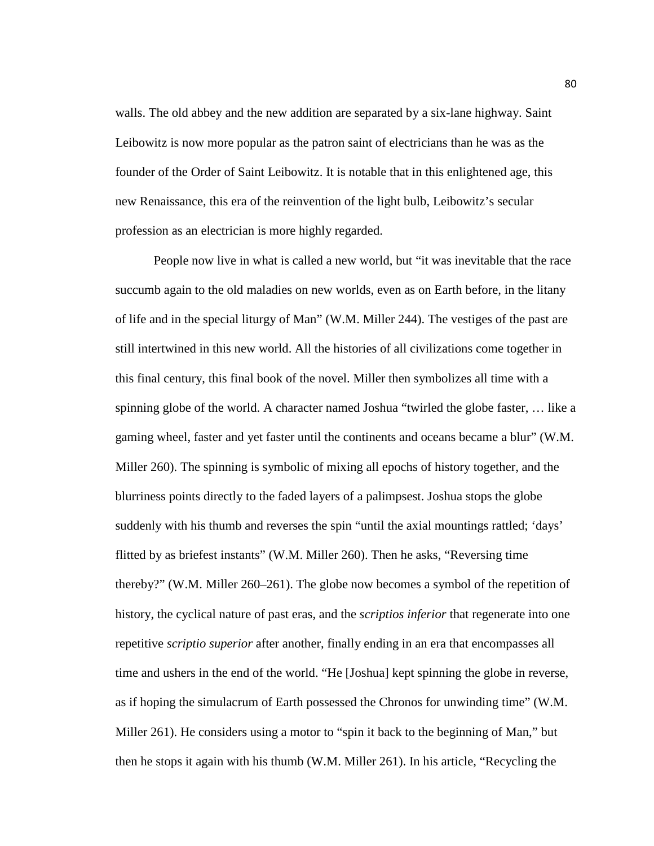walls. The old abbey and the new addition are separated by a six-lane highway. Saint Leibowitz is now more popular as the patron saint of electricians than he was as the founder of the Order of Saint Leibowitz. It is notable that in this enlightened age, this new Renaissance, this era of the reinvention of the light bulb, Leibowitz's secular profession as an electrician is more highly regarded.

People now live in what is called a new world, but "it was inevitable that the race succumb again to the old maladies on new worlds, even as on Earth before, in the litany of life and in the special liturgy of Man" (W.M. Miller 244). The vestiges of the past are still intertwined in this new world. All the histories of all civilizations come together in this final century, this final book of the novel. Miller then symbolizes all time with a spinning globe of the world. A character named Joshua "twirled the globe faster, … like a gaming wheel, faster and yet faster until the continents and oceans became a blur" (W.M. Miller 260). The spinning is symbolic of mixing all epochs of history together, and the blurriness points directly to the faded layers of a palimpsest. Joshua stops the globe suddenly with his thumb and reverses the spin "until the axial mountings rattled; 'days' flitted by as briefest instants" (W.M. Miller 260). Then he asks, "Reversing time thereby?" (W.M. Miller 260–261). The globe now becomes a symbol of the repetition of history, the cyclical nature of past eras, and the *scriptios inferior* that regenerate into one repetitive *scriptio superior* after another, finally ending in an era that encompasses all time and ushers in the end of the world. "He [Joshua] kept spinning the globe in reverse, as if hoping the simulacrum of Earth possessed the Chronos for unwinding time" (W.M. Miller 261). He considers using a motor to "spin it back to the beginning of Man," but then he stops it again with his thumb (W.M. Miller 261). In his article, "Recycling the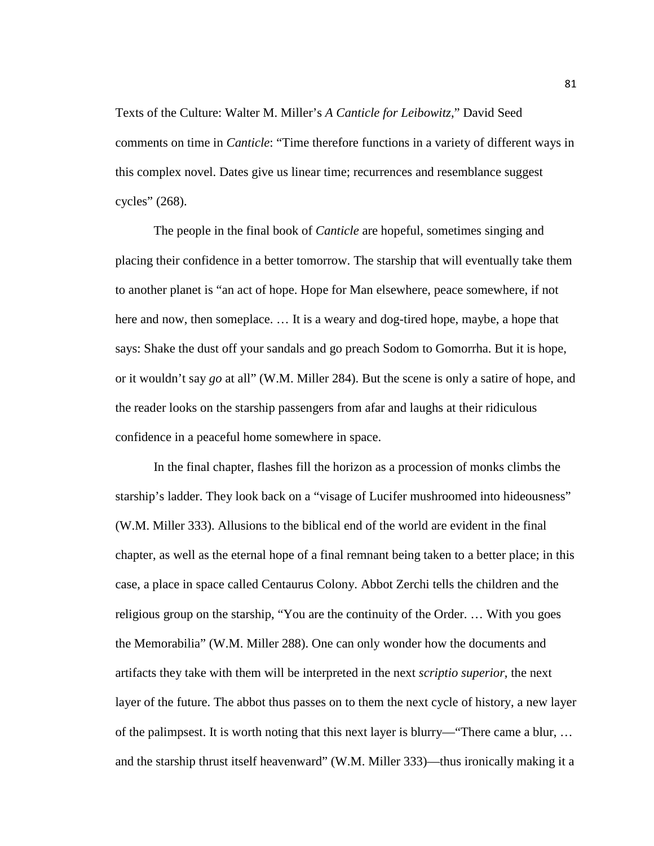Texts of the Culture: Walter M. Miller's *A Canticle for Leibowitz*," David Seed comments on time in *Canticle*: "Time therefore functions in a variety of different ways in this complex novel. Dates give us linear time; recurrences and resemblance suggest cycles" (268).

The people in the final book of *Canticle* are hopeful, sometimes singing and placing their confidence in a better tomorrow. The starship that will eventually take them to another planet is "an act of hope. Hope for Man elsewhere, peace somewhere, if not here and now, then someplace. … It is a weary and dog-tired hope, maybe, a hope that says: Shake the dust off your sandals and go preach Sodom to Gomorrha. But it is hope, or it wouldn't say *go* at all" (W.M. Miller 284). But the scene is only a satire of hope, and the reader looks on the starship passengers from afar and laughs at their ridiculous confidence in a peaceful home somewhere in space.

In the final chapter, flashes fill the horizon as a procession of monks climbs the starship's ladder. They look back on a "visage of Lucifer mushroomed into hideousness" (W.M. Miller 333). Allusions to the biblical end of the world are evident in the final chapter, as well as the eternal hope of a final remnant being taken to a better place; in this case, a place in space called Centaurus Colony. Abbot Zerchi tells the children and the religious group on the starship, "You are the continuity of the Order. … With you goes the Memorabilia" (W.M. Miller 288). One can only wonder how the documents and artifacts they take with them will be interpreted in the next *scriptio superior*, the next layer of the future. The abbot thus passes on to them the next cycle of history, a new layer of the palimpsest. It is worth noting that this next layer is blurry—"There came a blur, … and the starship thrust itself heavenward" (W.M. Miller 333)—thus ironically making it a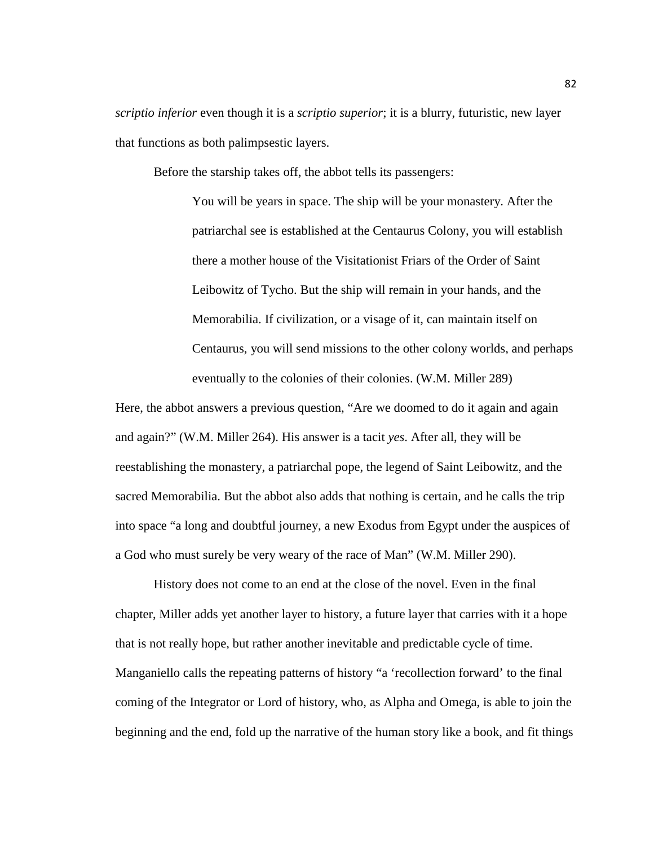*scriptio inferior* even though it is a *scriptio superior*; it is a blurry, futuristic, new layer that functions as both palimpsestic layers.

Before the starship takes off, the abbot tells its passengers:

You will be years in space. The ship will be your monastery. After the patriarchal see is established at the Centaurus Colony, you will establish there a mother house of the Visitationist Friars of the Order of Saint Leibowitz of Tycho. But the ship will remain in your hands, and the Memorabilia. If civilization, or a visage of it, can maintain itself on Centaurus, you will send missions to the other colony worlds, and perhaps eventually to the colonies of their colonies. (W.M. Miller 289)

Here, the abbot answers a previous question, "Are we doomed to do it again and again and again?" (W.M. Miller 264). His answer is a tacit *yes*. After all, they will be reestablishing the monastery, a patriarchal pope, the legend of Saint Leibowitz, and the sacred Memorabilia. But the abbot also adds that nothing is certain, and he calls the trip into space "a long and doubtful journey, a new Exodus from Egypt under the auspices of a God who must surely be very weary of the race of Man" (W.M. Miller 290).

History does not come to an end at the close of the novel. Even in the final chapter, Miller adds yet another layer to history, a future layer that carries with it a hope that is not really hope, but rather another inevitable and predictable cycle of time. Manganiello calls the repeating patterns of history "a 'recollection forward' to the final coming of the Integrator or Lord of history, who, as Alpha and Omega, is able to join the beginning and the end, fold up the narrative of the human story like a book, and fit things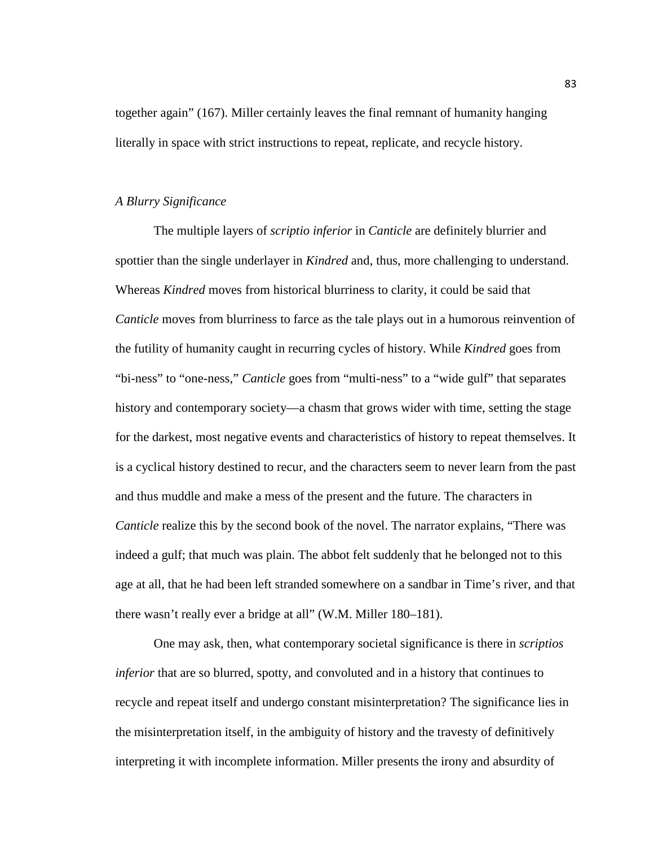together again" (167). Miller certainly leaves the final remnant of humanity hanging literally in space with strict instructions to repeat, replicate, and recycle history.

## *A Blurry Significance*

The multiple layers of *scriptio inferior* in *Canticle* are definitely blurrier and spottier than the single underlayer in *Kindred* and, thus, more challenging to understand. Whereas *Kindred* moves from historical blurriness to clarity, it could be said that *Canticle* moves from blurriness to farce as the tale plays out in a humorous reinvention of the futility of humanity caught in recurring cycles of history. While *Kindred* goes from "bi-ness" to "one-ness," *Canticle* goes from "multi-ness" to a "wide gulf" that separates history and contemporary society—a chasm that grows wider with time, setting the stage for the darkest, most negative events and characteristics of history to repeat themselves. It is a cyclical history destined to recur, and the characters seem to never learn from the past and thus muddle and make a mess of the present and the future. The characters in *Canticle* realize this by the second book of the novel. The narrator explains, "There was indeed a gulf; that much was plain. The abbot felt suddenly that he belonged not to this age at all, that he had been left stranded somewhere on a sandbar in Time's river, and that there wasn't really ever a bridge at all" (W.M. Miller 180–181).

One may ask, then, what contemporary societal significance is there in *scriptios inferior* that are so blurred, spotty, and convoluted and in a history that continues to recycle and repeat itself and undergo constant misinterpretation? The significance lies in the misinterpretation itself, in the ambiguity of history and the travesty of definitively interpreting it with incomplete information. Miller presents the irony and absurdity of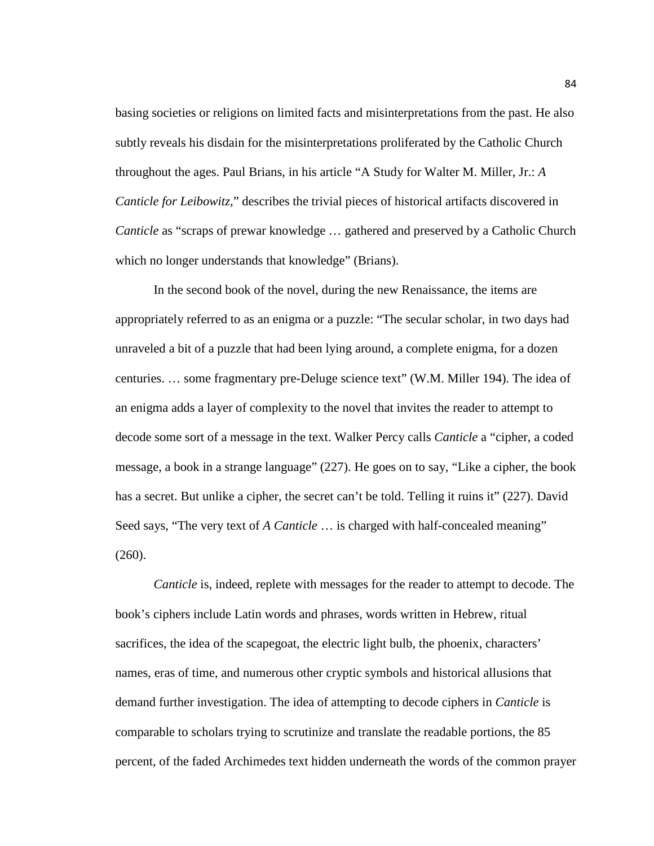basing societies or religions on limited facts and misinterpretations from the past. He also subtly reveals his disdain for the misinterpretations proliferated by the Catholic Church throughout the ages. Paul Brians, in his article "A Study for Walter M. Miller, Jr.: *A Canticle for Leibowitz*," describes the trivial pieces of historical artifacts discovered in *Canticle* as "scraps of prewar knowledge ... gathered and preserved by a Catholic Church which no longer understands that knowledge" (Brians).

In the second book of the novel, during the new Renaissance, the items are appropriately referred to as an enigma or a puzzle: "The secular scholar, in two days had unraveled a bit of a puzzle that had been lying around, a complete enigma, for a dozen centuries. … some fragmentary pre-Deluge science text" (W.M. Miller 194). The idea of an enigma adds a layer of complexity to the novel that invites the reader to attempt to decode some sort of a message in the text. Walker Percy calls *Canticle* a "cipher, a coded message, a book in a strange language" (227). He goes on to say, "Like a cipher, the book has a secret. But unlike a cipher, the secret can't be told. Telling it ruins it" (227). David Seed says, "The very text of *A Canticle* … is charged with half-concealed meaning" (260).

*Canticle* is, indeed, replete with messages for the reader to attempt to decode. The book's ciphers include Latin words and phrases, words written in Hebrew, ritual sacrifices, the idea of the scapegoat, the electric light bulb, the phoenix, characters' names, eras of time, and numerous other cryptic symbols and historical allusions that demand further investigation. The idea of attempting to decode ciphers in *Canticle* is comparable to scholars trying to scrutinize and translate the readable portions, the 85 percent, of the faded Archimedes text hidden underneath the words of the common prayer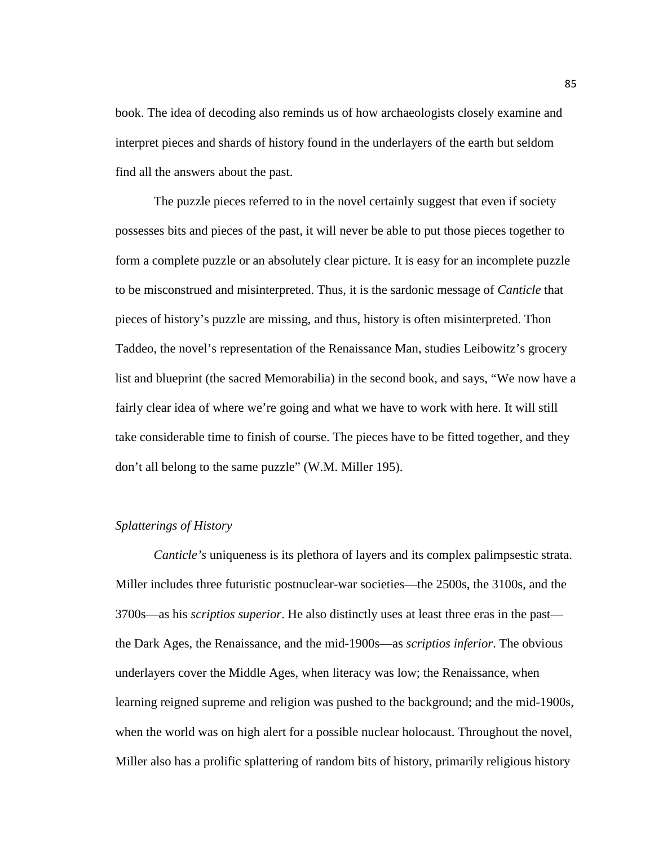book. The idea of decoding also reminds us of how archaeologists closely examine and interpret pieces and shards of history found in the underlayers of the earth but seldom find all the answers about the past.

The puzzle pieces referred to in the novel certainly suggest that even if society possesses bits and pieces of the past, it will never be able to put those pieces together to form a complete puzzle or an absolutely clear picture. It is easy for an incomplete puzzle to be misconstrued and misinterpreted. Thus, it is the sardonic message of *Canticle* that pieces of history's puzzle are missing, and thus, history is often misinterpreted. Thon Taddeo, the novel's representation of the Renaissance Man, studies Leibowitz's grocery list and blueprint (the sacred Memorabilia) in the second book, and says, "We now have a fairly clear idea of where we're going and what we have to work with here. It will still take considerable time to finish of course. The pieces have to be fitted together, and they don't all belong to the same puzzle" (W.M. Miller 195).

# *Splatterings of History*

*Canticle's* uniqueness is its plethora of layers and its complex palimpsestic strata. Miller includes three futuristic postnuclear-war societies—the 2500s, the 3100s, and the 3700s—as his *scriptios superior*. He also distinctly uses at least three eras in the past the Dark Ages, the Renaissance, and the mid-1900s—as *scriptios inferior*. The obvious underlayers cover the Middle Ages, when literacy was low; the Renaissance, when learning reigned supreme and religion was pushed to the background; and the mid-1900s, when the world was on high alert for a possible nuclear holocaust. Throughout the novel, Miller also has a prolific splattering of random bits of history, primarily religious history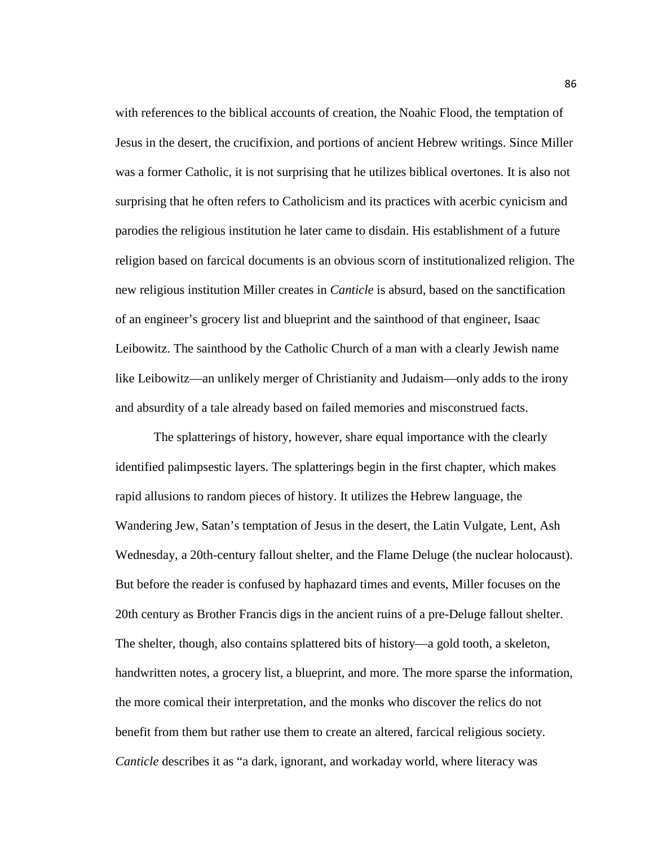with references to the biblical accounts of creation, the Noahic Flood, the temptation of Jesus in the desert, the crucifixion, and portions of ancient Hebrew writings. Since Miller was a former Catholic, it is not surprising that he utilizes biblical overtones. It is also not surprising that he often refers to Catholicism and its practices with acerbic cynicism and parodies the religious institution he later came to disdain. His establishment of a future religion based on farcical documents is an obvious scorn of institutionalized religion. The new religious institution Miller creates in *Canticle* is absurd, based on the sanctification of an engineer's grocery list and blueprint and the sainthood of that engineer, Isaac Leibowitz. The sainthood by the Catholic Church of a man with a clearly Jewish name like Leibowitz—an unlikely merger of Christianity and Judaism—only adds to the irony and absurdity of a tale already based on failed memories and misconstrued facts.

The splatterings of history, however, share equal importance with the clearly identified palimpsestic layers. The splatterings begin in the first chapter, which makes rapid allusions to random pieces of history. It utilizes the Hebrew language, the Wandering Jew, Satan's temptation of Jesus in the desert, the Latin Vulgate, Lent, Ash Wednesday, a 20th-century fallout shelter, and the Flame Deluge (the nuclear holocaust). But before the reader is confused by haphazard times and events, Miller focuses on the 20th century as Brother Francis digs in the ancient ruins of a pre-Deluge fallout shelter. The shelter, though, also contains splattered bits of history—a gold tooth, a skeleton, handwritten notes, a grocery list, a blueprint, and more. The more sparse the information, the more comical their interpretation, and the monks who discover the relics do not benefit from them but rather use them to create an altered, farcical religious society. *Canticle* describes it as "a dark, ignorant, and workaday world, where literacy was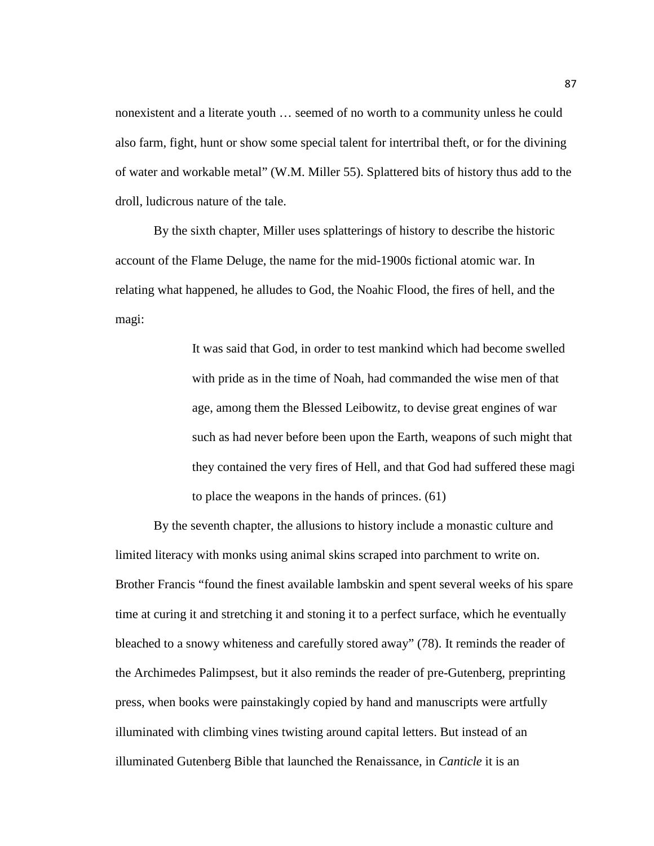nonexistent and a literate youth … seemed of no worth to a community unless he could also farm, fight, hunt or show some special talent for intertribal theft, or for the divining of water and workable metal" (W.M. Miller 55). Splattered bits of history thus add to the droll, ludicrous nature of the tale.

By the sixth chapter, Miller uses splatterings of history to describe the historic account of the Flame Deluge, the name for the mid-1900s fictional atomic war. In relating what happened, he alludes to God, the Noahic Flood, the fires of hell, and the magi:

> It was said that God, in order to test mankind which had become swelled with pride as in the time of Noah, had commanded the wise men of that age, among them the Blessed Leibowitz, to devise great engines of war such as had never before been upon the Earth, weapons of such might that they contained the very fires of Hell, and that God had suffered these magi to place the weapons in the hands of princes. (61)

By the seventh chapter, the allusions to history include a monastic culture and limited literacy with monks using animal skins scraped into parchment to write on. Brother Francis "found the finest available lambskin and spent several weeks of his spare time at curing it and stretching it and stoning it to a perfect surface, which he eventually bleached to a snowy whiteness and carefully stored away" (78). It reminds the reader of the Archimedes Palimpsest, but it also reminds the reader of pre-Gutenberg, preprinting press, when books were painstakingly copied by hand and manuscripts were artfully illuminated with climbing vines twisting around capital letters. But instead of an illuminated Gutenberg Bible that launched the Renaissance, in *Canticle* it is an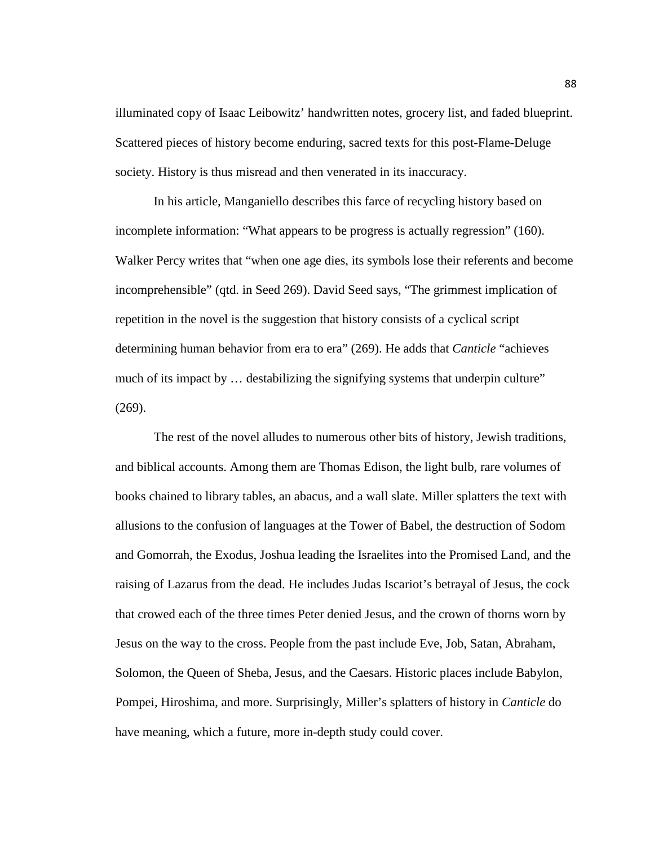illuminated copy of Isaac Leibowitz' handwritten notes, grocery list, and faded blueprint. Scattered pieces of history become enduring, sacred texts for this post-Flame-Deluge society. History is thus misread and then venerated in its inaccuracy.

In his article, Manganiello describes this farce of recycling history based on incomplete information: "What appears to be progress is actually regression" (160). Walker Percy writes that "when one age dies, its symbols lose their referents and become incomprehensible" (qtd. in Seed 269). David Seed says, "The grimmest implication of repetition in the novel is the suggestion that history consists of a cyclical script determining human behavior from era to era" (269). He adds that *Canticle* "achieves much of its impact by ... destabilizing the signifying systems that underpin culture" (269).

The rest of the novel alludes to numerous other bits of history, Jewish traditions, and biblical accounts. Among them are Thomas Edison, the light bulb, rare volumes of books chained to library tables, an abacus, and a wall slate. Miller splatters the text with allusions to the confusion of languages at the Tower of Babel, the destruction of Sodom and Gomorrah, the Exodus, Joshua leading the Israelites into the Promised Land, and the raising of Lazarus from the dead. He includes Judas Iscariot's betrayal of Jesus, the cock that crowed each of the three times Peter denied Jesus, and the crown of thorns worn by Jesus on the way to the cross. People from the past include Eve, Job, Satan, Abraham, Solomon, the Queen of Sheba, Jesus, and the Caesars. Historic places include Babylon, Pompei, Hiroshima, and more. Surprisingly, Miller's splatters of history in *Canticle* do have meaning, which a future, more in-depth study could cover.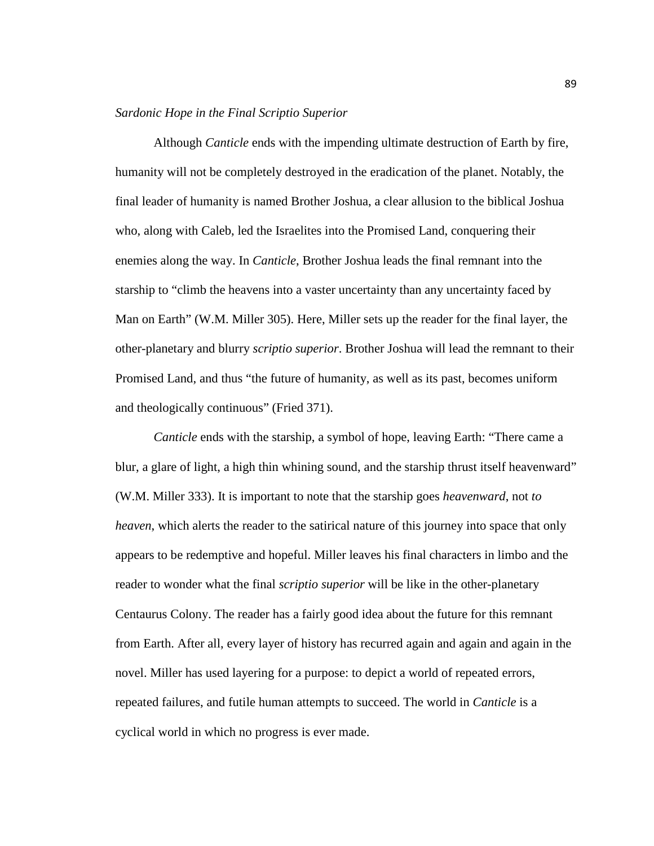## *Sardonic Hope in the Final Scriptio Superior*

Although *Canticle* ends with the impending ultimate destruction of Earth by fire, humanity will not be completely destroyed in the eradication of the planet. Notably, the final leader of humanity is named Brother Joshua, a clear allusion to the biblical Joshua who, along with Caleb, led the Israelites into the Promised Land, conquering their enemies along the way. In *Canticle*, Brother Joshua leads the final remnant into the starship to "climb the heavens into a vaster uncertainty than any uncertainty faced by Man on Earth" (W.M. Miller 305). Here, Miller sets up the reader for the final layer, the other-planetary and blurry *scriptio superior*. Brother Joshua will lead the remnant to their Promised Land, and thus "the future of humanity, as well as its past, becomes uniform and theologically continuous" (Fried 371).

*Canticle* ends with the starship, a symbol of hope, leaving Earth: "There came a blur, a glare of light, a high thin whining sound, and the starship thrust itself heavenward" (W.M. Miller 333). It is important to note that the starship goes *heavenward*, not *to heaven*, which alerts the reader to the satirical nature of this journey into space that only appears to be redemptive and hopeful. Miller leaves his final characters in limbo and the reader to wonder what the final *scriptio superior* will be like in the other-planetary Centaurus Colony. The reader has a fairly good idea about the future for this remnant from Earth. After all, every layer of history has recurred again and again and again in the novel. Miller has used layering for a purpose: to depict a world of repeated errors, repeated failures, and futile human attempts to succeed. The world in *Canticle* is a cyclical world in which no progress is ever made.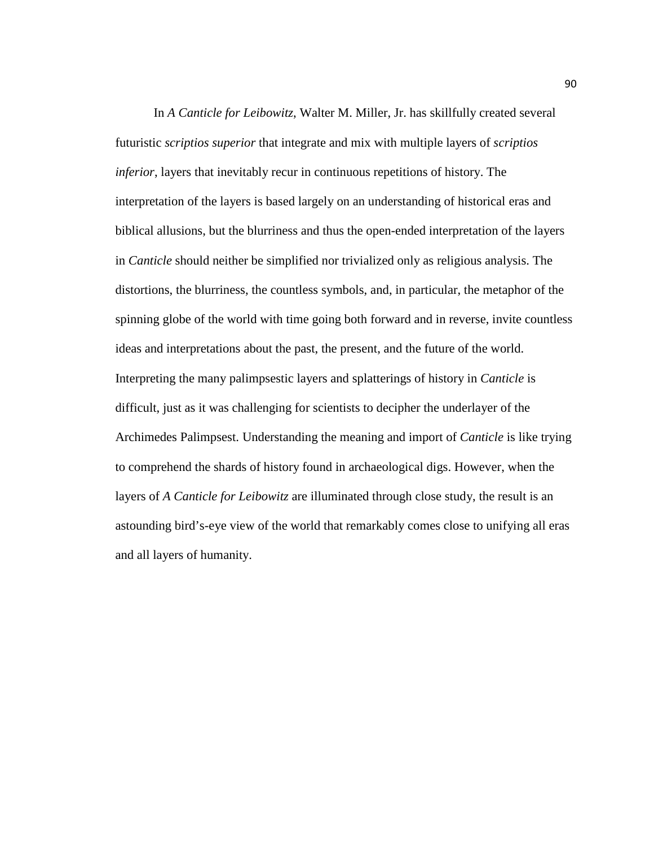In *A Canticle for Leibowitz*, Walter M. Miller, Jr. has skillfully created several futuristic *scriptios superior* that integrate and mix with multiple layers of *scriptios inferior*, layers that inevitably recur in continuous repetitions of history. The interpretation of the layers is based largely on an understanding of historical eras and biblical allusions, but the blurriness and thus the open-ended interpretation of the layers in *Canticle* should neither be simplified nor trivialized only as religious analysis. The distortions, the blurriness, the countless symbols, and, in particular, the metaphor of the spinning globe of the world with time going both forward and in reverse, invite countless ideas and interpretations about the past, the present, and the future of the world. Interpreting the many palimpsestic layers and splatterings of history in *Canticle* is difficult, just as it was challenging for scientists to decipher the underlayer of the Archimedes Palimpsest. Understanding the meaning and import of *Canticle* is like trying to comprehend the shards of history found in archaeological digs. However, when the layers of *A Canticle for Leibowitz* are illuminated through close study, the result is an astounding bird's-eye view of the world that remarkably comes close to unifying all eras and all layers of humanity.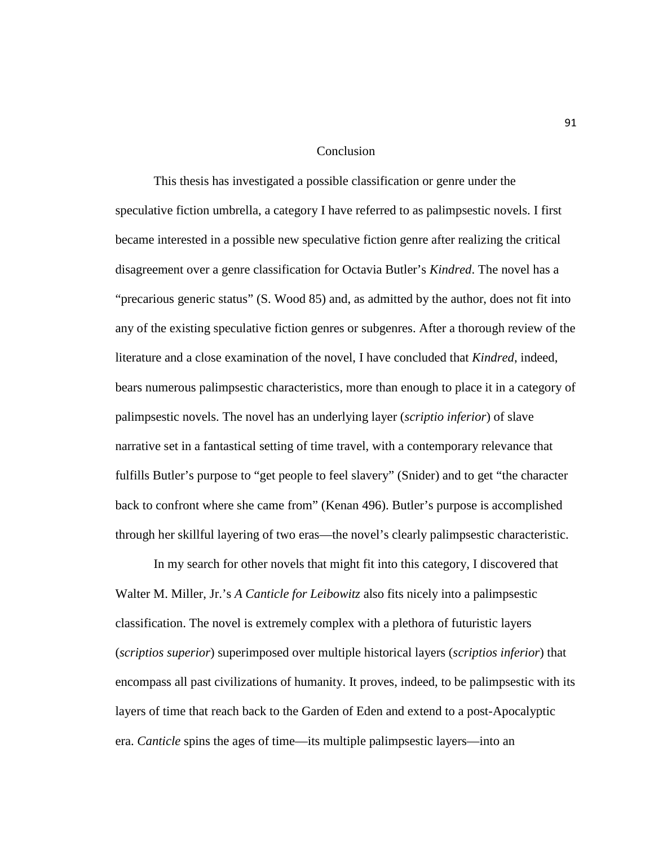#### Conclusion

This thesis has investigated a possible classification or genre under the speculative fiction umbrella, a category I have referred to as palimpsestic novels. I first became interested in a possible new speculative fiction genre after realizing the critical disagreement over a genre classification for Octavia Butler's *Kindred*. The novel has a "precarious generic status" (S. Wood 85) and, as admitted by the author, does not fit into any of the existing speculative fiction genres or subgenres. After a thorough review of the literature and a close examination of the novel, I have concluded that *Kindred*, indeed, bears numerous palimpsestic characteristics, more than enough to place it in a category of palimpsestic novels. The novel has an underlying layer (*scriptio inferior*) of slave narrative set in a fantastical setting of time travel, with a contemporary relevance that fulfills Butler's purpose to "get people to feel slavery" (Snider) and to get "the character back to confront where she came from" (Kenan 496). Butler's purpose is accomplished through her skillful layering of two eras—the novel's clearly palimpsestic characteristic.

In my search for other novels that might fit into this category, I discovered that Walter M. Miller, Jr.'s *A Canticle for Leibowitz* also fits nicely into a palimpsestic classification. The novel is extremely complex with a plethora of futuristic layers (*scriptios superior*) superimposed over multiple historical layers (*scriptios inferior*) that encompass all past civilizations of humanity. It proves, indeed, to be palimpsestic with its layers of time that reach back to the Garden of Eden and extend to a post-Apocalyptic era. *Canticle* spins the ages of time—its multiple palimpsestic layers—into an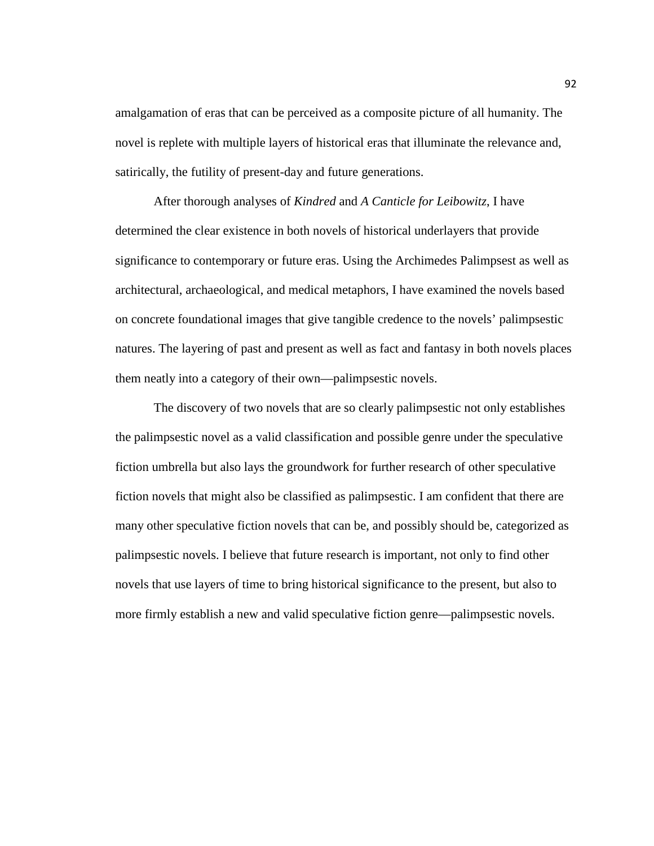amalgamation of eras that can be perceived as a composite picture of all humanity. The novel is replete with multiple layers of historical eras that illuminate the relevance and, satirically, the futility of present-day and future generations.

After thorough analyses of *Kindred* and *A Canticle for Leibowitz*, I have determined the clear existence in both novels of historical underlayers that provide significance to contemporary or future eras. Using the Archimedes Palimpsest as well as architectural, archaeological, and medical metaphors, I have examined the novels based on concrete foundational images that give tangible credence to the novels' palimpsestic natures. The layering of past and present as well as fact and fantasy in both novels places them neatly into a category of their own—palimpsestic novels.

The discovery of two novels that are so clearly palimpsestic not only establishes the palimpsestic novel as a valid classification and possible genre under the speculative fiction umbrella but also lays the groundwork for further research of other speculative fiction novels that might also be classified as palimpsestic. I am confident that there are many other speculative fiction novels that can be, and possibly should be, categorized as palimpsestic novels. I believe that future research is important, not only to find other novels that use layers of time to bring historical significance to the present, but also to more firmly establish a new and valid speculative fiction genre—palimpsestic novels.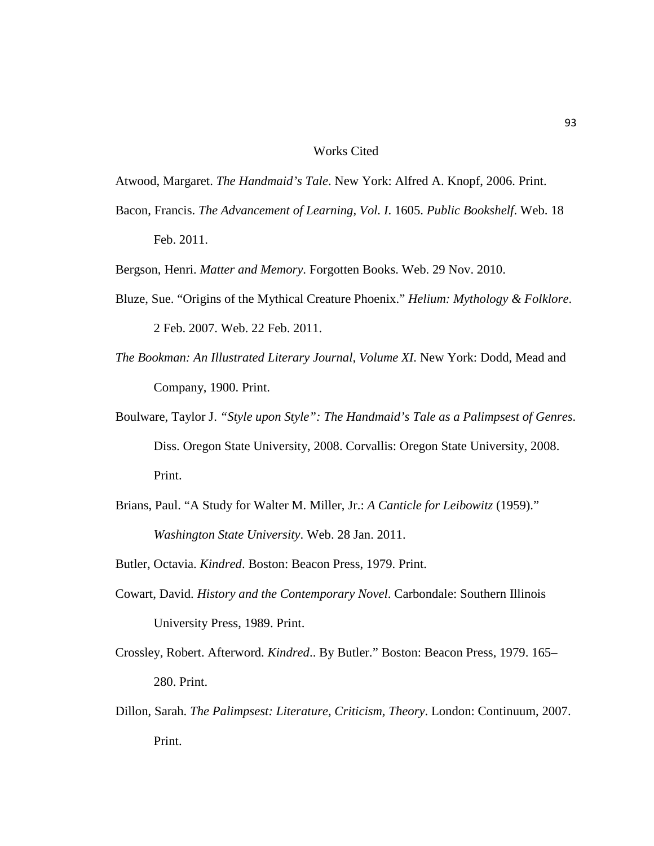#### Works Cited

Atwood, Margaret. *The Handmaid's Tale*. New York: Alfred A. Knopf, 2006. Print.

Bacon, Francis. *The Advancement of Learning, Vol. I*. 1605. *Public Bookshelf*. Web. 18 Feb. 2011.

Bergson, Henri. *Matter and Memory*. Forgotten Books. Web. 29 Nov. 2010.

- Bluze, Sue. "Origins of the Mythical Creature Phoenix." *Helium: Mythology & Folklore*. 2 Feb. 2007. Web. 22 Feb. 2011.
- *The Bookman: An Illustrated Literary Journal, Volume XI*. New York: Dodd, Mead and Company, 1900. Print.
- Boulware, Taylor J. *"Style upon Style": The Handmaid's Tale as a Palimpsest of Genres*. Diss. Oregon State University, 2008. Corvallis: Oregon State University, 2008. Print.
- Brians, Paul. "A Study for Walter M. Miller, Jr.: *A Canticle for Leibowitz* (1959)." *Washington State University*. Web. 28 Jan. 2011.

Butler, Octavia. *Kindred*. Boston: Beacon Press, 1979. Print.

- Cowart, David. *History and the Contemporary Novel*. Carbondale: Southern Illinois University Press, 1989. Print.
- Crossley, Robert. Afterword. *Kindred*.. By Butler." Boston: Beacon Press, 1979. 165– 280. Print.
- Dillon, Sarah. *The Palimpsest: Literature, Criticism, Theory*. London: Continuum, 2007. Print.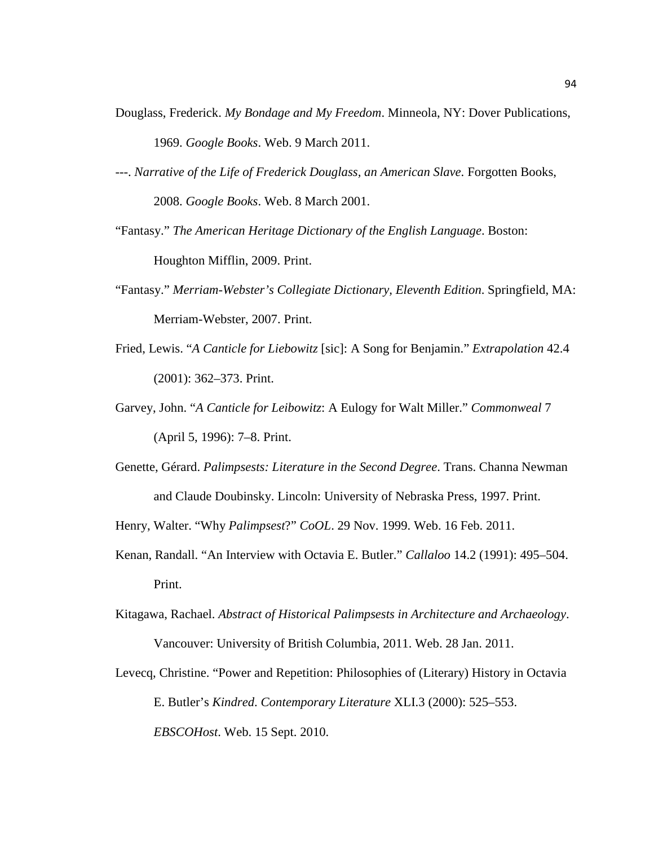- Douglass, Frederick. *My Bondage and My Freedom*. Minneola, NY: Dover Publications, 1969. *Google Books*. Web. 9 March 2011.
- ---. *Narrative of the Life of Frederick Douglass, an American Slave*. Forgotten Books, 2008. *Google Books*. Web. 8 March 2001.
- "Fantasy." *The American Heritage Dictionary of the English Language*. Boston: Houghton Mifflin, 2009. Print.
- "Fantasy." *Merriam-Webster's Collegiate Dictionary, Eleventh Edition*. Springfield, MA: Merriam-Webster, 2007. Print.
- Fried, Lewis. "*A Canticle for Liebowitz* [sic]: A Song for Benjamin." *Extrapolation* 42.4 (2001): 362–373. Print.
- Garvey, John. "*A Canticle for Leibowitz*: A Eulogy for Walt Miller." *Commonweal* 7 (April 5, 1996): 7–8. Print.
- Genette, Gérard. *Palimpsests: Literature in the Second Degree*. Trans. Channa Newman and Claude Doubinsky. Lincoln: University of Nebraska Press, 1997. Print.
- Henry, Walter. "Why *Palimpsest*?" *CoOL*. 29 Nov. 1999. Web. 16 Feb. 2011.
- Kenan, Randall. "An Interview with Octavia E. Butler." *Callaloo* 14.2 (1991): 495–504. Print.
- Kitagawa, Rachael. *Abstract of Historical Palimpsests in Architecture and Archaeology*. Vancouver: University of British Columbia, 2011. Web. 28 Jan. 2011.
- Levecq, Christine. "Power and Repetition: Philosophies of (Literary) History in Octavia E. Butler's *Kindred*. *Contemporary Literature* XLI.3 (2000): 525–553. *EBSCOHost*. Web. 15 Sept. 2010.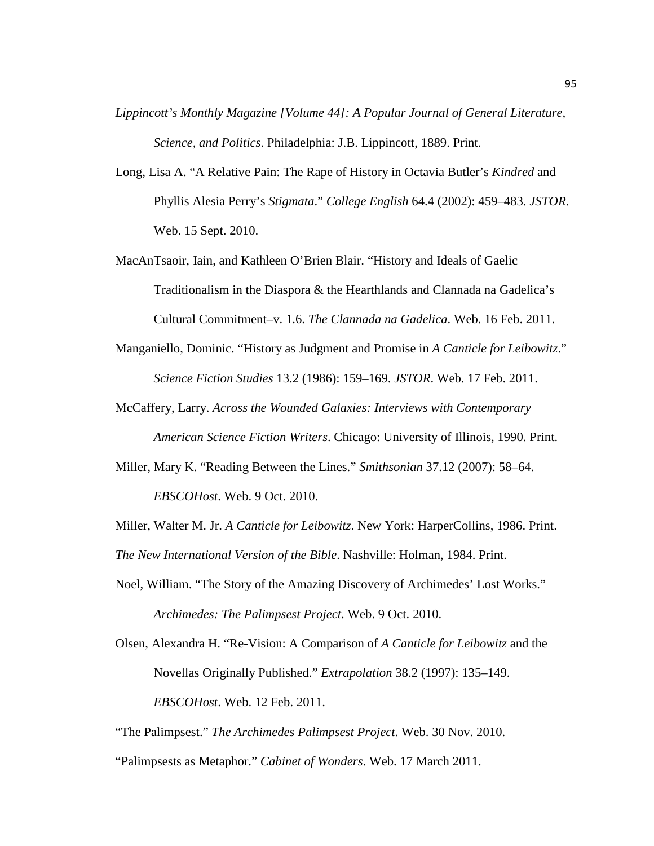- *Lippincott's Monthly Magazine [Volume 44]: A Popular Journal of General Literature, Science, and Politics*. Philadelphia: J.B. Lippincott, 1889. Print.
- Long, Lisa A. "A Relative Pain: The Rape of History in Octavia Butler's *Kindred* and Phyllis Alesia Perry's *Stigmata*." *College English* 64.4 (2002): 459–483. *JSTOR*. Web. 15 Sept. 2010.
- MacAnTsaoir, Iain, and Kathleen O'Brien Blair. "History and Ideals of Gaelic Traditionalism in the Diaspora & the Hearthlands and Clannada na Gadelica's Cultural Commitment–v. 1.6. *The Clannada na Gadelica*. Web. 16 Feb. 2011.
- Manganiello, Dominic. "History as Judgment and Promise in *A Canticle for Leibowitz*." *Science Fiction Studies* 13.2 (1986): 159–169. *JSTOR*. Web. 17 Feb. 2011.
- McCaffery, Larry. *Across the Wounded Galaxies: Interviews with Contemporary American Science Fiction Writers*. Chicago: University of Illinois, 1990. Print.
- Miller, Mary K. "Reading Between the Lines." *Smithsonian* 37.12 (2007): 58–64. *EBSCOHost*. Web. 9 Oct. 2010.

Miller, Walter M. Jr. *A Canticle for Leibowitz*. New York: HarperCollins, 1986. Print. *The New International Version of the Bible*. Nashville: Holman, 1984. Print.

Noel, William. "The Story of the Amazing Discovery of Archimedes' Lost Works." *Archimedes: The Palimpsest Project*. Web. 9 Oct. 2010.

Olsen, Alexandra H. "Re-Vision: A Comparison of *A Canticle for Leibowitz* and the Novellas Originally Published." *Extrapolation* 38.2 (1997): 135–149. *EBSCOHost*. Web. 12 Feb. 2011.

"The Palimpsest." *The Archimedes Palimpsest Project*. Web. 30 Nov. 2010.

<sup>&</sup>quot;Palimpsests as Metaphor." *Cabinet of Wonders*. Web. 17 March 2011.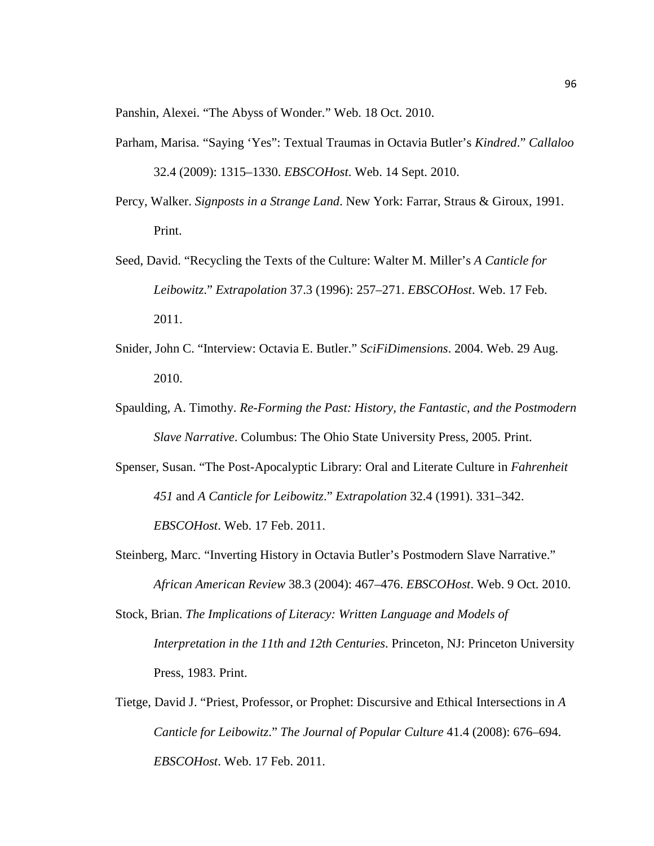Panshin, Alexei. "The Abyss of Wonder." Web. 18 Oct. 2010.

- Parham, Marisa. "Saying 'Yes": Textual Traumas in Octavia Butler's *Kindred*." *Callaloo* 32.4 (2009): 1315–1330. *EBSCOHost*. Web. 14 Sept. 2010.
- Percy, Walker. *Signposts in a Strange Land*. New York: Farrar, Straus & Giroux, 1991. Print.
- Seed, David. "Recycling the Texts of the Culture: Walter M. Miller's *A Canticle for Leibowitz*." *Extrapolation* 37.3 (1996): 257–271. *EBSCOHost*. Web. 17 Feb. 2011.
- Snider, John C. "Interview: Octavia E. Butler." *SciFiDimensions*. 2004. Web. 29 Aug. 2010.
- Spaulding, A. Timothy. *Re-Forming the Past: History, the Fantastic, and the Postmodern Slave Narrative*. Columbus: The Ohio State University Press, 2005. Print.
- Spenser, Susan. "The Post-Apocalyptic Library: Oral and Literate Culture in *Fahrenheit 451* and *A Canticle for Leibowitz*." *Extrapolation* 32.4 (1991). 331–342. *EBSCOHost*. Web. 17 Feb. 2011.
- Steinberg, Marc. "Inverting History in Octavia Butler's Postmodern Slave Narrative." *African American Review* 38.3 (2004): 467–476. *EBSCOHost*. Web. 9 Oct. 2010.
- Stock, Brian. *The Implications of Literacy: Written Language and Models of Interpretation in the 11th and 12th Centuries*. Princeton, NJ: Princeton University Press, 1983. Print.
- Tietge, David J. "Priest, Professor, or Prophet: Discursive and Ethical Intersections in *A Canticle for Leibowitz*." *The Journal of Popular Culture* 41.4 (2008): 676–694. *EBSCOHost*. Web. 17 Feb. 2011.